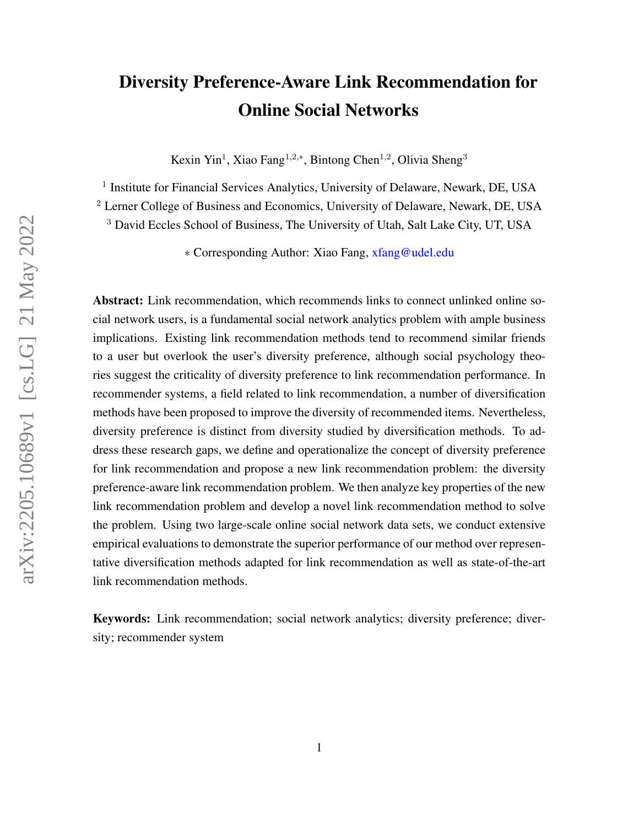# <span id="page-0-0"></span>Diversity Preference-Aware Link Recommendation for Online Social Networks

Kexin Yin<sup>1</sup>, Xiao Fang<sup>1,2,\*</sup>, Bintong Chen<sup>1,2</sup>, Olivia Sheng<sup>3</sup>

<sup>1</sup> Institute for Financial Services Analytics, University of Delaware, Newark, DE, USA

<sup>2</sup> Lerner College of Business and Economics, University of Delaware, Newark, DE, USA

<sup>3</sup> David Eccles School of Business, The University of Utah, Salt Lake City, UT, USA

∗ Corresponding Author: Xiao Fang, [xfang@udel.edu](mailto:xfang@udel.edu)

Abstract: Link recommendation, which recommends links to connect unlinked online social network users, is a fundamental social network analytics problem with ample business implications. Existing link recommendation methods tend to recommend similar friends to a user but overlook the user's diversity preference, although social psychology theories suggest the criticality of diversity preference to link recommendation performance. In recommender systems, a field related to link recommendation, a number of diversification methods have been proposed to improve the diversity of recommended items. Nevertheless, diversity preference is distinct from diversity studied by diversification methods. To address these research gaps, we define and operationalize the concept of diversity preference for link recommendation and propose a new link recommendation problem: the diversity preference-aware link recommendation problem. We then analyze key properties of the new link recommendation problem and develop a novel link recommendation method to solve the problem. Using two large-scale online social network data sets, we conduct extensive empirical evaluations to demonstrate the superior performance of our method over representative diversification methods adapted for link recommendation as well as state-of-the-art link recommendation methods.

Keywords: Link recommendation; social network analytics; diversity preference; diversity; recommender system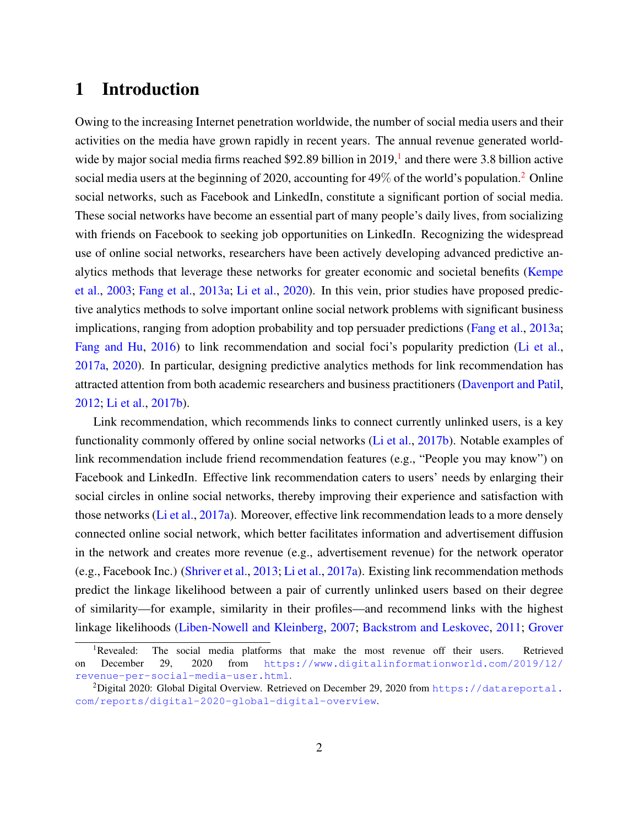# 1 Introduction

Owing to the increasing Internet penetration worldwide, the number of social media users and their activities on the media have grown rapidly in recent years. The annual revenue generated worldwide by major social media firms reached \$92.89 billion in  $2019<sup>1</sup>$  $2019<sup>1</sup>$  $2019<sup>1</sup>$  and there were 3.8 billion active social media users at the beginning of [2](#page-0-0)020, accounting for  $49\%$  of the world's population.<sup>2</sup> Online social networks, such as Facebook and LinkedIn, constitute a significant portion of social media. These social networks have become an essential part of many people's daily lives, from socializing with friends on Facebook to seeking job opportunities on LinkedIn. Recognizing the widespread use of online social networks, researchers have been actively developing advanced predictive analytics methods that leverage these networks for greater economic and societal benefits [\(Kempe](#page-33-0) [et al.,](#page-33-0) [2003;](#page-33-0) [Fang et al.,](#page-32-0) [2013a;](#page-32-0) [Li et al.,](#page-33-1) [2020\)](#page-33-1). In this vein, prior studies have proposed predictive analytics methods to solve important online social network problems with significant business implications, ranging from adoption probability and top persuader predictions [\(Fang et al.,](#page-32-0) [2013a;](#page-32-0) [Fang and Hu,](#page-32-1) [2016\)](#page-32-1) to link recommendation and social foci's popularity prediction [\(Li et al.,](#page-33-2) [2017a,](#page-33-2) [2020\)](#page-33-1). In particular, designing predictive analytics methods for link recommendation has attracted attention from both academic researchers and business practitioners [\(Davenport and Patil,](#page-32-2) [2012;](#page-32-2) [Li et al.,](#page-33-3) [2017b\)](#page-33-3).

Link recommendation, which recommends links to connect currently unlinked users, is a key functionality commonly offered by online social networks [\(Li et al.,](#page-33-3) [2017b\)](#page-33-3). Notable examples of link recommendation include friend recommendation features (e.g., "People you may know") on Facebook and LinkedIn. Effective link recommendation caters to users' needs by enlarging their social circles in online social networks, thereby improving their experience and satisfaction with those networks [\(Li et al.,](#page-33-2) [2017a\)](#page-33-2). Moreover, effective link recommendation leads to a more densely connected online social network, which better facilitates information and advertisement diffusion in the network and creates more revenue (e.g., advertisement revenue) for the network operator (e.g., Facebook Inc.) [\(Shriver et al.,](#page-34-0) [2013;](#page-34-0) [Li et al.,](#page-33-2) [2017a\)](#page-33-2). Existing link recommendation methods predict the linkage likelihood between a pair of currently unlinked users based on their degree of similarity—for example, similarity in their profiles—and recommend links with the highest linkage likelihoods [\(Liben-Nowell and Kleinberg,](#page-33-4) [2007;](#page-33-4) [Backstrom and Leskovec,](#page-31-0) [2011;](#page-31-0) [Grover](#page-33-5)

<sup>&</sup>lt;sup>1</sup>[Revealed: The social media platforms that make the most revenue off their users. Retrieved](#page-33-5) on December 29, 2020 from [https://www.digitalinformationworld.com/2019/12/](#page-33-5) [revenue-per-social-media-user.html](#page-33-5).

<sup>&</sup>lt;sup>2</sup>[Digital 2020: Global Digital Overview. Retrieved on December 29, 2020 from](#page-33-5)  $https://datareportal.$ [com/reports/digital-2020-global-digital-overview](#page-33-5).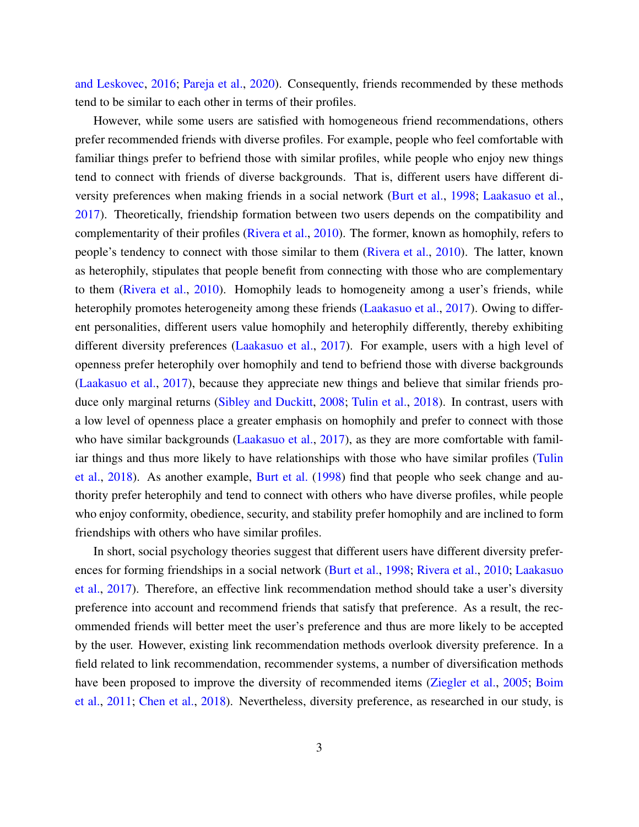[and Leskovec,](#page-33-5) [2016;](#page-33-5) [Pareja et al.,](#page-34-1) [2020\)](#page-34-1). Consequently, friends recommended by these methods tend to be similar to each other in terms of their profiles.

However, while some users are satisfied with homogeneous friend recommendations, others prefer recommended friends with diverse profiles. For example, people who feel comfortable with familiar things prefer to befriend those with similar profiles, while people who enjoy new things tend to connect with friends of diverse backgrounds. That is, different users have different diversity preferences when making friends in a social network [\(Burt et al.,](#page-32-3) [1998;](#page-32-3) [Laakasuo et al.,](#page-33-6) [2017\)](#page-33-6). Theoretically, friendship formation between two users depends on the compatibility and complementarity of their profiles [\(Rivera et al.,](#page-34-2) [2010\)](#page-34-2). The former, known as homophily, refers to people's tendency to connect with those similar to them [\(Rivera et al.,](#page-34-2) [2010\)](#page-34-2). The latter, known as heterophily, stipulates that people benefit from connecting with those who are complementary to them [\(Rivera et al.,](#page-34-2) [2010\)](#page-34-2). Homophily leads to homogeneity among a user's friends, while heterophily promotes heterogeneity among these friends [\(Laakasuo et al.,](#page-33-6) [2017\)](#page-33-6). Owing to different personalities, different users value homophily and heterophily differently, thereby exhibiting different diversity preferences [\(Laakasuo et al.,](#page-33-6) [2017\)](#page-33-6). For example, users with a high level of openness prefer heterophily over homophily and tend to befriend those with diverse backgrounds [\(Laakasuo et al.,](#page-33-6) [2017\)](#page-33-6), because they appreciate new things and believe that similar friends produce only marginal returns [\(Sibley and Duckitt,](#page-34-3) [2008;](#page-34-3) [Tulin et al.,](#page-34-4) [2018\)](#page-34-4). In contrast, users with a low level of openness place a greater emphasis on homophily and prefer to connect with those who have similar backgrounds [\(Laakasuo et al.,](#page-33-6) [2017\)](#page-33-6), as they are more comfortable with familiar things and thus more likely to have relationships with those who have similar profiles [\(Tulin](#page-34-4) [et al.,](#page-34-4) [2018\)](#page-34-4). As another example, [Burt et al.](#page-32-3) [\(1998\)](#page-32-3) find that people who seek change and authority prefer heterophily and tend to connect with others who have diverse profiles, while people who enjoy conformity, obedience, security, and stability prefer homophily and are inclined to form friendships with others who have similar profiles.

In short, social psychology theories suggest that different users have different diversity preferences for forming friendships in a social network [\(Burt et al.,](#page-32-3) [1998;](#page-32-3) [Rivera et al.,](#page-34-2) [2010;](#page-34-2) [Laakasuo](#page-33-6) [et al.,](#page-33-6) [2017\)](#page-33-6). Therefore, an effective link recommendation method should take a user's diversity preference into account and recommend friends that satisfy that preference. As a result, the recommended friends will better meet the user's preference and thus are more likely to be accepted by the user. However, existing link recommendation methods overlook diversity preference. In a field related to link recommendation, recommender systems, a number of diversification methods have been proposed to improve the diversity of recommended items [\(Ziegler et al.,](#page-35-0) [2005;](#page-35-0) [Boim](#page-32-4) [et al.,](#page-32-4) [2011;](#page-32-4) [Chen et al.,](#page-32-5) [2018\)](#page-32-5). Nevertheless, diversity preference, as researched in our study, is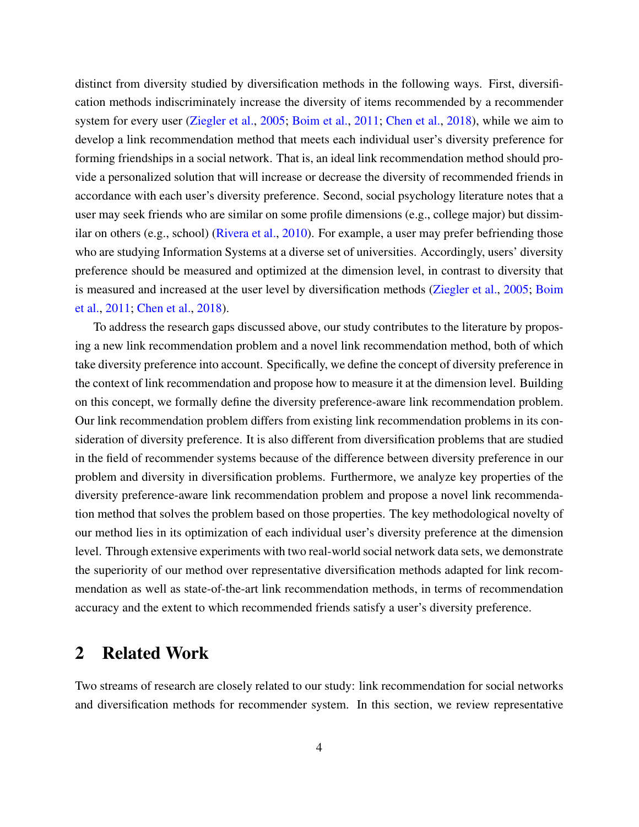distinct from diversity studied by diversification methods in the following ways. First, diversification methods indiscriminately increase the diversity of items recommended by a recommender system for every user [\(Ziegler et al.,](#page-35-0) [2005;](#page-35-0) [Boim et al.,](#page-32-4) [2011;](#page-32-4) [Chen et al.,](#page-32-5) [2018\)](#page-32-5), while we aim to develop a link recommendation method that meets each individual user's diversity preference for forming friendships in a social network. That is, an ideal link recommendation method should provide a personalized solution that will increase or decrease the diversity of recommended friends in accordance with each user's diversity preference. Second, social psychology literature notes that a user may seek friends who are similar on some profile dimensions (e.g., college major) but dissimilar on others (e.g., school) [\(Rivera et al.,](#page-34-2) [2010\)](#page-34-2). For example, a user may prefer befriending those who are studying Information Systems at a diverse set of universities. Accordingly, users' diversity preference should be measured and optimized at the dimension level, in contrast to diversity that is measured and increased at the user level by diversification methods [\(Ziegler et al.,](#page-35-0) [2005;](#page-35-0) [Boim](#page-32-4) [et al.,](#page-32-4) [2011;](#page-32-4) [Chen et al.,](#page-32-5) [2018\)](#page-32-5).

To address the research gaps discussed above, our study contributes to the literature by proposing a new link recommendation problem and a novel link recommendation method, both of which take diversity preference into account. Specifically, we define the concept of diversity preference in the context of link recommendation and propose how to measure it at the dimension level. Building on this concept, we formally define the diversity preference-aware link recommendation problem. Our link recommendation problem differs from existing link recommendation problems in its consideration of diversity preference. It is also different from diversification problems that are studied in the field of recommender systems because of the difference between diversity preference in our problem and diversity in diversification problems. Furthermore, we analyze key properties of the diversity preference-aware link recommendation problem and propose a novel link recommendation method that solves the problem based on those properties. The key methodological novelty of our method lies in its optimization of each individual user's diversity preference at the dimension level. Through extensive experiments with two real-world social network data sets, we demonstrate the superiority of our method over representative diversification methods adapted for link recommendation as well as state-of-the-art link recommendation methods, in terms of recommendation accuracy and the extent to which recommended friends satisfy a user's diversity preference.

## 2 Related Work

Two streams of research are closely related to our study: link recommendation for social networks and diversification methods for recommender system. In this section, we review representative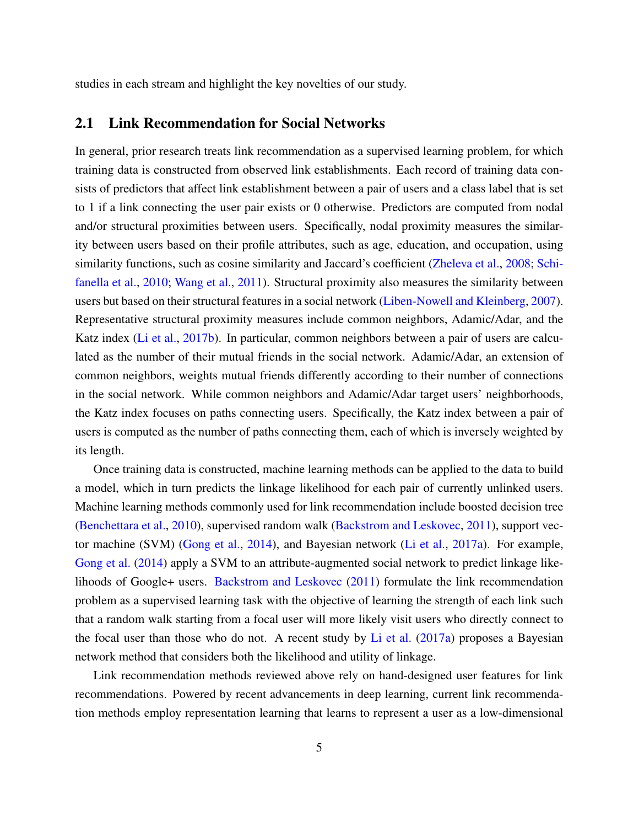studies in each stream and highlight the key novelties of our study.

### 2.1 Link Recommendation for Social Networks

In general, prior research treats link recommendation as a supervised learning problem, for which training data is constructed from observed link establishments. Each record of training data consists of predictors that affect link establishment between a pair of users and a class label that is set to 1 if a link connecting the user pair exists or 0 otherwise. Predictors are computed from nodal and/or structural proximities between users. Specifically, nodal proximity measures the similarity between users based on their profile attributes, such as age, education, and occupation, using similarity functions, such as cosine similarity and Jaccard's coefficient [\(Zheleva et al.,](#page-35-1) [2008;](#page-35-1) [Schi](#page-34-5)[fanella et al.,](#page-34-5) [2010;](#page-34-5) [Wang et al.,](#page-35-2) [2011\)](#page-35-2). Structural proximity also measures the similarity between users but based on their structural features in a social network [\(Liben-Nowell and Kleinberg,](#page-33-4) [2007\)](#page-33-4). Representative structural proximity measures include common neighbors, Adamic/Adar, and the Katz index [\(Li et al.,](#page-33-3) [2017b\)](#page-33-3). In particular, common neighbors between a pair of users are calculated as the number of their mutual friends in the social network. Adamic/Adar, an extension of common neighbors, weights mutual friends differently according to their number of connections in the social network. While common neighbors and Adamic/Adar target users' neighborhoods, the Katz index focuses on paths connecting users. Specifically, the Katz index between a pair of users is computed as the number of paths connecting them, each of which is inversely weighted by its length.

Once training data is constructed, machine learning methods can be applied to the data to build a model, which in turn predicts the linkage likelihood for each pair of currently unlinked users. Machine learning methods commonly used for link recommendation include boosted decision tree [\(Benchettara et al.,](#page-31-1) [2010\)](#page-31-1), supervised random walk [\(Backstrom and Leskovec,](#page-31-0) [2011\)](#page-31-0), support vector machine (SVM) [\(Gong et al.,](#page-32-6) [2014\)](#page-32-6), and Bayesian network [\(Li et al.,](#page-33-2) [2017a\)](#page-33-2). For example, [Gong et al.](#page-32-6) [\(2014\)](#page-32-6) apply a SVM to an attribute-augmented social network to predict linkage likelihoods of Google+ users. [Backstrom and Leskovec](#page-31-0) [\(2011\)](#page-31-0) formulate the link recommendation problem as a supervised learning task with the objective of learning the strength of each link such that a random walk starting from a focal user will more likely visit users who directly connect to the focal user than those who do not. A recent study by [Li et al.](#page-33-2)  $(2017a)$  proposes a Bayesian network method that considers both the likelihood and utility of linkage.

Link recommendation methods reviewed above rely on hand-designed user features for link recommendations. Powered by recent advancements in deep learning, current link recommendation methods employ representation learning that learns to represent a user as a low-dimensional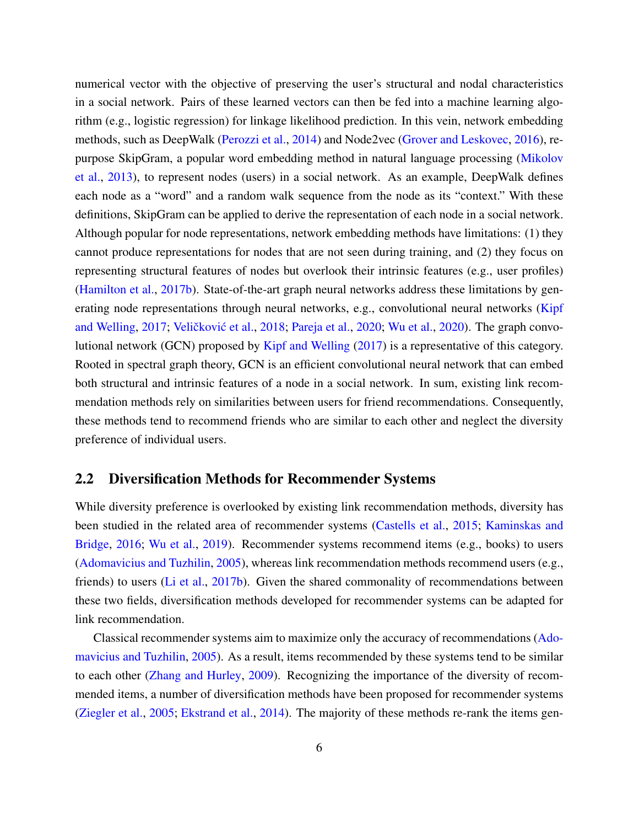numerical vector with the objective of preserving the user's structural and nodal characteristics in a social network. Pairs of these learned vectors can then be fed into a machine learning algorithm (e.g., logistic regression) for linkage likelihood prediction. In this vein, network embedding methods, such as DeepWalk [\(Perozzi et al.,](#page-34-6) [2014\)](#page-34-6) and Node2vec [\(Grover and Leskovec,](#page-33-5) [2016\)](#page-33-5), repurpose SkipGram, a popular word embedding method in natural language processing [\(Mikolov](#page-33-7) [et al.,](#page-33-7) [2013\)](#page-33-7), to represent nodes (users) in a social network. As an example, DeepWalk defines each node as a "word" and a random walk sequence from the node as its "context." With these definitions, SkipGram can be applied to derive the representation of each node in a social network. Although popular for node representations, network embedding methods have limitations: (1) they cannot produce representations for nodes that are not seen during training, and (2) they focus on representing structural features of nodes but overlook their intrinsic features (e.g., user profiles) [\(Hamilton et al.,](#page-33-8) [2017b\)](#page-33-8). State-of-the-art graph neural networks address these limitations by gen-erating node representations through neural networks, e.g., convolutional neural networks [\(Kipf](#page-33-9) [and Welling,](#page-33-9) [2017;](#page-33-9) Veličković et al., [2018;](#page-34-7) [Pareja et al.,](#page-34-1) [2020;](#page-34-1) [Wu et al.,](#page-35-3) [2020\)](#page-35-3). The graph convolutional network (GCN) proposed by [Kipf and Welling](#page-33-9) [\(2017\)](#page-33-9) is a representative of this category. Rooted in spectral graph theory, GCN is an efficient convolutional neural network that can embed both structural and intrinsic features of a node in a social network. In sum, existing link recommendation methods rely on similarities between users for friend recommendations. Consequently, these methods tend to recommend friends who are similar to each other and neglect the diversity preference of individual users.

#### 2.2 Diversification Methods for Recommender Systems

While diversity preference is overlooked by existing link recommendation methods, diversity has been studied in the related area of recommender systems [\(Castells et al.,](#page-32-7) [2015;](#page-32-7) [Kaminskas and](#page-33-10) [Bridge,](#page-33-10) [2016;](#page-33-10) [Wu et al.,](#page-35-4) [2019\)](#page-35-4). Recommender systems recommend items (e.g., books) to users [\(Adomavicius and Tuzhilin,](#page-31-2) [2005\)](#page-31-2), whereas link recommendation methods recommend users (e.g., friends) to users [\(Li et al.,](#page-33-3) [2017b\)](#page-33-3). Given the shared commonality of recommendations between these two fields, diversification methods developed for recommender systems can be adapted for link recommendation.

Classical recommender systems aim to maximize only the accuracy of recommendations [\(Ado](#page-31-2)[mavicius and Tuzhilin,](#page-31-2) [2005\)](#page-31-2). As a result, items recommended by these systems tend to be similar to each other [\(Zhang and Hurley,](#page-35-5) [2009\)](#page-35-5). Recognizing the importance of the diversity of recommended items, a number of diversification methods have been proposed for recommender systems [\(Ziegler et al.,](#page-35-0) [2005;](#page-35-0) [Ekstrand et al.,](#page-32-8) [2014\)](#page-32-8). The majority of these methods re-rank the items gen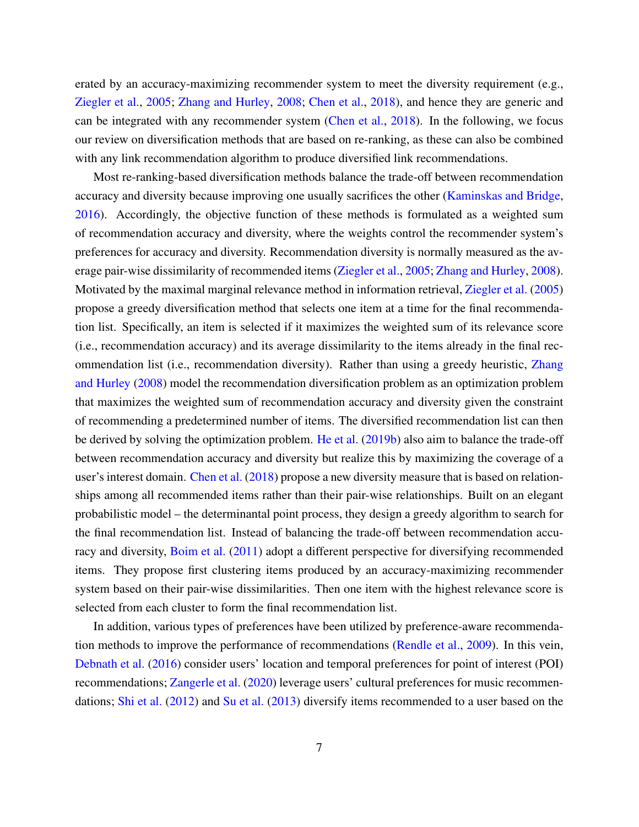erated by an accuracy-maximizing recommender system to meet the diversity requirement (e.g., [Ziegler et al.,](#page-35-0) [2005;](#page-35-0) [Zhang and Hurley,](#page-35-6) [2008;](#page-35-6) [Chen et al.,](#page-32-5) [2018\)](#page-32-5), and hence they are generic and can be integrated with any recommender system [\(Chen et al.,](#page-32-5) [2018\)](#page-32-5). In the following, we focus our review on diversification methods that are based on re-ranking, as these can also be combined with any link recommendation algorithm to produce diversified link recommendations.

Most re-ranking-based diversification methods balance the trade-off between recommendation accuracy and diversity because improving one usually sacrifices the other [\(Kaminskas and Bridge,](#page-33-10) [2016\)](#page-33-10). Accordingly, the objective function of these methods is formulated as a weighted sum of recommendation accuracy and diversity, where the weights control the recommender system's preferences for accuracy and diversity. Recommendation diversity is normally measured as the average pair-wise dissimilarity of recommended items [\(Ziegler et al.,](#page-35-0) [2005;](#page-35-0) [Zhang and Hurley,](#page-35-6) [2008\)](#page-35-6). Motivated by the maximal marginal relevance method in information retrieval, [Ziegler et al.](#page-35-0) [\(2005\)](#page-35-0) propose a greedy diversification method that selects one item at a time for the final recommendation list. Specifically, an item is selected if it maximizes the weighted sum of its relevance score (i.e., recommendation accuracy) and its average dissimilarity to the items already in the final recommendation list (i.e., recommendation diversity). Rather than using a greedy heuristic, [Zhang](#page-35-6) [and Hurley](#page-35-6) [\(2008\)](#page-35-6) model the recommendation diversification problem as an optimization problem that maximizes the weighted sum of recommendation accuracy and diversity given the constraint of recommending a predetermined number of items. The diversified recommendation list can then be derived by solving the optimization problem. [He et al.](#page-33-11) [\(2019b\)](#page-33-11) also aim to balance the trade-off between recommendation accuracy and diversity but realize this by maximizing the coverage of a user's interest domain. [Chen et al.](#page-32-5) [\(2018\)](#page-32-5) propose a new diversity measure that is based on relationships among all recommended items rather than their pair-wise relationships. Built on an elegant probabilistic model – the determinantal point process, they design a greedy algorithm to search for the final recommendation list. Instead of balancing the trade-off between recommendation accuracy and diversity, [Boim et al.](#page-32-4) [\(2011\)](#page-32-4) adopt a different perspective for diversifying recommended items. They propose first clustering items produced by an accuracy-maximizing recommender system based on their pair-wise dissimilarities. Then one item with the highest relevance score is selected from each cluster to form the final recommendation list.

In addition, various types of preferences have been utilized by preference-aware recommendation methods to improve the performance of recommendations [\(Rendle et al.,](#page-34-8) [2009\)](#page-34-8). In this vein, [Debnath et al.](#page-32-9) [\(2016\)](#page-32-9) consider users' location and temporal preferences for point of interest (POI) recommendations; [Zangerle et al.](#page-35-7) [\(2020\)](#page-35-7) leverage users' cultural preferences for music recommendations; [Shi et al.](#page-34-9) [\(2012\)](#page-34-9) and [Su et al.](#page-34-10) [\(2013\)](#page-34-10) diversify items recommended to a user based on the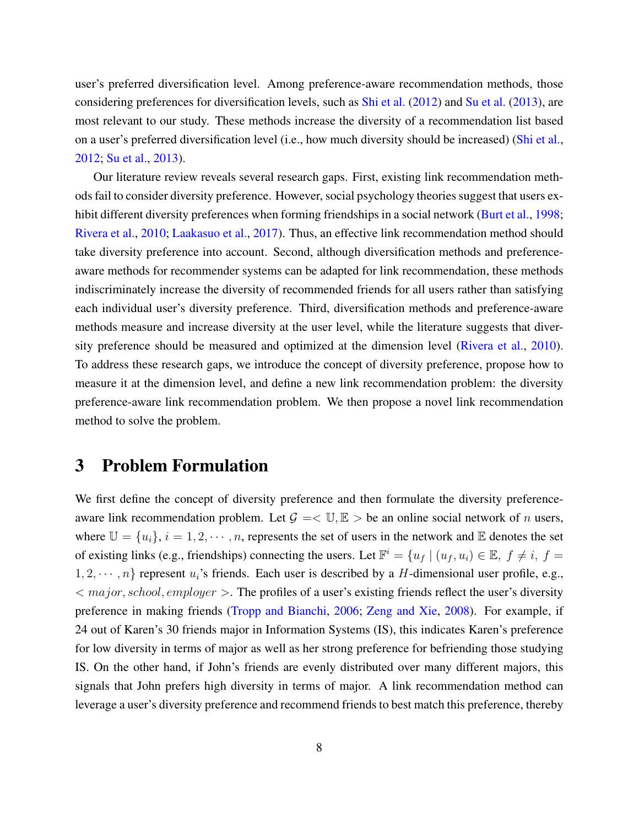user's preferred diversification level. Among preference-aware recommendation methods, those considering preferences for diversification levels, such as [Shi et al.](#page-34-9) [\(2012\)](#page-34-9) and [Su et al.](#page-34-10) [\(2013\)](#page-34-10), are most relevant to our study. These methods increase the diversity of a recommendation list based on a user's preferred diversification level (i.e., how much diversity should be increased) [\(Shi et al.,](#page-34-9) [2012;](#page-34-9) [Su et al.,](#page-34-10) [2013\)](#page-34-10).

Our literature review reveals several research gaps. First, existing link recommendation methods fail to consider diversity preference. However, social psychology theories suggest that users ex-hibit different diversity preferences when forming friendships in a social network [\(Burt et al.,](#page-32-3) [1998;](#page-32-3) [Rivera et al.,](#page-34-2) [2010;](#page-34-2) [Laakasuo et al.,](#page-33-6) [2017\)](#page-33-6). Thus, an effective link recommendation method should take diversity preference into account. Second, although diversification methods and preferenceaware methods for recommender systems can be adapted for link recommendation, these methods indiscriminately increase the diversity of recommended friends for all users rather than satisfying each individual user's diversity preference. Third, diversification methods and preference-aware methods measure and increase diversity at the user level, while the literature suggests that diversity preference should be measured and optimized at the dimension level [\(Rivera et al.,](#page-34-2) [2010\)](#page-34-2). To address these research gaps, we introduce the concept of diversity preference, propose how to measure it at the dimension level, and define a new link recommendation problem: the diversity preference-aware link recommendation problem. We then propose a novel link recommendation method to solve the problem.

## 3 Problem Formulation

We first define the concept of diversity preference and then formulate the diversity preferenceaware link recommendation problem. Let  $\mathcal{G} = \langle \mathbb{U}, \mathbb{E} \rangle$  be an online social network of *n* users, where  $\mathbb{U} = \{u_i\}, i = 1, 2, \cdots, n$ , represents the set of users in the network and  $\mathbb{E}$  denotes the set of existing links (e.g., friendships) connecting the users. Let  $\mathbb{F}^i = \{u_f | (u_f, u_i) \in \mathbb{E}, f \neq i, f = i\}$  $1, 2, \dots, n$  represent  $u_i$ 's friends. Each user is described by a H-dimensional user profile, e.g.,  $\langle$  major, school, employer  $\rangle$ . The profiles of a user's existing friends reflect the user's diversity preference in making friends [\(Tropp and Bianchi,](#page-34-11) [2006;](#page-34-11) [Zeng and Xie,](#page-35-8) [2008\)](#page-35-8). For example, if 24 out of Karen's 30 friends major in Information Systems (IS), this indicates Karen's preference for low diversity in terms of major as well as her strong preference for befriending those studying IS. On the other hand, if John's friends are evenly distributed over many different majors, this signals that John prefers high diversity in terms of major. A link recommendation method can leverage a user's diversity preference and recommend friends to best match this preference, thereby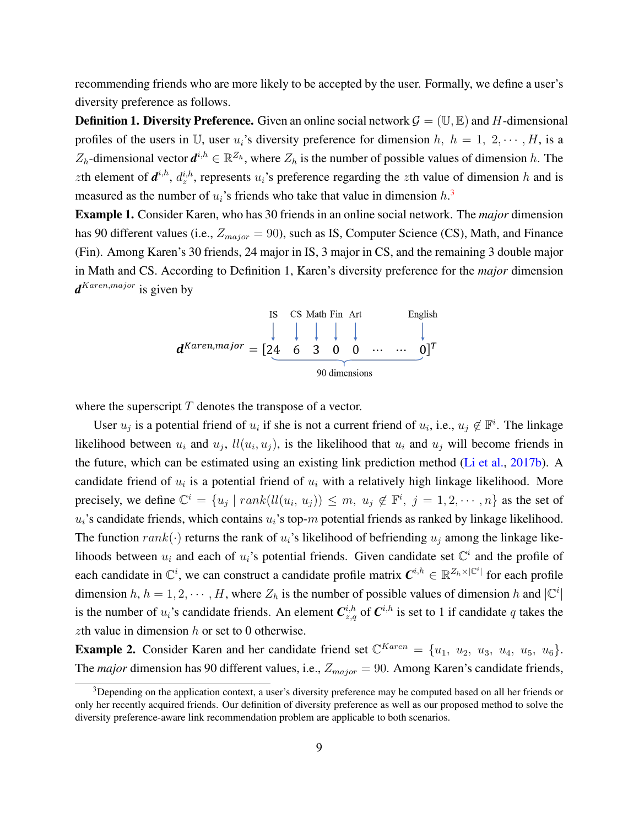recommending friends who are more likely to be accepted by the user. Formally, we define a user's diversity preference as follows.

**Definition 1. Diversity Preference.** Given an online social network  $\mathcal{G} = (\mathbb{U}, \mathbb{E})$  and H-dimensional profiles of the users in U, user  $u_i$ 's diversity preference for dimension h,  $h = 1, 2, \dots, H$ , is a  $Z_h$ -dimensional vector  $d^{i,h} \in \mathbb{R}^{Z_h}$ , where  $Z_h$  is the number of possible values of dimension h. The zth element of  $d^{i,h}$ ,  $d^{i,h}_z$ , represents  $u_i$ 's preference regarding the zth value of dimension h and is measured as the number of  $u_i$ 's friends who take that value in dimension  $h_i$ <sup>[3](#page-0-0)</sup>

Example 1. Consider Karen, who has 30 friends in an online social network. The *major* dimension has 90 different values (i.e.,  $Z_{major} = 90$ ), such as IS, Computer Science (CS), Math, and Finance (Fin). Among Karen's 30 friends, 24 major in IS, 3 major in CS, and the remaining 3 double major in Math and CS. According to Definition 1, Karen's diversity preference for the *major* dimension *d* Karen,major is given by



where the superscript  $T$  denotes the transpose of a vector.

User  $u_j$  is a potential friend of  $u_i$  if she is not a current friend of  $u_i$ , i.e.,  $u_j \notin \mathbb{F}^i$ . The linkage likelihood between  $u_i$  and  $u_j$ ,  $ll(u_i, u_j)$ , is the likelihood that  $u_i$  and  $u_j$  will become friends in the future, which can be estimated using an existing link prediction method [\(Li et al.,](#page-33-3) [2017b\)](#page-33-3). A candidate friend of  $u_i$  is a potential friend of  $u_i$  with a relatively high linkage likelihood. More precisely, we define  $\mathbb{C}^i = \{u_j \mid rank(ll(u_i, u_j)) \leq m, u_j \notin \mathbb{F}^i, j = 1, 2, \cdots, n\}$  as the set of  $u_i$ 's candidate friends, which contains  $u_i$ 's top-m potential friends as ranked by linkage likelihood. The function  $rank(\cdot)$  returns the rank of  $u_i$ 's likelihood of befriending  $u_j$  among the linkage likelihoods between  $u_i$  and each of  $u_i$ 's potential friends. Given candidate set  $\mathbb{C}^i$  and the profile of each candidate in  $\mathbb{C}^i$ , we can construct a candidate profile matrix  $\mathbf{C}^{i,h} \in \mathbb{R}^{\mathbb{Z}_h \times |\mathbb{C}^i|}$  for each profile dimension h,  $h = 1, 2, \dots, H$ , where  $Z_h$  is the number of possible values of dimension h and  $|\mathbb{C}^i|$ is the number of  $u_i$ 's candidate friends. An element  $C_{z,q}^{i,h}$  of  $C^{i,h}$  is set to 1 if candidate q takes the zth value in dimension  $h$  or set to 0 otherwise.

**Example 2.** Consider Karen and her candidate friend set  $\mathbb{C}^{Karen} = \{u_1, u_2, u_3, u_4, u_5, u_6\}.$ The *major* dimension has 90 different values, i.e.,  $Z_{major} = 90$ . Among Karen's candidate friends,

<sup>&</sup>lt;sup>3</sup>Depending on the application context, a user's diversity preference may be computed based on all her friends or only her recently acquired friends. Our definition of diversity preference as well as our proposed method to solve the diversity preference-aware link recommendation problem are applicable to both scenarios.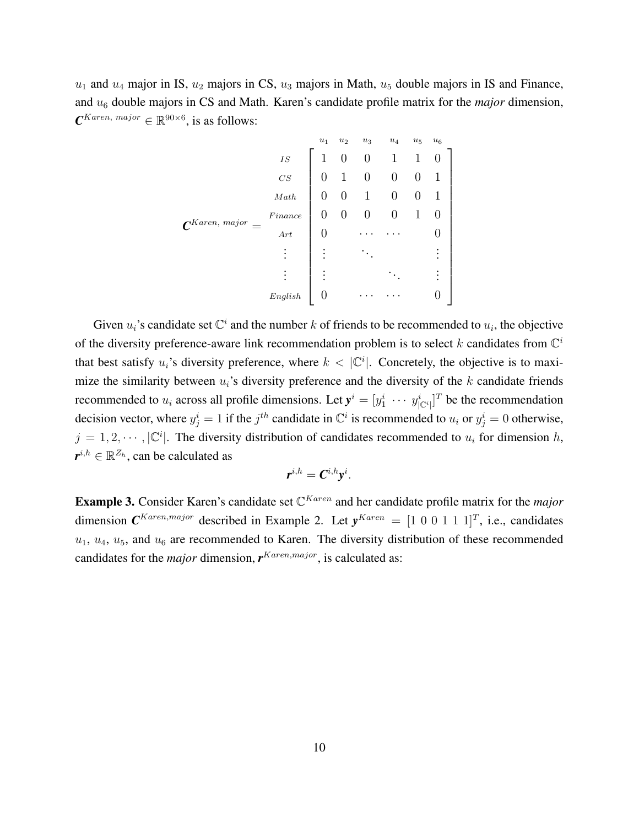$u_1$  and  $u_4$  major in IS,  $u_2$  majors in CS,  $u_3$  majors in Math,  $u_5$  double majors in IS and Finance, and u<sup>6</sup> double majors in CS and Math. Karen's candidate profile matrix for the *major* dimension,  $\boldsymbol{C}^{Karen,~major} \in \mathbb{R}^{90 \times 6}$ , is as follows:

$$
\mathbf{C}^{Karen, \; major} = \begin{bmatrix} u_1 & u_2 & u_3 & u_4 & u_5 & u_6 \\ 1 & 0 & 0 & 1 & 1 & 0 \\ 0 & 1 & 0 & 0 & 0 & 1 \\ 0 & 0 & 1 & 0 & 0 & 1 \\ 0 & 0 & 0 & 0 & 1 & 0 \\ 0 & \cdots & \cdots & 0 & 0 \\ \vdots & \vdots & \ddots & \vdots & \vdots \\ 0 & \cdots & \cdots & 0 & 0 \end{bmatrix}
$$
  
English 0

Given  $u_i$ 's candidate set  $\mathbb{C}^i$  and the number k of friends to be recommended to  $u_i$ , the objective of the diversity preference-aware link recommendation problem is to select k candidates from  $\mathbb{C}^i$ that best satisfy  $u_i$ 's diversity preference, where  $k < |\mathbb{C}^i|$ . Concretely, the objective is to maximize the similarity between  $u_i$ 's diversity preference and the diversity of the k candidate friends recommended to  $u_i$  across all profile dimensions. Let  $y^i = [y_1^i \cdots y_{|C^i|}^i]^T$  be the recommendation decision vector, where  $y_j^i = 1$  if the  $j^{th}$  candidate in  $\mathbb{C}^i$  is recommended to  $u_i$  or  $y_j^i = 0$  otherwise,  $j = 1, 2, \dots, |\mathbb{C}^i|$ . The diversity distribution of candidates recommended to  $u_i$  for dimension h,  $\boldsymbol{r}^{i,h}\in\mathbb{R}^{Z_h}$ , can be calculated as

$$
\boldsymbol{r}^{i,h} = \boldsymbol{C}^{i,h} \mathbf{y}^i.
$$

Example 3. Consider Karen's candidate set  $\mathbb{C}^{Karen}$  and her candidate profile matrix for the *major* dimension  $\mathbf{C}^{Karen, major}$  described in Example 2. Let  $y^{Karen} = \begin{bmatrix} 1 & 0 & 0 & 1 & 1 & 1 \end{bmatrix}^T$ , i.e., candidates  $u_1, u_4, u_5$ , and  $u_6$  are recommended to Karen. The diversity distribution of these recommended candidates for the *major* dimension,  $r^{Karen,major}$ , is calculated as: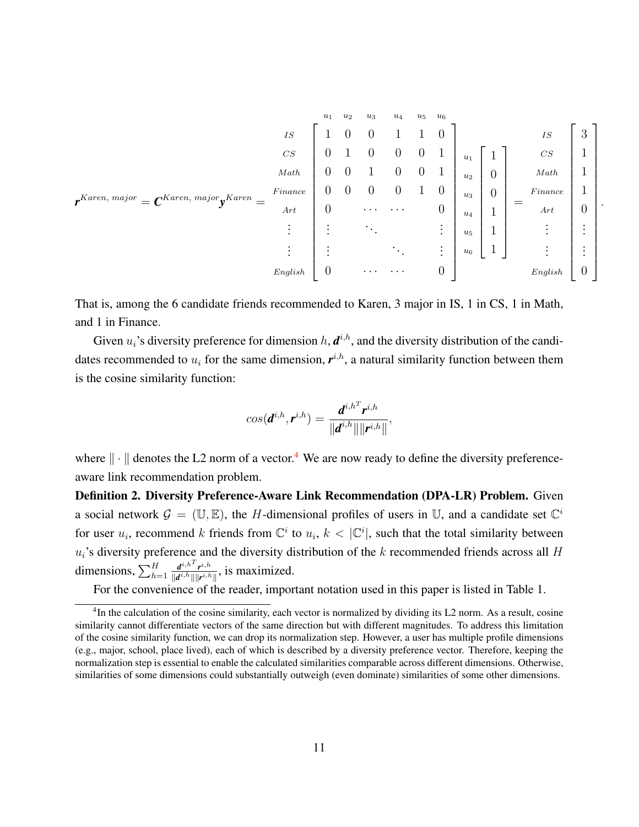$$
\mathbf{r}^{Karen, \; major} = \mathbf{C}^{Karen, \; major} \mathbf{y}^{Karen} = \begin{bmatrix} 1 & 0 & 0 & 1 & 1 & 0 \\ 0 & 1 & 0 & 0 & 0 & 1 \\ 0 & 0 & 1 & 0 & 0 & 1 \\ 0 & 0 & 0 & 1 & 0 & 0 & 1 \\ 0 & 0 & 0 & 0 & 1 & 0 & 0 \\ 0 & 0 & 0 & 0 & 1 & 0 & 0 \\ \vdots & \vdots & \vdots & \ddots & \vdots & \vdots \\ \vdots & \vdots & \vdots & \ddots & \vdots \\ 0 & \cdots & \cdots & 0 & 0 \end{bmatrix} \begin{bmatrix} 1 \\ u_1 \\ u_2 \\ u_3 \\ u_4 \\ u_5 \\ u_6 \end{bmatrix} \begin{bmatrix} 1 \\ 1 \\ 0 \\ 1 \\ 1 \\ \vdots \\ 1 \end{bmatrix} = \begin{bmatrix} \text{Is} \\ \text{S} \\ \text{Math} \\ \text{I} \\ \text{I} \\ \text{S} \\ \text{I} \\ \text{S} \\ \text{in } \mathbb{R} \end{bmatrix} \begin{bmatrix} 3 \\ 1 \\ 1 \\ 0 \\ \vdots \\ 1 \end{bmatrix}
$$

.

That is, among the 6 candidate friends recommended to Karen, 3 major in IS, 1 in CS, 1 in Math, and 1 in Finance.

Given  $u_i$ 's diversity preference for dimension  $h, d^{i,h}$ , and the diversity distribution of the candidates recommended to  $u_i$  for the same dimension,  $r^{i,h}$ , a natural similarity function between them is the cosine similarity function:

$$
cos(\boldsymbol{d}^{i,h},\boldsymbol{r}^{i,h})=\frac{\boldsymbol{d}^{i,h^T}\boldsymbol{r}^{i,h}}{\|\boldsymbol{d}^{i,h}\|\|\boldsymbol{r}^{i,h}\|},
$$

where  $\|\cdot\|$  denotes the L2 norm of a vector.<sup>[4](#page-0-0)</sup> We are now ready to define the diversity preferenceaware link recommendation problem.

Definition 2. Diversity Preference-Aware Link Recommendation (DPA-LR) Problem. Given a social network  $\mathcal{G} = (\mathbb{U}, \mathbb{E})$ , the H-dimensional profiles of users in U, and a candidate set  $\mathbb{C}^i$ for user  $u_i$ , recommend k friends from  $\mathbb{C}^i$  to  $u_i$ ,  $k < |\mathbb{C}^i|$ , such that the total similarity between  $u_i$ 's diversity preference and the diversity distribution of the k recommended friends across all H dimensions,  $\sum_{h=1}^{H}$  $d^{i,h^T}r^{i,h}$  $\frac{d^{i,h} \cdot \vec{r}^{i,h}}{\Vert d^{i,h} \Vert \Vert \vec{r}^{i,h} \Vert}$ , is maximized.

For the convenience of the reader, important notation used in this paper is listed in Table 1.

 ${}^{4}$ In the calculation of the cosine similarity, each vector is normalized by dividing its L2 norm. As a result, cosine similarity cannot differentiate vectors of the same direction but with different magnitudes. To address this limitation of the cosine similarity function, we can drop its normalization step. However, a user has multiple profile dimensions (e.g., major, school, place lived), each of which is described by a diversity preference vector. Therefore, keeping the normalization step is essential to enable the calculated similarities comparable across different dimensions. Otherwise, similarities of some dimensions could substantially outweigh (even dominate) similarities of some other dimensions.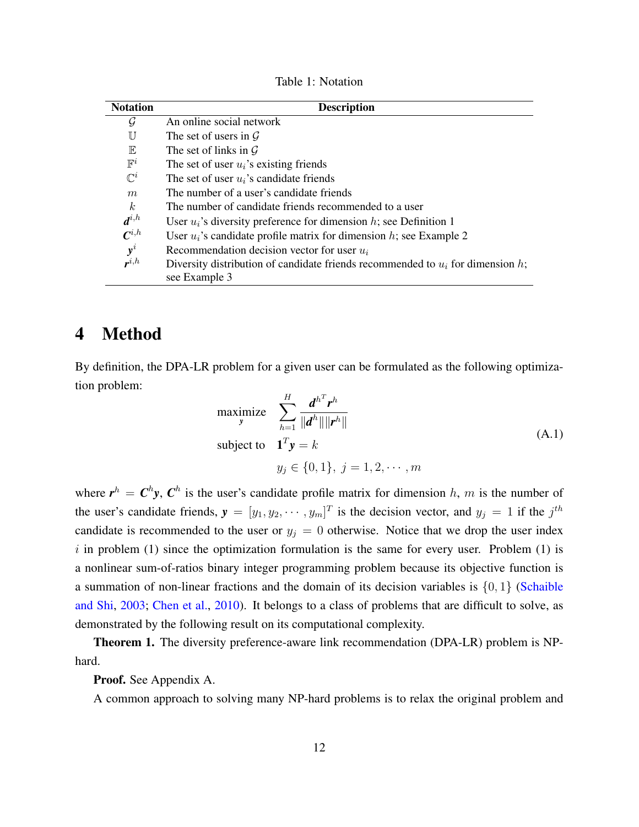| Table 1: Notation |
|-------------------|
|-------------------|

| <b>Description</b>                                                                                 |
|----------------------------------------------------------------------------------------------------|
| An online social network                                                                           |
| The set of users in $\mathcal G$                                                                   |
| The set of links in $\mathcal G$                                                                   |
| The set of user $u_i$ 's existing friends                                                          |
| The set of user $u_i$ 's candidate friends                                                         |
| The number of a user's candidate friends                                                           |
| The number of candidate friends recommended to a user                                              |
| User $u_i$ 's diversity preference for dimension h; see Definition 1                               |
| User $u_i$ 's candidate profile matrix for dimension h; see Example 2                              |
| Recommendation decision vector for user $u_i$                                                      |
| Diversity distribution of candidate friends recommended to $u_i$ for dimension h;<br>see Example 3 |
|                                                                                                    |

# 4 Method

By definition, the DPA-LR problem for a given user can be formulated as the following optimization problem:

$$
\begin{aligned}\n\text{maximize} & \sum_{h=1}^{H} \frac{d^{h^T} r^h}{\|d^h\| \|r^h\|} \\
\text{subject to} & \mathbf{1}^T \mathbf{y} = k \\
y_j &\in \{0, 1\}, \ j = 1, 2, \cdots, m\n\end{aligned} \tag{A.1}
$$

where  $r^h = C^h y$ ,  $C^h$  is the user's candidate profile matrix for dimension h, m is the number of the user's candidate friends,  $y = [y_1, y_2, \dots, y_m]^T$  is the decision vector, and  $y_j = 1$  if the  $j^{th}$ candidate is recommended to the user or  $y_j = 0$  otherwise. Notice that we drop the user index i in problem  $(1)$  since the optimization formulation is the same for every user. Problem  $(1)$  is a nonlinear sum-of-ratios binary integer programming problem because its objective function is a summation of non-linear fractions and the domain of its decision variables is  $\{0, 1\}$  [\(Schaible](#page-34-12) [and Shi,](#page-34-12) [2003;](#page-34-12) [Chen et al.,](#page-32-10) [2010\)](#page-32-10). It belongs to a class of problems that are difficult to solve, as demonstrated by the following result on its computational complexity.

Theorem 1. The diversity preference-aware link recommendation (DPA-LR) problem is NPhard.

Proof. See Appendix A.

A common approach to solving many NP-hard problems is to relax the original problem and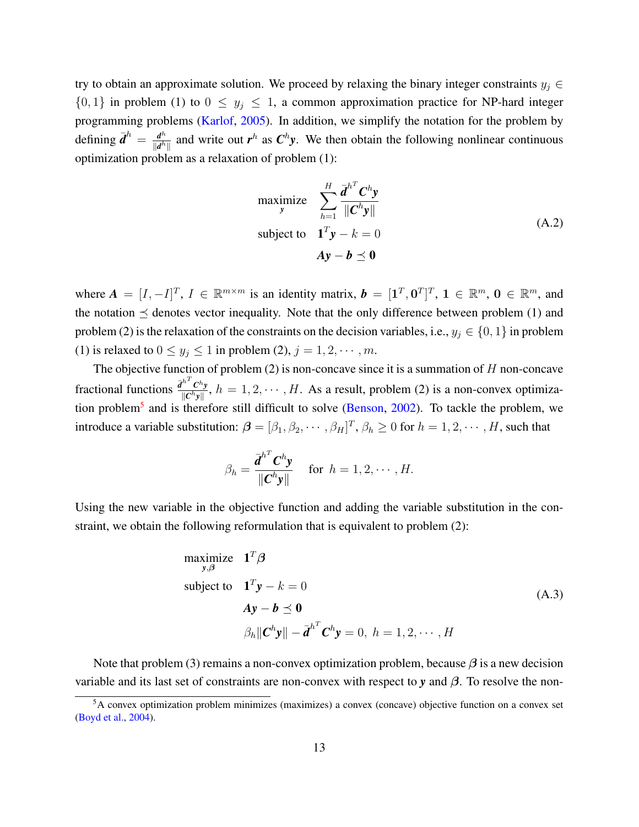try to obtain an approximate solution. We proceed by relaxing the binary integer constraints  $y_j \in$  $\{0, 1\}$  in problem (1) to  $0 \leq y_i \leq 1$ , a common approximation practice for NP-hard integer programming problems [\(Karlof,](#page-33-12) [2005\)](#page-33-12). In addition, we simplify the notation for the problem by defining  $\bar{d}^h = \frac{d^h}{d^h}$  $\frac{d^h}{\|d^h\|}$  and write out *r*<sup>h</sup> as *C*<sup>h</sup>y. We then obtain the following nonlinear continuous optimization problem as a relaxation of problem (1):

maximize 
$$
\sum_{h=1}^{H} \frac{\bar{d}^{h^T} C^h y}{\|C^h y\|}
$$
  
subject to 
$$
\mathbf{1}^T \mathbf{y} - k = 0
$$

$$
A\mathbf{y} - \mathbf{b} \preceq \mathbf{0}
$$
 (A.2)

where  $A = [I, -I]^T$ ,  $I \in \mathbb{R}^{m \times m}$  is an identity matrix,  $b = [1^T, 0^T]^T$ ,  $1 \in \mathbb{R}^m$ ,  $0 \in \mathbb{R}^m$ , and the notation  $\preceq$  denotes vector inequality. Note that the only difference between problem (1) and problem (2) is the relaxation of the constraints on the decision variables, i.e.,  $y_j \in \{0, 1\}$  in problem (1) is relaxed to  $0 \le y_j \le 1$  in problem (2),  $j = 1, 2, \dots, m$ .

The objective function of problem (2) is non-concave since it is a summation of  $H$  non-concave fractional functions  $\frac{\bar{d}^{h^T} C^h y}{\|C^h y\|}$  $\frac{C^n v}{\|C^h y\|}$ ,  $h = 1, 2, \cdots, H$ . As a result, problem (2) is a non-convex optimiza-tion problem<sup>[5](#page-0-0)</sup> and is therefore still difficult to solve [\(Benson,](#page-32-11) [2002\)](#page-32-11). To tackle the problem, we introduce a variable substitution:  $\boldsymbol{\beta} = [\beta_1, \beta_2, \cdots, \beta_H]^T$ ,  $\beta_h \geq 0$  for  $h = 1, 2, \cdots, H$ , such that

$$
\beta_h = \frac{\overline{d}^{h^T} \mathbf{C}^h \mathbf{y}}{\|\mathbf{C}^h \mathbf{y}\|} \quad \text{ for } h = 1, 2, \cdots, H.
$$

Using the new variable in the objective function and adding the variable substitution in the constraint, we obtain the following reformulation that is equivalent to problem (2):

maximize 
$$
\mathbf{1}^T \boldsymbol{\beta}
$$
  
\nsubject to  $\mathbf{1}^T \mathbf{y} - k = 0$   
\n $A\mathbf{y} - \mathbf{b} \preceq \mathbf{0}$   
\n
$$
\beta_h \|\mathbf{C}^h \mathbf{y}\| - \bar{\mathbf{d}}^{h^T} \mathbf{C}^h \mathbf{y} = 0, h = 1, 2, \cdots, H
$$
\n(A.3)

Note that problem (3) remains a non-convex optimization problem, because  $\beta$  is a new decision variable and its last set of constraints are non-convex with respect to *y* and β. To resolve the non-

<sup>5</sup>A convex optimization problem minimizes (maximizes) a convex (concave) objective function on a convex set [\(Boyd et al.,](#page-32-12) [2004\)](#page-32-12).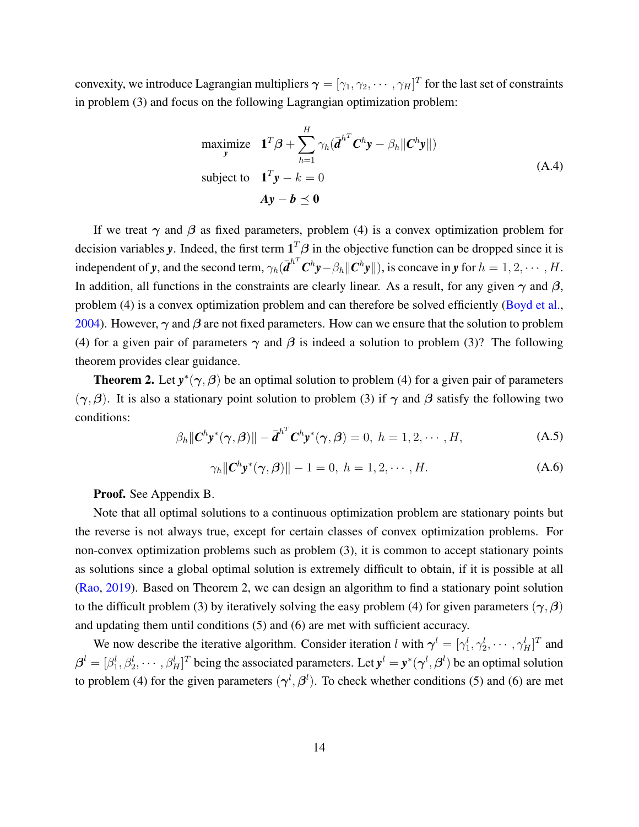convexity, we introduce Lagrangian multipliers  $\bm{\gamma}=[\gamma_1,\gamma_2,\cdots,\gamma_H]^T$  for the last set of constraints in problem (3) and focus on the following Lagrangian optimization problem:

maximize 
$$
\mathbf{1}^T \boldsymbol{\beta} + \sum_{h=1}^H \gamma_h (\mathbf{\vec{d}}^{h^T} \mathbf{C}^h \mathbf{y} - \beta_h ||\mathbf{C}^h \mathbf{y}||)
$$
  
\nsubject to  $\mathbf{1}^T \mathbf{y} - k = 0$   
\n $\mathbf{A} \mathbf{y} - \mathbf{b} \preceq \mathbf{0}$  (A.4)

If we treat  $\gamma$  and  $\beta$  as fixed parameters, problem (4) is a convex optimization problem for decision variables *y*. Indeed, the first term  $1^T\beta$  in the objective function can be dropped since it is independent of *y*, and the second term,  $\gamma_h(\overline{\boldsymbol{d}}^{h^T}\boldsymbol{C}^h\boldsymbol{y}-\beta_h\|\boldsymbol{C}^h\boldsymbol{y}\|)$ , is concave in *y* for  $h=1,2,\cdots,H$ . In addition, all functions in the constraints are clearly linear. As a result, for any given  $\gamma$  and  $\beta$ , problem (4) is a convex optimization problem and can therefore be solved efficiently [\(Boyd et al.,](#page-32-12) [2004\)](#page-32-12). However,  $\gamma$  and  $\beta$  are not fixed parameters. How can we ensure that the solution to problem (4) for a given pair of parameters  $\gamma$  and  $\beta$  is indeed a solution to problem (3)? The following theorem provides clear guidance.

**Theorem 2.** Let  $y^*(\gamma, \beta)$  be an optimal solution to problem (4) for a given pair of parameters  $(\gamma, \beta)$ . It is also a stationary point solution to problem (3) if  $\gamma$  and  $\beta$  satisfy the following two conditions:

$$
\beta_h \|\mathbf{C}^h \mathbf{y}^*(\boldsymbol{\gamma}, \boldsymbol{\beta})\| - \bar{\boldsymbol{d}}^{h^T} \mathbf{C}^h \mathbf{y}^*(\boldsymbol{\gamma}, \boldsymbol{\beta}) = 0, \ h = 1, 2, \cdots, H,
$$
 (A.5)

$$
\gamma_h \|\mathbf{C}^h \mathbf{y}^*(\boldsymbol{\gamma}, \boldsymbol{\beta})\| - 1 = 0, \ h = 1, 2, \cdots, H. \tag{A.6}
$$

Proof. See Appendix B.

Note that all optimal solutions to a continuous optimization problem are stationary points but the reverse is not always true, except for certain classes of convex optimization problems. For non-convex optimization problems such as problem (3), it is common to accept stationary points as solutions since a global optimal solution is extremely difficult to obtain, if it is possible at all [\(Rao,](#page-34-13) [2019\)](#page-34-13). Based on Theorem 2, we can design an algorithm to find a stationary point solution to the difficult problem (3) by iteratively solving the easy problem (4) for given parameters ( $\gamma$ ,  $\beta$ ) and updating them until conditions (5) and (6) are met with sufficient accuracy.

We now describe the iterative algorithm. Consider iteration l with  $\gamma^l = [\gamma_1^l, \gamma_2^l, \cdots, \gamma_H^l]^T$  and  $\beta^l = [\beta_1^l, \beta_2^l, \cdots, \beta_H^l]^T$  being the associated parameters. Let  $y^l = y^*(\gamma^l, \beta^l)$  be an optimal solution to problem (4) for the given parameters  $(\gamma^l, \beta^l)$ . To check whether conditions (5) and (6) are met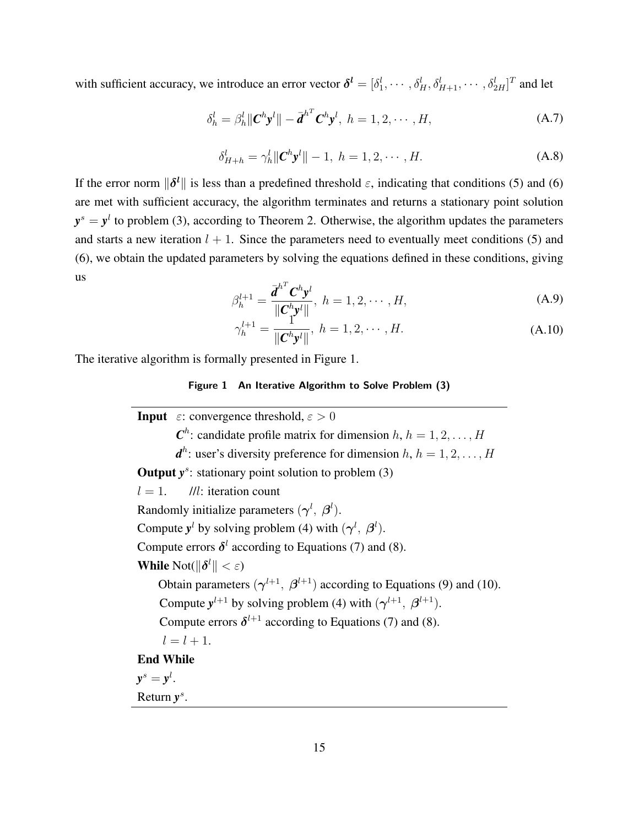with sufficient accuracy, we introduce an error vector  $\boldsymbol{\delta^l} = [\delta_1^l, \cdots, \delta_H^l, \delta_{H+1}^l, \cdots, \delta_{2H}^l]^T$  and let

$$
\delta_h^l = \beta_h^l \|\mathbf{C}^h \mathbf{y}^l\| - \overline{\mathbf{d}}^{h^T} \mathbf{C}^h \mathbf{y}^l, \ h = 1, 2, \cdots, H,
$$
 (A.7)

$$
\delta_{H+h}^l = \gamma_h^l \| \mathbf{C}^h \mathbf{y}^l \| - 1, \ h = 1, 2, \cdots, H.
$$
 (A.8)

If the error norm  $\|\delta^l\|$  is less than a predefined threshold  $\varepsilon$ , indicating that conditions (5) and (6) are met with sufficient accuracy, the algorithm terminates and returns a stationary point solution  $y^s = y^l$  to problem (3), according to Theorem 2. Otherwise, the algorithm updates the parameters and starts a new iteration  $l + 1$ . Since the parameters need to eventually meet conditions (5) and (6), we obtain the updated parameters by solving the equations defined in these conditions, giving us

$$
\beta_h^{l+1} = \frac{\overline{d}^{h^T} \mathbf{C}^h \mathbf{y}^l}{\|\mathbf{C}^h \mathbf{y}^l\|}, \ h = 1, 2, \cdots, H,
$$
\n(A.9)

$$
\gamma_h^{l+1} = \frac{\mathbf{1}^{\mathbf{0}^T} \mathbf{1}^{\mathbf{0}^H}}{\|\mathbf{C}^h \mathbf{y}^l\|}, \ h = 1, 2, \cdots, H. \tag{A.10}
$$

The iterative algorithm is formally presented in Figure 1.

#### **Figure 1 An Iterative Algorithm to Solve Problem (3)**

**Input**  $\varepsilon$ : convergence threshold,  $\varepsilon > 0$  $\mathbf{C}^h$ : candidate profile matrix for dimension  $h, h = 1, 2, \ldots, H$  $d^h$ : user's diversity preference for dimension  $h, h = 1, 2, \ldots, H$ **Output**  $y^s$ : stationary point solution to problem (3)  $l = 1$ . //l: iteration count Randomly initialize parameters  $(\gamma^l, \beta^l)$ . Compute  $y^l$  by solving problem (4) with  $(\gamma^l, \beta^l)$ . Compute errors  $\delta^l$  according to Equations (7) and (8). While  $\text{Not}(\|\boldsymbol{\delta}^l\| < \varepsilon)$ Obtain parameters  $(\gamma^{l+1}, \beta^{l+1})$  according to Equations (9) and (10). Compute  $y^{l+1}$  by solving problem (4) with  $(\gamma^{l+1}, \beta^{l+1})$ . Compute errors  $\delta^{l+1}$  according to Equations (7) and (8).  $l = l + 1.$ End While  $y^s = y^l$ . Return  $y^s$ .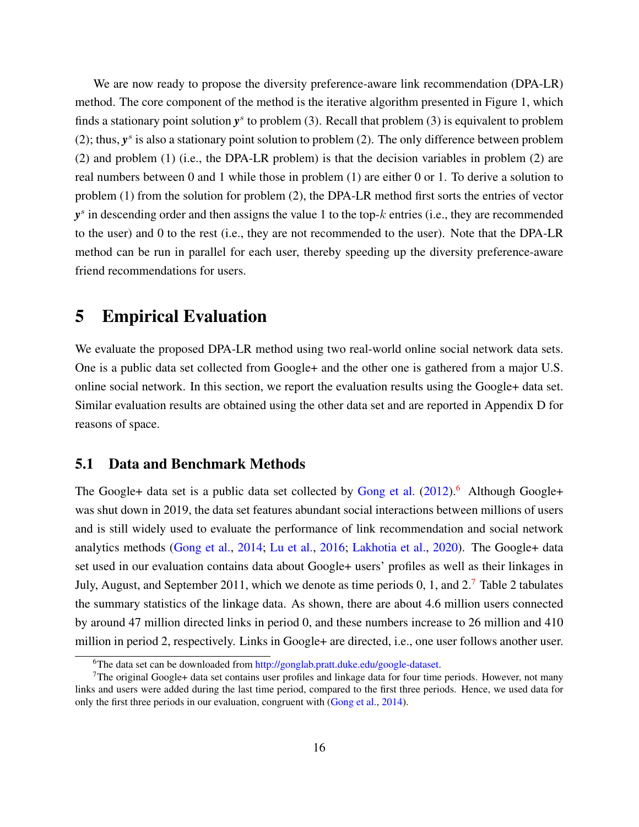We are now ready to propose the diversity preference-aware link recommendation (DPA-LR) method. The core component of the method is the iterative algorithm presented in Figure 1, which finds a stationary point solution  $y^s$  to problem (3). Recall that problem (3) is equivalent to problem (2); thus,  $y^s$  is also a stationary point solution to problem (2). The only difference between problem (2) and problem (1) (i.e., the DPA-LR problem) is that the decision variables in problem (2) are real numbers between 0 and 1 while those in problem (1) are either 0 or 1. To derive a solution to problem (1) from the solution for problem (2), the DPA-LR method first sorts the entries of vector *y* s in descending order and then assigns the value 1 to the top-k entries (i.e., they are recommended to the user) and 0 to the rest (i.e., they are not recommended to the user). Note that the DPA-LR method can be run in parallel for each user, thereby speeding up the diversity preference-aware friend recommendations for users.

# 5 Empirical Evaluation

We evaluate the proposed DPA-LR method using two real-world online social network data sets. One is a public data set collected from Google+ and the other one is gathered from a major U.S. online social network. In this section, we report the evaluation results using the Google+ data set. Similar evaluation results are obtained using the other data set and are reported in Appendix D for reasons of space.

#### 5.1 Data and Benchmark Methods

The Google+ data set is a public data set collected by [Gong et al.](#page-32-13)  $(2012)$ .<sup>[6](#page-0-0)</sup> Although Google+ was shut down in 2019, the data set features abundant social interactions between millions of users and is still widely used to evaluate the performance of link recommendation and social network analytics methods [\(Gong et al.,](#page-32-6) [2014;](#page-32-6) [Lu et al.,](#page-33-13) [2016;](#page-33-13) [Lakhotia et al.,](#page-33-14) [2020\)](#page-33-14). The Google+ data set used in our evaluation contains data about Google+ users' profiles as well as their linkages in July, August, and September 2011, which we denote as time periods 0, 1, and 2.[7](#page-0-0) Table 2 tabulates the summary statistics of the linkage data. As shown, there are about 4.6 million users connected by around 47 million directed links in period 0, and these numbers increase to 26 million and 410 million in period 2, respectively. Links in Google+ are directed, i.e., one user follows another user.

<sup>&</sup>lt;sup>6</sup>The data set can be downloaded from [http://gonglab.pratt.duke.edu/google-dataset.](http://gonglab.pratt.duke.edu/google-dataset)

<sup>&</sup>lt;sup>7</sup>The original Google+ data set contains user profiles and linkage data for four time periods. However, not many links and users were added during the last time period, compared to the first three periods. Hence, we used data for only the first three periods in our evaluation, congruent with [\(Gong et al.,](#page-32-6) [2014\)](#page-32-6).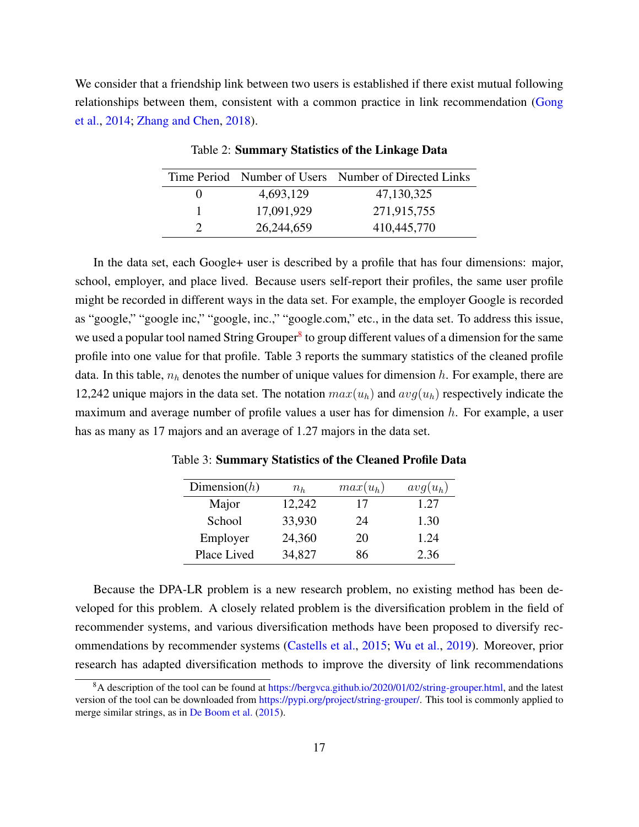We consider that a friendship link between two users is established if there exist mutual following relationships between them, consistent with a common practice in link recommendation [\(Gong](#page-32-6) [et al.,](#page-32-6) [2014;](#page-32-6) [Zhang and Chen,](#page-35-9) [2018\)](#page-35-9).

|                   |            | Time Period Number of Users Number of Directed Links |
|-------------------|------------|------------------------------------------------------|
| $\mathbf{\Omega}$ | 4,693,129  | 47,130,325                                           |
|                   | 17,091,929 | 271,915,755                                          |
|                   | 26,244,659 | 410,445,770                                          |

Table 2: Summary Statistics of the Linkage Data

In the data set, each Google+ user is described by a profile that has four dimensions: major, school, employer, and place lived. Because users self-report their profiles, the same user profile might be recorded in different ways in the data set. For example, the employer Google is recorded as "google," "google inc," "google, inc.," "google.com," etc., in the data set. To address this issue, we used a popular tool named String Grouper<sup>[8](#page-0-0)</sup> to group different values of a dimension for the same profile into one value for that profile. Table 3 reports the summary statistics of the cleaned profile data. In this table,  $n_h$  denotes the number of unique values for dimension h. For example, there are 12,242 unique majors in the data set. The notation  $max(u_h)$  and  $avg(u_h)$  respectively indicate the maximum and average number of profile values a user has for dimension  $h$ . For example, a user has as many as 17 majors and an average of 1.27 majors in the data set.

Table 3: Summary Statistics of the Cleaned Profile Data

| Dimension $(h)$ | $n_h$  | $max(u_h)$ | $avg(u_h)$ |
|-----------------|--------|------------|------------|
| Major           | 12,242 | 17         | 1.27       |
| School          | 33,930 | 24         | 1.30       |
| Employer        | 24,360 | 20         | 1.24       |
| Place Lived     | 34,827 | 86         | 2.36       |

Because the DPA-LR problem is a new research problem, no existing method has been developed for this problem. A closely related problem is the diversification problem in the field of recommender systems, and various diversification methods have been proposed to diversify recommendations by recommender systems [\(Castells et al.,](#page-32-7) [2015;](#page-32-7) [Wu et al.,](#page-35-4) [2019\)](#page-35-4). Moreover, prior research has adapted diversification methods to improve the diversity of link recommendations

 $8A$  description of the tool can be found at [https://bergvca.github.io/2020/01/02/string-grouper.html,](https://bergvca.github.io/2020/01/02/string-grouper.html) and the latest version of the tool can be downloaded from [https://pypi.org/project/string-grouper/.](https://pypi.org/project/string-grouper/) This tool is commonly applied to merge similar strings, as in [De Boom et al.](#page-32-14) [\(2015\)](#page-32-14).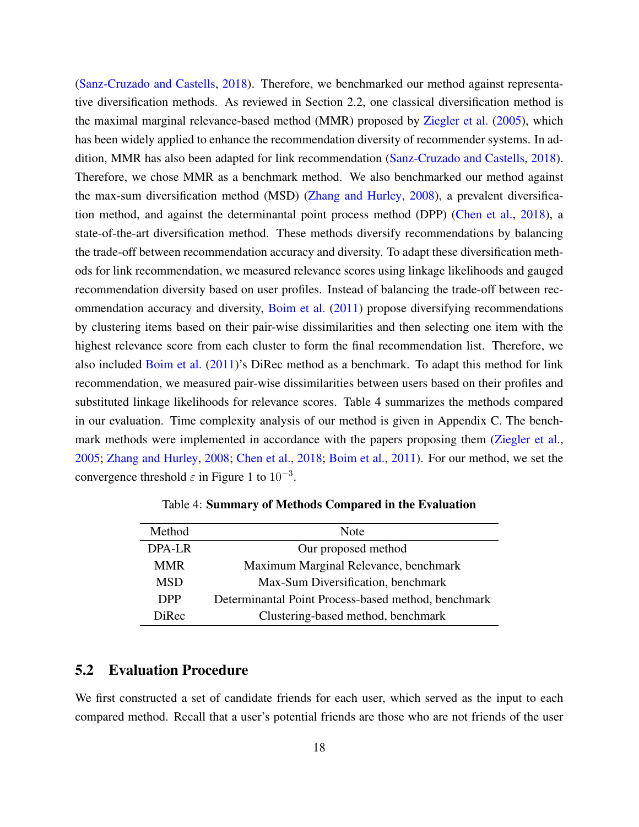[\(Sanz-Cruzado and Castells,](#page-34-14) [2018\)](#page-34-14). Therefore, we benchmarked our method against representative diversification methods. As reviewed in Section 2.2, one classical diversification method is the maximal marginal relevance-based method (MMR) proposed by [Ziegler et al.](#page-35-0) [\(2005\)](#page-35-0), which has been widely applied to enhance the recommendation diversity of recommender systems. In addition, MMR has also been adapted for link recommendation [\(Sanz-Cruzado and Castells,](#page-34-14) [2018\)](#page-34-14). Therefore, we chose MMR as a benchmark method. We also benchmarked our method against the max-sum diversification method (MSD) [\(Zhang and Hurley,](#page-35-6) [2008\)](#page-35-6), a prevalent diversification method, and against the determinantal point process method (DPP) [\(Chen et al.,](#page-32-5) [2018\)](#page-32-5), a state-of-the-art diversification method. These methods diversify recommendations by balancing the trade-off between recommendation accuracy and diversity. To adapt these diversification methods for link recommendation, we measured relevance scores using linkage likelihoods and gauged recommendation diversity based on user profiles. Instead of balancing the trade-off between recommendation accuracy and diversity, [Boim et al.](#page-32-4) [\(2011\)](#page-32-4) propose diversifying recommendations by clustering items based on their pair-wise dissimilarities and then selecting one item with the highest relevance score from each cluster to form the final recommendation list. Therefore, we also included [Boim et al.](#page-32-4) [\(2011\)](#page-32-4)'s DiRec method as a benchmark. To adapt this method for link recommendation, we measured pair-wise dissimilarities between users based on their profiles and substituted linkage likelihoods for relevance scores. Table 4 summarizes the methods compared in our evaluation. Time complexity analysis of our method is given in Appendix C. The bench-mark methods were implemented in accordance with the papers proposing them [\(Ziegler et al.,](#page-35-0) [2005;](#page-35-0) [Zhang and Hurley,](#page-35-6) [2008;](#page-35-6) [Chen et al.,](#page-32-5) [2018;](#page-32-5) [Boim et al.,](#page-32-4) [2011\)](#page-32-4). For our method, we set the convergence threshold  $\varepsilon$  in Figure 1 to  $10^{-3}$ .

| Method     | Note                                                |
|------------|-----------------------------------------------------|
|            |                                                     |
| DPA-LR     | Our proposed method                                 |
| <b>MMR</b> | Maximum Marginal Relevance, benchmark               |
| <b>MSD</b> | Max-Sum Diversification, benchmark                  |
| <b>DPP</b> | Determinantal Point Process-based method, benchmark |
| DiRec      | Clustering-based method, benchmark                  |

Table 4: Summary of Methods Compared in the Evaluation

## 5.2 Evaluation Procedure

We first constructed a set of candidate friends for each user, which served as the input to each compared method. Recall that a user's potential friends are those who are not friends of the user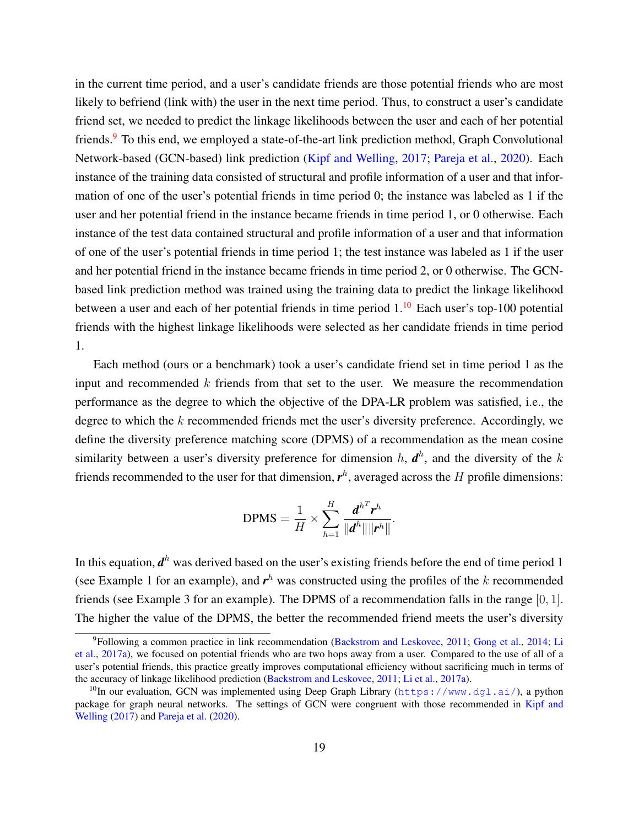in the current time period, and a user's candidate friends are those potential friends who are most likely to befriend (link with) the user in the next time period. Thus, to construct a user's candidate friend set, we needed to predict the linkage likelihoods between the user and each of her potential friends.[9](#page-0-0) To this end, we employed a state-of-the-art link prediction method, Graph Convolutional Network-based (GCN-based) link prediction [\(Kipf and Welling,](#page-33-9) [2017;](#page-33-9) [Pareja et al.,](#page-34-1) [2020\)](#page-34-1). Each instance of the training data consisted of structural and profile information of a user and that information of one of the user's potential friends in time period 0; the instance was labeled as 1 if the user and her potential friend in the instance became friends in time period 1, or 0 otherwise. Each instance of the test data contained structural and profile information of a user and that information of one of the user's potential friends in time period 1; the test instance was labeled as 1 if the user and her potential friend in the instance became friends in time period 2, or 0 otherwise. The GCNbased link prediction method was trained using the training data to predict the linkage likelihood between a user and each of her potential friends in time period  $1<sup>10</sup>$  $1<sup>10</sup>$  $1<sup>10</sup>$  Each user's top-100 potential friends with the highest linkage likelihoods were selected as her candidate friends in time period 1.

Each method (ours or a benchmark) took a user's candidate friend set in time period 1 as the input and recommended  $k$  friends from that set to the user. We measure the recommendation performance as the degree to which the objective of the DPA-LR problem was satisfied, i.e., the degree to which the  $k$  recommended friends met the user's diversity preference. Accordingly, we define the diversity preference matching score (DPMS) of a recommendation as the mean cosine similarity between a user's diversity preference for dimension  $h$ ,  $\boldsymbol{d}^h$ , and the diversity of the k friends recommended to the user for that dimension,  $r<sup>h</sup>$ , averaged across the H profile dimensions:

$$
\text{DPMS} = \frac{1}{H} \times \sum_{h=1}^{H} \frac{\boldsymbol{d}^{h^T} \boldsymbol{r}^h}{\|\boldsymbol{d}^h\| \|\boldsymbol{r}^h\|}
$$

.

In this equation,  $d^h$  was derived based on the user's existing friends before the end of time period 1 (see Example 1 for an example), and  $r<sup>h</sup>$  was constructed using the profiles of the k recommended friends (see Example 3 for an example). The DPMS of a recommendation falls in the range [0, 1]. The higher the value of the DPMS, the better the recommended friend meets the user's diversity

<sup>9</sup>Following a common practice in link recommendation [\(Backstrom and Leskovec,](#page-31-0) [2011;](#page-31-0) [Gong et al.,](#page-32-6) [2014;](#page-32-6) [Li](#page-33-2) [et al.,](#page-33-2) [2017a\)](#page-33-2), we focused on potential friends who are two hops away from a user. Compared to the use of all of a user's potential friends, this practice greatly improves computational efficiency without sacrificing much in terms of the accuracy of linkage likelihood prediction [\(Backstrom and Leskovec,](#page-31-0) [2011;](#page-31-0) [Li et al.,](#page-33-2) [2017a\)](#page-33-2).

<sup>&</sup>lt;sup>10</sup>In our evaluation, GCN was implemented using Deep Graph Library (<https://www.dgl.ai/>), a python package for graph neural networks. The settings of GCN were congruent with those recommended in [Kipf and](#page-33-9) [Welling](#page-33-9) [\(2017\)](#page-33-9) and [Pareja et al.](#page-34-1) [\(2020\)](#page-34-1).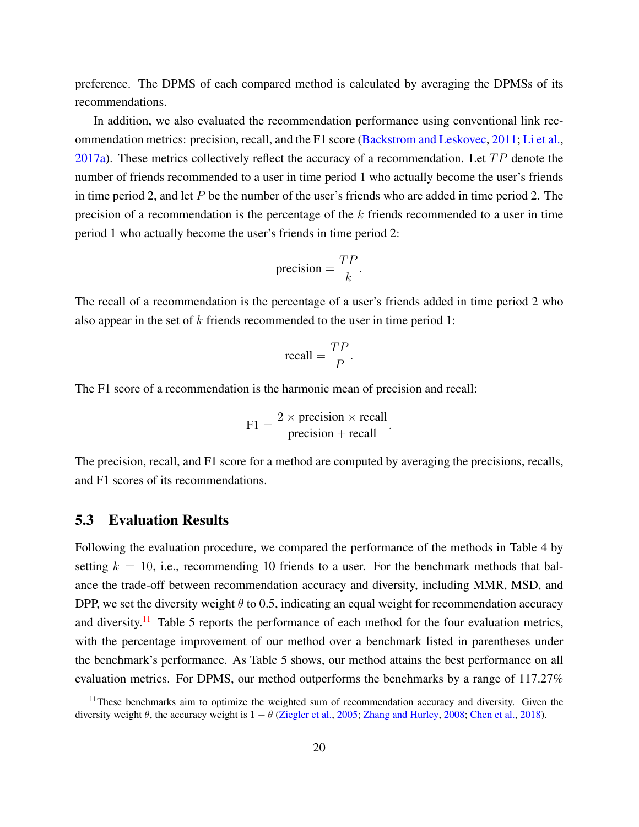preference. The DPMS of each compared method is calculated by averaging the DPMSs of its recommendations.

In addition, we also evaluated the recommendation performance using conventional link recommendation metrics: precision, recall, and the F1 score [\(Backstrom and Leskovec,](#page-31-0) [2011;](#page-31-0) [Li et al.,](#page-33-2) [2017a\)](#page-33-2). These metrics collectively reflect the accuracy of a recommendation. Let  $TP$  denote the number of friends recommended to a user in time period 1 who actually become the user's friends in time period 2, and let  $P$  be the number of the user's friends who are added in time period 2. The precision of a recommendation is the percentage of the  $k$  friends recommended to a user in time period 1 who actually become the user's friends in time period 2:

$$
precision = \frac{TP}{k}.
$$

The recall of a recommendation is the percentage of a user's friends added in time period 2 who also appear in the set of k friends recommended to the user in time period 1:

$$
\text{recall} = \frac{TP}{P}.
$$

The F1 score of a recommendation is the harmonic mean of precision and recall:

$$
F1 = \frac{2 \times \text{precision} \times \text{recall}}{\text{precision} + \text{recall}}.
$$

The precision, recall, and F1 score for a method are computed by averaging the precisions, recalls, and F1 scores of its recommendations.

### 5.3 Evaluation Results

Following the evaluation procedure, we compared the performance of the methods in Table 4 by setting  $k = 10$ , i.e., recommending 10 friends to a user. For the benchmark methods that balance the trade-off between recommendation accuracy and diversity, including MMR, MSD, and DPP, we set the diversity weight  $\theta$  to 0.5, indicating an equal weight for recommendation accuracy and diversity.<sup>[11](#page-0-0)</sup> Table 5 reports the performance of each method for the four evaluation metrics, with the percentage improvement of our method over a benchmark listed in parentheses under the benchmark's performance. As Table 5 shows, our method attains the best performance on all evaluation metrics. For DPMS, our method outperforms the benchmarks by a range of 117.27%

<sup>&</sup>lt;sup>11</sup>These benchmarks aim to optimize the weighted sum of recommendation accuracy and diversity. Given the diversity weight  $\theta$ , the accuracy weight is  $1 - \theta$  [\(Ziegler et al.,](#page-35-0) [2005;](#page-35-0) [Zhang and Hurley,](#page-35-6) [2008;](#page-35-6) [Chen et al.,](#page-32-5) [2018\)](#page-32-5).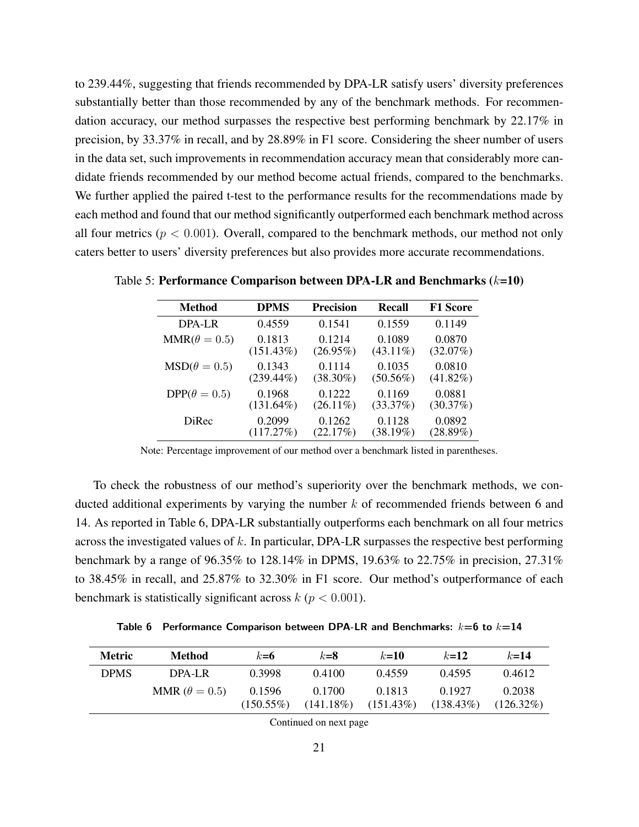to 239.44%, suggesting that friends recommended by DPA-LR satisfy users' diversity preferences substantially better than those recommended by any of the benchmark methods. For recommendation accuracy, our method surpasses the respective best performing benchmark by 22.17% in precision, by 33.37% in recall, and by 28.89% in F1 score. Considering the sheer number of users in the data set, such improvements in recommendation accuracy mean that considerably more candidate friends recommended by our method become actual friends, compared to the benchmarks. We further applied the paired t-test to the performance results for the recommendations made by each method and found that our method significantly outperformed each benchmark method across all four metrics ( $p < 0.001$ ). Overall, compared to the benchmark methods, our method not only caters better to users' diversity preferences but also provides more accurate recommendations.

| <b>Method</b>       | <b>DPMS</b>  | <b>Precision</b> | <b>Recall</b> | <b>F1 Score</b> |
|---------------------|--------------|------------------|---------------|-----------------|
| DPA-LR              | 0.4559       | 0.1541           | 0.1559        | 0.1149          |
| $MMR(\theta = 0.5)$ | 0.1813       | 0.1214           | 0.1089        | 0.0870          |
|                     | (151.43%)    | $(26.95\%)$      | $(43.11\%)$   | (32.07%)        |
| $MSD(\theta = 0.5)$ | 0.1343       | 0.1114           | 0.1035        | 0.0810          |
|                     | $(239.44\%)$ | $(38.30\%)$      | $(50.56\%)$   | $(41.82\%)$     |
| $DPP(\theta = 0.5)$ | 0.1968       | 0.1222           | 0.1169        | 0.0881          |
|                     | $(131.64\%)$ | $(26.11\%)$      | (33.37%)      | (30.37%)        |
| <b>DiRec</b>        | 0.2099       | 0.1262           | 0.1128        | 0.0892          |
|                     | (117.27%)    | (22.17%)         | (38.19%)      | $(28.89\%)$     |

Table 5: Performance Comparison between DPA-LR and Benchmarks  $(k=10)$ 

Note: Percentage improvement of our method over a benchmark listed in parentheses.

To check the robustness of our method's superiority over the benchmark methods, we conducted additional experiments by varying the number  $k$  of recommended friends between 6 and 14. As reported in Table 6, DPA-LR substantially outperforms each benchmark on all four metrics across the investigated values of k. In particular, DPA-LR surpasses the respective best performing benchmark by a range of 96.35% to 128.14% in DPMS, 19.63% to 22.75% in precision, 27.31% to 38.45% in recall, and 25.87% to 32.30% in F1 score. Our method's outperformance of each benchmark is statistically significant across  $k$  ( $p < 0.001$ ).

**Table 6 Performance Comparison between DPA-LR and Benchmarks:** k**=6 to** k**=14**

| <b>Metric</b> | Method               | $k=6$                  | $k = 8$                | $k=10$                 | $k = 12$               | $k = 14$               |
|---------------|----------------------|------------------------|------------------------|------------------------|------------------------|------------------------|
| <b>DPMS</b>   | DPA-LR               | 0.3998                 | 0.4100                 | 0.4559                 | 0.4595                 | 0.4612                 |
|               | MMR $(\theta = 0.5)$ | 0.1596<br>$(150.55\%)$ | 0.1700<br>$(141.18\%)$ | 0.1813<br>$(151.43\%)$ | 0.1927<br>$(138.43\%)$ | 0.2038<br>$(126.32\%)$ |

Continued on next page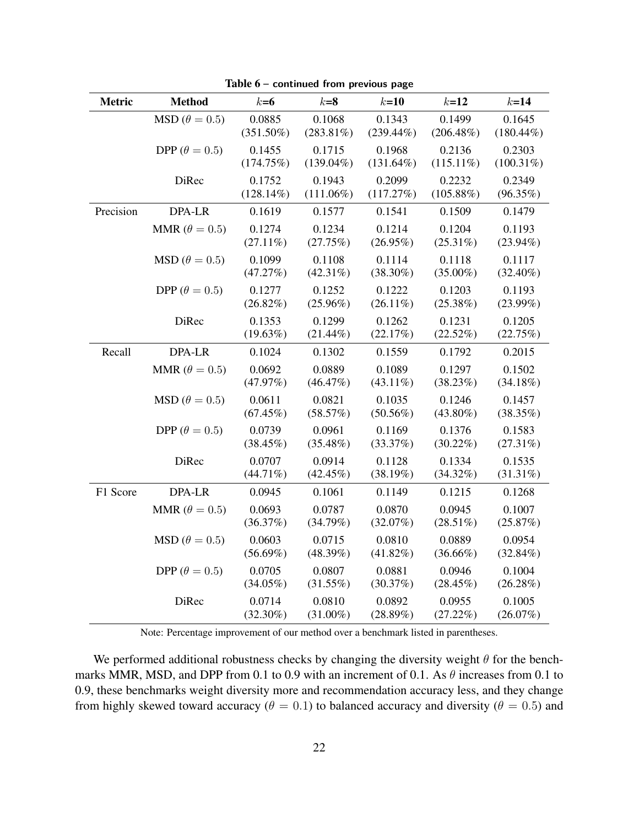| Metric    | <b>Method</b>              | $k=6$                  | $k=8$                  | $k=10$                 | $k=12$                 | $k=14$                 |
|-----------|----------------------------|------------------------|------------------------|------------------------|------------------------|------------------------|
|           | $\text{MSD}(\theta = 0.5)$ | 0.0885<br>$(351.50\%)$ | 0.1068<br>$(283.81\%)$ | 0.1343<br>$(239.44\%)$ | 0.1499<br>$(206.48\%)$ | 0.1645<br>$(180.44\%)$ |
|           | DPP ( $\theta = 0.5$ )     | 0.1455<br>(174.75%)    | 0.1715<br>$(139.04\%)$ | 0.1968<br>$(131.64\%)$ | 0.2136<br>$(115.11\%)$ | 0.2303<br>$(100.31\%)$ |
|           | <b>DiRec</b>               | 0.1752<br>$(128.14\%)$ | 0.1943<br>$(111.06\%)$ | 0.2099<br>(117.27%)    | 0.2232<br>$(105.88\%)$ | 0.2349<br>(96.35%)     |
| Precision | DPA-LR                     | 0.1619                 | 0.1577                 | 0.1541                 | 0.1509                 | 0.1479                 |
|           | MMR ( $\theta = 0.5$ )     | 0.1274<br>$(27.11\%)$  | 0.1234<br>(27.75%)     | 0.1214<br>$(26.95\%)$  | 0.1204<br>$(25.31\%)$  | 0.1193<br>$(23.94\%)$  |
|           | $\text{MSD}(\theta = 0.5)$ | 0.1099<br>(47.27%)     | 0.1108<br>$(42.31\%)$  | 0.1114<br>$(38.30\%)$  | 0.1118<br>$(35.00\%)$  | 0.1117<br>$(32.40\%)$  |
|           | DPP ( $\theta = 0.5$ )     | 0.1277<br>$(26.82\%)$  | 0.1252<br>$(25.96\%)$  | 0.1222<br>$(26.11\%)$  | 0.1203<br>(25.38%)     | 0.1193<br>$(23.99\%)$  |
|           | DiRec                      | 0.1353<br>$(19.63\%)$  | 0.1299<br>$(21.44\%)$  | 0.1262<br>(22.17%)     | 0.1231<br>(22.52%)     | 0.1205<br>(22.75%)     |
| Recall    | DPA-LR                     | 0.1024                 | 0.1302                 | 0.1559                 | 0.1792                 | 0.2015                 |
|           | MMR ( $\theta = 0.5$ )     | 0.0692<br>(47.97%)     | 0.0889<br>(46.47%)     | 0.1089<br>$(43.11\%)$  | 0.1297<br>(38.23%)     | 0.1502<br>$(34.18\%)$  |
|           | $\text{MSD}(\theta = 0.5)$ | 0.0611<br>$(67.45\%)$  | 0.0821<br>(58.57%)     | 0.1035<br>$(50.56\%)$  | 0.1246<br>$(43.80\%)$  | 0.1457<br>(38.35%)     |
|           | DPP ( $\theta = 0.5$ )     | 0.0739<br>$(38.45\%)$  | 0.0961<br>$(35.48\%)$  | 0.1169<br>(33.37%)     | 0.1376<br>$(30.22\%)$  | 0.1583<br>(27.31%)     |
|           | <b>DiRec</b>               | 0.0707<br>$(44.71\%)$  | 0.0914<br>$(42.45\%)$  | 0.1128<br>(38.19%)     | 0.1334<br>$(34.32\%)$  | 0.1535<br>$(31.31\%)$  |
| F1 Score  | DPA-LR                     | 0.0945                 | 0.1061                 | 0.1149                 | 0.1215                 | 0.1268                 |
|           | MMR ( $\theta = 0.5$ )     | 0.0693<br>(36.37%)     | 0.0787<br>(34.79%)     | 0.0870<br>(32.07%)     | 0.0945<br>$(28.51\%)$  | 0.1007<br>(25.87%)     |
|           | $\text{MSD}(\theta = 0.5)$ | 0.0603<br>$(56.69\%)$  | 0.0715<br>(48.39%)     | 0.0810<br>$(41.82\%)$  | 0.0889<br>$(36.66\%)$  | 0.0954<br>$(32.84\%)$  |
|           | DPP ( $\theta = 0.5$ )     | 0.0705<br>$(34.05\%)$  | 0.0807<br>(31.55%)     | 0.0881<br>(30.37%)     | 0.0946<br>(28.45%)     | 0.1004<br>(26.28%)     |
|           | DiRec                      | 0.0714<br>$(32.30\%)$  | 0.0810<br>$(31.00\%)$  | 0.0892<br>(28.89%)     | 0.0955<br>(27.22%)     | 0.1005<br>$(26.07\%)$  |

Table 6 **– continued from previous page**

Note: Percentage improvement of our method over a benchmark listed in parentheses.

We performed additional robustness checks by changing the diversity weight  $\theta$  for the benchmarks MMR, MSD, and DPP from 0.1 to 0.9 with an increment of 0.1. As  $\theta$  increases from 0.1 to 0.9, these benchmarks weight diversity more and recommendation accuracy less, and they change from highly skewed toward accuracy ( $\theta = 0.1$ ) to balanced accuracy and diversity ( $\theta = 0.5$ ) and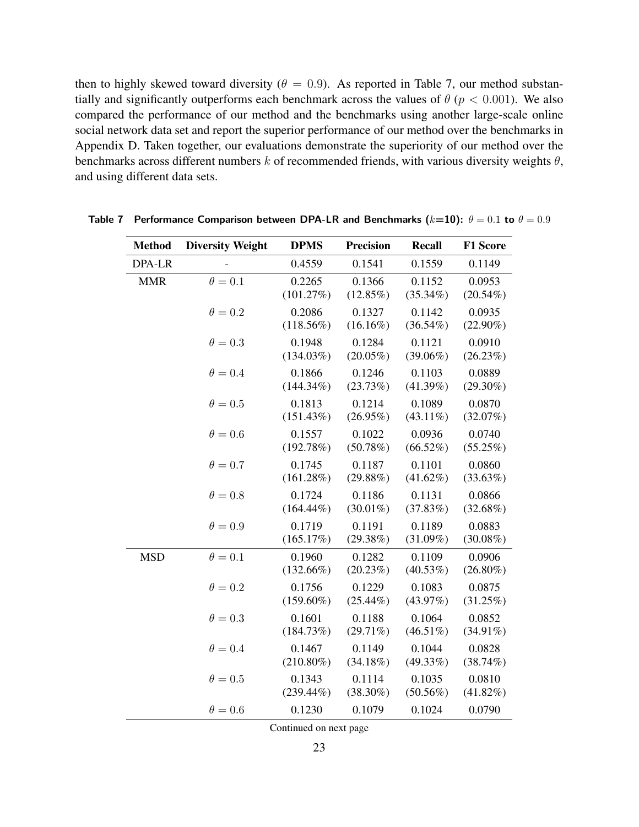then to highly skewed toward diversity ( $\theta = 0.9$ ). As reported in Table 7, our method substantially and significantly outperforms each benchmark across the values of  $\theta$  ( $p < 0.001$ ). We also compared the performance of our method and the benchmarks using another large-scale online social network data set and report the superior performance of our method over the benchmarks in Appendix D. Taken together, our evaluations demonstrate the superiority of our method over the benchmarks across different numbers  $k$  of recommended friends, with various diversity weights  $\theta$ , and using different data sets.

| <b>Method</b> | <b>Diversity Weight</b> | <b>DPMS</b>            | <b>Precision</b>      | <b>Recall</b>         | <b>F1 Score</b>       |
|---------------|-------------------------|------------------------|-----------------------|-----------------------|-----------------------|
| DPA-LR        |                         | 0.4559                 | 0.1541                | 0.1559                | 0.1149                |
| <b>MMR</b>    | $\theta = 0.1$          | 0.2265<br>(101.27%)    | 0.1366<br>$(12.85\%)$ | 0.1152<br>$(35.34\%)$ | 0.0953<br>$(20.54\%)$ |
|               | $\theta = 0.2$          | 0.2086<br>$(118.56\%)$ | 0.1327<br>$(16.16\%)$ | 0.1142<br>$(36.54\%)$ | 0.0935<br>$(22.90\%)$ |
|               | $\theta = 0.3$          | 0.1948<br>(134.03%)    | 0.1284<br>$(20.05\%)$ | 0.1121<br>$(39.06\%)$ | 0.0910<br>$(26.23\%)$ |
|               | $\theta = 0.4$          | 0.1866<br>$(144.34\%)$ | 0.1246<br>(23.73%)    | 0.1103<br>$(41.39\%)$ | 0.0889<br>$(29.30\%)$ |
|               | $\theta = 0.5$          | 0.1813<br>(151.43%)    | 0.1214<br>$(26.95\%)$ | 0.1089<br>$(43.11\%)$ | 0.0870<br>(32.07%)    |
|               | $\theta = 0.6$          | 0.1557<br>(192.78%)    | 0.1022<br>(50.78%)    | 0.0936<br>$(66.52\%)$ | 0.0740<br>$(55.25\%)$ |
|               | $\theta = 0.7$          | 0.1745<br>(161.28%)    | 0.1187<br>(29.88%)    | 0.1101<br>$(41.62\%)$ | 0.0860<br>(33.63%)    |
|               | $\theta = 0.8$          | 0.1724<br>$(164.44\%)$ | 0.1186<br>$(30.01\%)$ | 0.1131<br>(37.83%)    | 0.0866<br>$(32.68\%)$ |
|               | $\theta = 0.9$          | 0.1719<br>(165.17%)    | 0.1191<br>(29.38%)    | 0.1189<br>$(31.09\%)$ | 0.0883<br>$(30.08\%)$ |
| <b>MSD</b>    | $\theta = 0.1$          | 0.1960<br>$(132.66\%)$ | 0.1282<br>$(20.23\%)$ | 0.1109<br>$(40.53\%)$ | 0.0906<br>$(26.80\%)$ |
|               | $\theta = 0.2$          | 0.1756<br>$(159.60\%)$ | 0.1229<br>$(25.44\%)$ | 0.1083<br>(43.97%)    | 0.0875<br>$(31.25\%)$ |
|               | $\theta = 0.3$          | 0.1601<br>(184.73%)    | 0.1188<br>$(29.71\%)$ | 0.1064<br>$(46.51\%)$ | 0.0852<br>$(34.91\%)$ |
|               | $\theta = 0.4$          | 0.1467<br>$(210.80\%)$ | 0.1149<br>$(34.18\%)$ | 0.1044<br>$(49.33\%)$ | 0.0828<br>$(38.74\%)$ |
|               | $\theta = 0.5$          | 0.1343<br>$(239.44\%)$ | 0.1114<br>$(38.30\%)$ | 0.1035<br>$(50.56\%)$ | 0.0810<br>$(41.82\%)$ |
|               | $\theta = 0.6$          | 0.1230                 | 0.1079                | 0.1024                | 0.0790                |

**Table 7** Performance Comparison between DPA-LR and Benchmarks  $(k=10)$ :  $\theta = 0.1$  to  $\theta = 0.9$ 

Continued on next page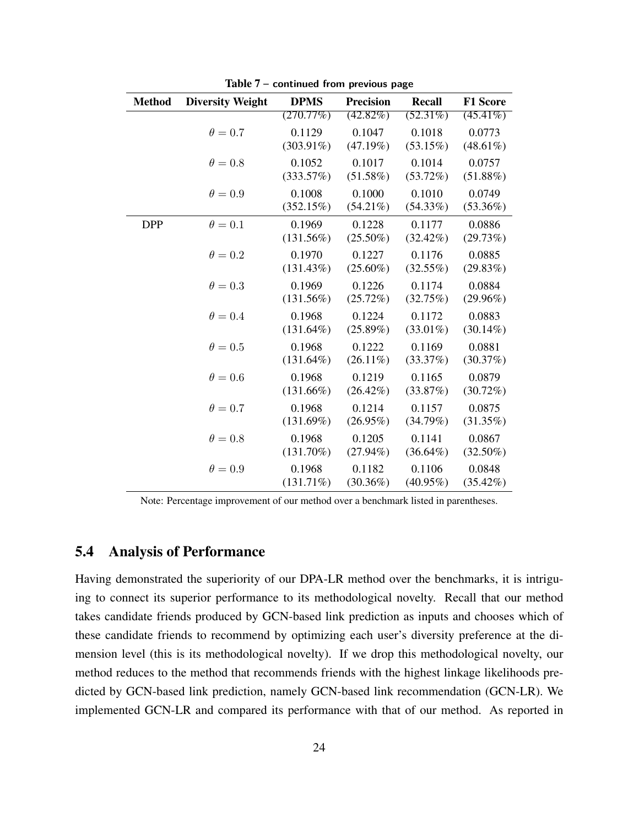| <b>Method</b> | <b>Diversity Weight</b> | <b>DPMS</b>  | <b>Precision</b> | <b>Recall</b> | <b>F1 Score</b> |
|---------------|-------------------------|--------------|------------------|---------------|-----------------|
|               |                         | (270.77%)    | $(42.82\%)$      | $(52.31\%)$   | $(45.41\%)$     |
|               | $\theta = 0.7$          | 0.1129       | 0.1047           | 0.1018        | 0.0773          |
|               |                         | $(303.91\%)$ | (47.19%)         | $(53.15\%)$   | $(48.61\%)$     |
|               | $\theta = 0.8$          | 0.1052       | 0.1017           | 0.1014        | 0.0757          |
|               |                         | (333.57%)    | $(51.58\%)$      | $(53.72\%)$   | $(51.88\%)$     |
|               | $\theta = 0.9$          | 0.1008       | 0.1000           | 0.1010        | 0.0749          |
|               |                         | (352.15%)    | $(54.21\%)$      | $(54.33\%)$   | $(53.36\%)$     |
| <b>DPP</b>    | $\theta = 0.1$          | 0.1969       | 0.1228           | 0.1177        | 0.0886          |
|               |                         | (131.56%)    | $(25.50\%)$      | $(32.42\%)$   | (29.73%)        |
|               | $\theta = 0.2$          | 0.1970       | 0.1227           | 0.1176        | 0.0885          |
|               |                         | (131.43%)    | $(25.60\%)$      | $(32.55\%)$   | (29.83%)        |
|               | $\theta = 0.3$          | 0.1969       | 0.1226           | 0.1174        | 0.0884          |
|               |                         | (131.56%)    | (25.72%)         | (32.75%)      | $(29.96\%)$     |
|               | $\theta = 0.4$          | 0.1968       | 0.1224           | 0.1172        | 0.0883          |
|               |                         | $(131.64\%)$ | $(25.89\%)$      | $(33.01\%)$   | $(30.14\%)$     |
|               | $\theta = 0.5$          | 0.1968       | 0.1222           | 0.1169        | 0.0881          |
|               |                         | $(131.64\%)$ | $(26.11\%)$      | (33.37%)      | (30.37%)        |
|               | $\theta = 0.6$          | 0.1968       | 0.1219           | 0.1165        | 0.0879          |
|               |                         | $(131.66\%)$ | $(26.42\%)$      | (33.87%)      | $(30.72\%)$     |
|               | $\theta = 0.7$          | 0.1968       | 0.1214           | 0.1157        | 0.0875          |
|               |                         | (131.69%)    | $(26.95\%)$      | (34.79%)      | $(31.35\%)$     |
|               | $\theta = 0.8$          | 0.1968       | 0.1205           | 0.1141        | 0.0867          |
|               |                         | $(131.70\%)$ | $(27.94\%)$      | $(36.64\%)$   | $(32.50\%)$     |
|               | $\theta = 0.9$          | 0.1968       | 0.1182           | 0.1106        | 0.0848          |
|               |                         | $(131.71\%)$ | $(30.36\%)$      | $(40.95\%)$   | $(35.42\%)$     |

Table 7 **– continued from previous page**

Note: Percentage improvement of our method over a benchmark listed in parentheses.

### 5.4 Analysis of Performance

Having demonstrated the superiority of our DPA-LR method over the benchmarks, it is intriguing to connect its superior performance to its methodological novelty. Recall that our method takes candidate friends produced by GCN-based link prediction as inputs and chooses which of these candidate friends to recommend by optimizing each user's diversity preference at the dimension level (this is its methodological novelty). If we drop this methodological novelty, our method reduces to the method that recommends friends with the highest linkage likelihoods predicted by GCN-based link prediction, namely GCN-based link recommendation (GCN-LR). We implemented GCN-LR and compared its performance with that of our method. As reported in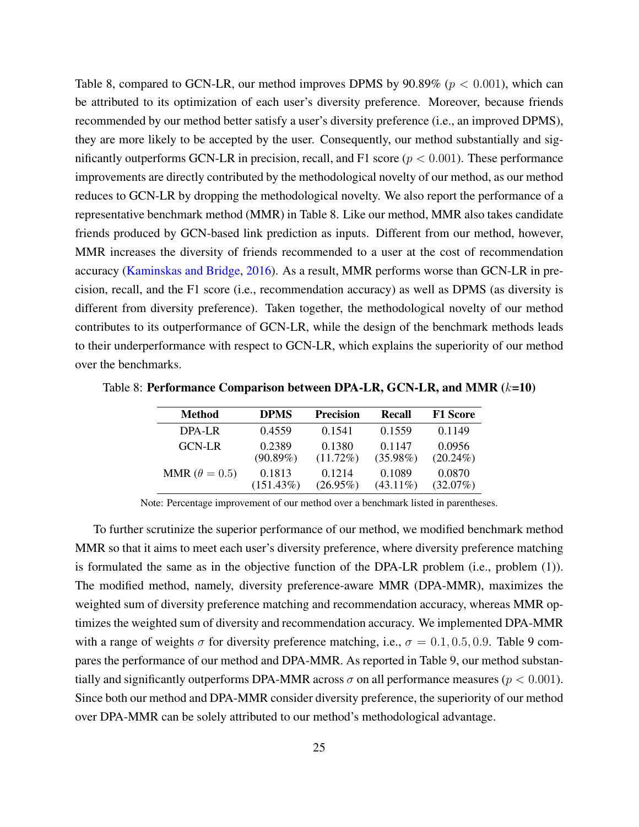Table 8, compared to GCN-LR, our method improves DPMS by  $90.89\%$  ( $p < 0.001$ ), which can be attributed to its optimization of each user's diversity preference. Moreover, because friends recommended by our method better satisfy a user's diversity preference (i.e., an improved DPMS), they are more likely to be accepted by the user. Consequently, our method substantially and significantly outperforms GCN-LR in precision, recall, and F1 score ( $p < 0.001$ ). These performance improvements are directly contributed by the methodological novelty of our method, as our method reduces to GCN-LR by dropping the methodological novelty. We also report the performance of a representative benchmark method (MMR) in Table 8. Like our method, MMR also takes candidate friends produced by GCN-based link prediction as inputs. Different from our method, however, MMR increases the diversity of friends recommended to a user at the cost of recommendation accuracy [\(Kaminskas and Bridge,](#page-33-10) [2016\)](#page-33-10). As a result, MMR performs worse than GCN-LR in precision, recall, and the F1 score (i.e., recommendation accuracy) as well as DPMS (as diversity is different from diversity preference). Taken together, the methodological novelty of our method contributes to its outperformance of GCN-LR, while the design of the benchmark methods leads to their underperformance with respect to GCN-LR, which explains the superiority of our method over the benchmarks.

| <b>Method</b>          | <b>DPMS</b>  | <b>Precision</b> | Recall      | <b>F1 Score</b> |
|------------------------|--------------|------------------|-------------|-----------------|
| DPA-LR                 | 0.4559       | 0.1541           | 0.1559      | 0.1149          |
| <b>GCN-LR</b>          | 0.2389       | 0.1380           | 0.1147      | 0.0956          |
|                        | $(90.89\%)$  | $(11.72\%)$      | $(35.98\%)$ | $(20.24\%)$     |
| MMR ( $\theta = 0.5$ ) | 0.1813       | 0.1214           | 0.1089      | 0.0870          |
|                        | $(151.43\%)$ | $(26.95\%)$      | $(43.11\%)$ | $(32.07\%)$     |

Table 8: Performance Comparison between DPA-LR, GCN-LR, and MMR  $(k=10)$ 

Note: Percentage improvement of our method over a benchmark listed in parentheses.

To further scrutinize the superior performance of our method, we modified benchmark method MMR so that it aims to meet each user's diversity preference, where diversity preference matching is formulated the same as in the objective function of the DPA-LR problem (i.e., problem (1)). The modified method, namely, diversity preference-aware MMR (DPA-MMR), maximizes the weighted sum of diversity preference matching and recommendation accuracy, whereas MMR optimizes the weighted sum of diversity and recommendation accuracy. We implemented DPA-MMR with a range of weights  $\sigma$  for diversity preference matching, i.e.,  $\sigma = 0.1, 0.5, 0.9$ . Table 9 compares the performance of our method and DPA-MMR. As reported in Table 9, our method substantially and significantly outperforms DPA-MMR across  $\sigma$  on all performance measures ( $p < 0.001$ ). Since both our method and DPA-MMR consider diversity preference, the superiority of our method over DPA-MMR can be solely attributed to our method's methodological advantage.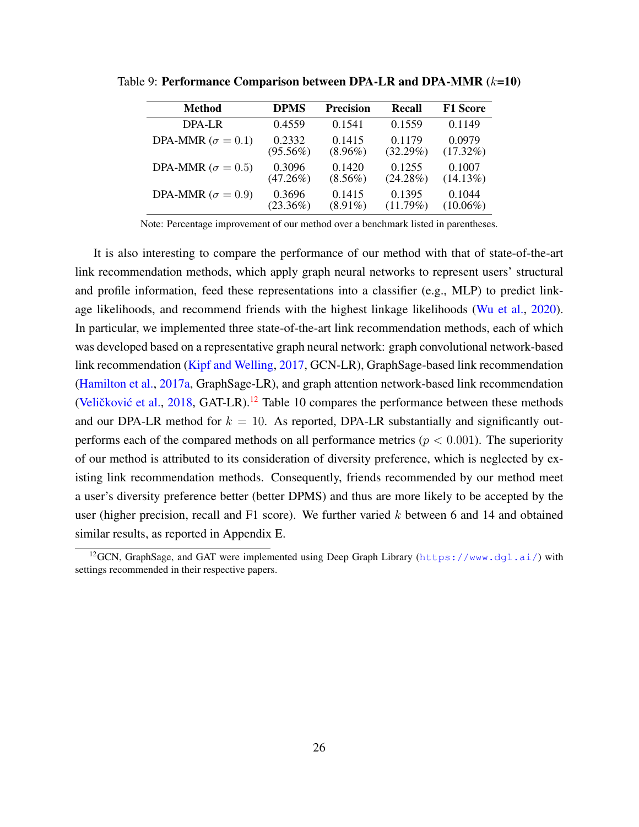| <b>Method</b>              | <b>DPMS</b> | <b>Precision</b> | <b>Recall</b> | <b>F1 Score</b> |
|----------------------------|-------------|------------------|---------------|-----------------|
| $DPA-I.R$                  | 0.4559      | 0.1541           | 0.1559        | 0.1149          |
| DPA-MMR ( $\sigma = 0.1$ ) | 0.2332      | 0.1415           | 0.1179        | 0.0979          |
|                            | $(95.56\%)$ | $(8.96\%)$       | $(32.29\%)$   | $(17.32\%)$     |
| DPA-MMR ( $\sigma = 0.5$ ) | 0.3096      | 0.1420           | 0.1255        | 0.1007          |
|                            | $(47.26\%)$ | $(8.56\%)$       | $(24.28\%)$   | $(14.13\%)$     |
| DPA-MMR ( $\sigma = 0.9$ ) | 0.3696      | 0.1415           | 0.1395        | 0.1044          |
|                            | $(23.36\%)$ | $(8.91\%)$       | (11.79%)      | $(10.06\%)$     |

Table 9: Performance Comparison between DPA-LR and DPA-MMR  $(k=10)$ 

Note: Percentage improvement of our method over a benchmark listed in parentheses.

It is also interesting to compare the performance of our method with that of state-of-the-art link recommendation methods, which apply graph neural networks to represent users' structural and profile information, feed these representations into a classifier (e.g., MLP) to predict linkage likelihoods, and recommend friends with the highest linkage likelihoods [\(Wu et al.,](#page-35-3) [2020\)](#page-35-3). In particular, we implemented three state-of-the-art link recommendation methods, each of which was developed based on a representative graph neural network: graph convolutional network-based link recommendation [\(Kipf and Welling,](#page-33-9) [2017,](#page-33-9) GCN-LR), GraphSage-based link recommendation [\(Hamilton et al.,](#page-33-15) [2017a,](#page-33-15) GraphSage-LR), and graph attention network-based link recommendation (Veličković et al., [2018,](#page-34-7) GAT-LR).<sup>[12](#page-0-0)</sup> Table 10 compares the performance between these methods and our DPA-LR method for  $k = 10$ . As reported, DPA-LR substantially and significantly outperforms each of the compared methods on all performance metrics ( $p < 0.001$ ). The superiority of our method is attributed to its consideration of diversity preference, which is neglected by existing link recommendation methods. Consequently, friends recommended by our method meet a user's diversity preference better (better DPMS) and thus are more likely to be accepted by the user (higher precision, recall and  $F1$  score). We further varied k between 6 and 14 and obtained similar results, as reported in Appendix E.

<sup>&</sup>lt;sup>12</sup>GCN, GraphSage, and GAT were implemented using Deep Graph Library (<https://www.dgl.ai/>) with settings recommended in their respective papers.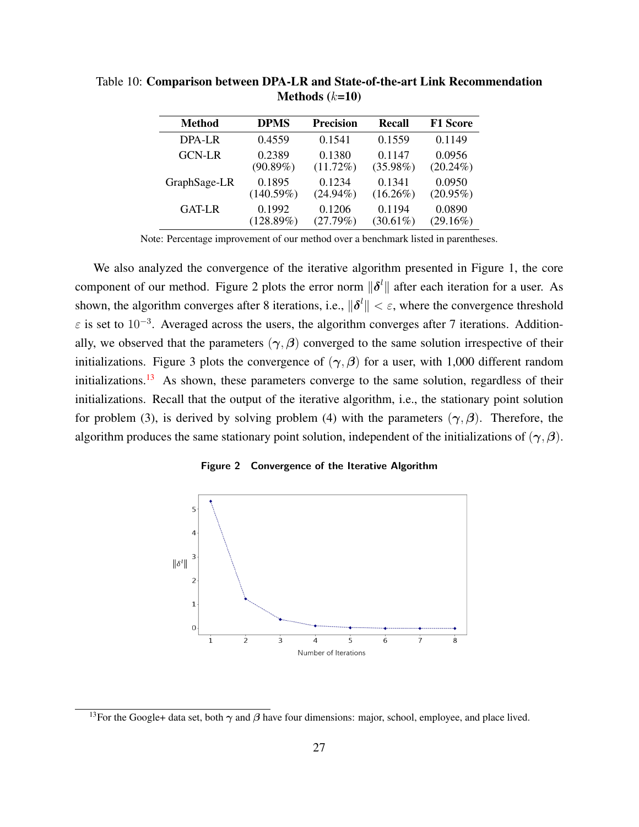| <b>Method</b> | <b>DPMS</b> | <b>Precision</b> | <b>Recall</b> | <b>F1 Score</b> |
|---------------|-------------|------------------|---------------|-----------------|
| $DPA-I.R$     | 0.4559      | 0.1541           | 0.1559        | 0.1149          |
| <b>GCN-LR</b> | 0.2389      | 0.1380           | 0.1147        | 0.0956          |
|               | $(90.89\%)$ | $(11.72\%)$      | $(35.98\%)$   | $(20.24\%)$     |
| GraphSage-LR  | 0.1895      | 0.1234           | 0.1341        | 0.0950          |
|               | (140.59%)   | $(24.94\%)$      | $(16.26\%)$   | $(20.95\%)$     |
| <b>GAT-LR</b> | 0.1992      | 0.1206           | 0.1194        | 0.0890          |
|               | (128.89%)   | (27.79%)         | $(30.61\%)$   | $(29.16\%)$     |

Table 10: Comparison between DPA-LR and State-of-the-art Link Recommendation Methods  $(k=10)$ 

Note: Percentage improvement of our method over a benchmark listed in parentheses.

We also analyzed the convergence of the iterative algorithm presented in Figure 1, the core component of our method. Figure 2 plots the error norm  $\|\boldsymbol{\delta}^l\|$  after each iteration for a user. As shown, the algorithm converges after 8 iterations, i.e.,  $\|\delta^l\| < \varepsilon$ , where the convergence threshold  $\varepsilon$  is set to 10<sup>-3</sup>. Averaged across the users, the algorithm converges after 7 iterations. Additionally, we observed that the parameters  $(\gamma, \beta)$  converged to the same solution irrespective of their initializations. Figure 3 plots the convergence of  $(\gamma, \beta)$  for a user, with 1,000 different random initializations.<sup>[13](#page-0-0)</sup> As shown, these parameters converge to the same solution, regardless of their initializations. Recall that the output of the iterative algorithm, i.e., the stationary point solution for problem (3), is derived by solving problem (4) with the parameters  $(\gamma, \beta)$ . Therefore, the algorithm produces the same stationary point solution, independent of the initializations of  $(\gamma, \beta)$ .





<sup>&</sup>lt;sup>13</sup>For the Google+ data set, both  $\gamma$  and  $\beta$  have four dimensions: major, school, employee, and place lived.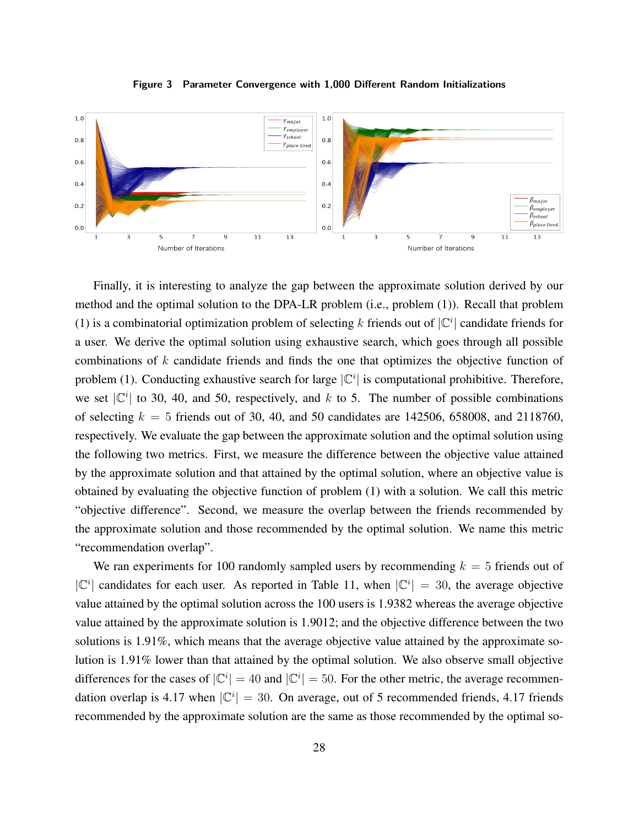

**Figure 3 Parameter Convergence with 1,000 Different Random Initializations**

Finally, it is interesting to analyze the gap between the approximate solution derived by our method and the optimal solution to the DPA-LR problem (i.e., problem (1)). Recall that problem (1) is a combinatorial optimization problem of selecting k friends out of  $|C^i|$  candidate friends for a user. We derive the optimal solution using exhaustive search, which goes through all possible combinations of k candidate friends and finds the one that optimizes the objective function of problem (1). Conducting exhaustive search for large  $|\mathbb{C}^i|$  is computational prohibitive. Therefore, we set  $|\mathbb{C}^i|$  to 30, 40, and 50, respectively, and k to 5. The number of possible combinations of selecting  $k = 5$  friends out of 30, 40, and 50 candidates are 142506, 658008, and 2118760, respectively. We evaluate the gap between the approximate solution and the optimal solution using the following two metrics. First, we measure the difference between the objective value attained by the approximate solution and that attained by the optimal solution, where an objective value is obtained by evaluating the objective function of problem (1) with a solution. We call this metric "objective difference". Second, we measure the overlap between the friends recommended by the approximate solution and those recommended by the optimal solution. We name this metric "recommendation overlap".

We ran experiments for 100 randomly sampled users by recommending  $k = 5$  friends out of  $|C^i|$  candidates for each user. As reported in Table 11, when  $|C^i| = 30$ , the average objective value attained by the optimal solution across the 100 users is 1.9382 whereas the average objective value attained by the approximate solution is 1.9012; and the objective difference between the two solutions is 1.91%, which means that the average objective value attained by the approximate solution is 1.91% lower than that attained by the optimal solution. We also observe small objective differences for the cases of  $|\mathbb{C}^i| = 40$  and  $|\mathbb{C}^i| = 50$ . For the other metric, the average recommendation overlap is 4.17 when  $|\mathbb{C}^i| = 30$ . On average, out of 5 recommended friends, 4.17 friends recommended by the approximate solution are the same as those recommended by the optimal so-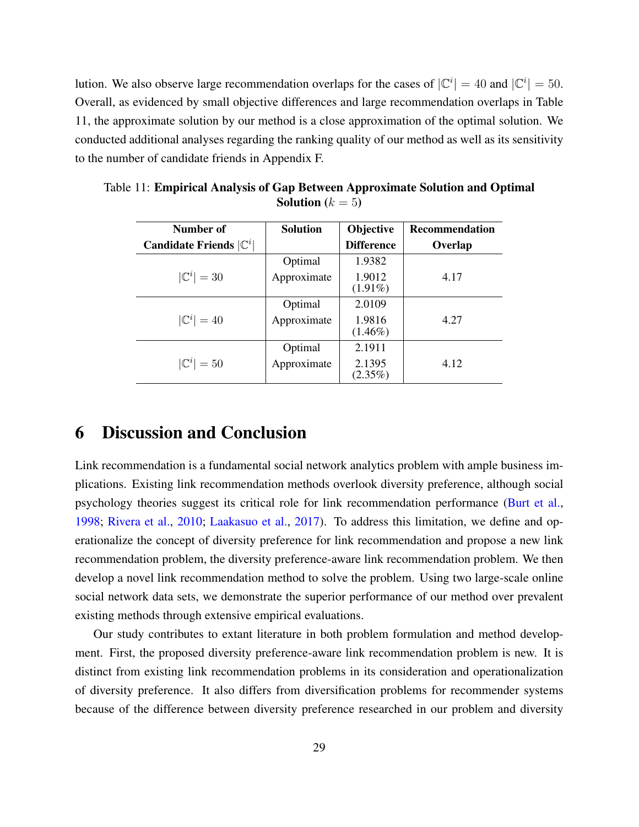lution. We also observe large recommendation overlaps for the cases of  $|\mathbb{C}^i| = 40$  and  $|\mathbb{C}^i| = 50$ . Overall, as evidenced by small objective differences and large recommendation overlaps in Table 11, the approximate solution by our method is a close approximation of the optimal solution. We conducted additional analyses regarding the ranking quality of our method as well as its sensitivity to the number of candidate friends in Appendix F.

| Number of                                 | <b>Solution</b> | <b>Objective</b>     | <b>Recommendation</b> |
|-------------------------------------------|-----------------|----------------------|-----------------------|
| <b>Candidate Friends</b> $ \mathbb{C}^i $ |                 | <b>Difference</b>    | Overlap               |
|                                           | Optimal         | 1.9382               |                       |
| $ \mathbb{C}^i =30$                       | Approximate     | 1.9012<br>$(1.91\%)$ | 4.17                  |
|                                           | Optimal         | 2.0109               |                       |
| $ \mathbb{C}^i =40$                       | Approximate     | 1.9816<br>$(1.46\%)$ | 4.27                  |
|                                           | Optimal         | 2.1911               |                       |
| $ \mathbb{C}^i =50$                       | Approximate     | 2.1395<br>$(2.35\%)$ | 4.12                  |

Table 11: Empirical Analysis of Gap Between Approximate Solution and Optimal **Solution** ( $k = 5$ )

## 6 Discussion and Conclusion

Link recommendation is a fundamental social network analytics problem with ample business implications. Existing link recommendation methods overlook diversity preference, although social psychology theories suggest its critical role for link recommendation performance [\(Burt et al.,](#page-32-3) [1998;](#page-32-3) [Rivera et al.,](#page-34-2) [2010;](#page-34-2) [Laakasuo et al.,](#page-33-6) [2017\)](#page-33-6). To address this limitation, we define and operationalize the concept of diversity preference for link recommendation and propose a new link recommendation problem, the diversity preference-aware link recommendation problem. We then develop a novel link recommendation method to solve the problem. Using two large-scale online social network data sets, we demonstrate the superior performance of our method over prevalent existing methods through extensive empirical evaluations.

Our study contributes to extant literature in both problem formulation and method development. First, the proposed diversity preference-aware link recommendation problem is new. It is distinct from existing link recommendation problems in its consideration and operationalization of diversity preference. It also differs from diversification problems for recommender systems because of the difference between diversity preference researched in our problem and diversity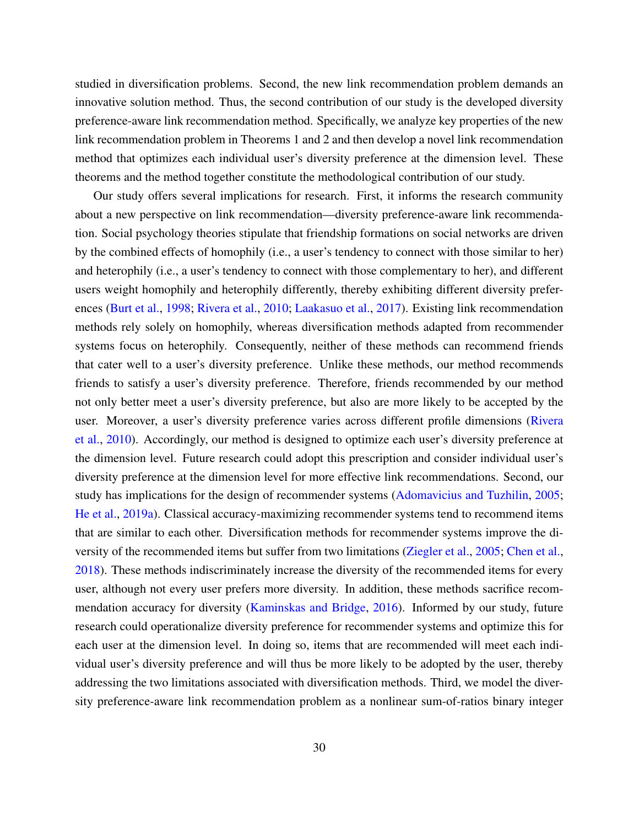studied in diversification problems. Second, the new link recommendation problem demands an innovative solution method. Thus, the second contribution of our study is the developed diversity preference-aware link recommendation method. Specifically, we analyze key properties of the new link recommendation problem in Theorems 1 and 2 and then develop a novel link recommendation method that optimizes each individual user's diversity preference at the dimension level. These theorems and the method together constitute the methodological contribution of our study.

Our study offers several implications for research. First, it informs the research community about a new perspective on link recommendation—diversity preference-aware link recommendation. Social psychology theories stipulate that friendship formations on social networks are driven by the combined effects of homophily (i.e., a user's tendency to connect with those similar to her) and heterophily (i.e., a user's tendency to connect with those complementary to her), and different users weight homophily and heterophily differently, thereby exhibiting different diversity preferences [\(Burt et al.,](#page-32-3) [1998;](#page-32-3) [Rivera et al.,](#page-34-2) [2010;](#page-34-2) [Laakasuo et al.,](#page-33-6) [2017\)](#page-33-6). Existing link recommendation methods rely solely on homophily, whereas diversification methods adapted from recommender systems focus on heterophily. Consequently, neither of these methods can recommend friends that cater well to a user's diversity preference. Unlike these methods, our method recommends friends to satisfy a user's diversity preference. Therefore, friends recommended by our method not only better meet a user's diversity preference, but also are more likely to be accepted by the user. Moreover, a user's diversity preference varies across different profile dimensions [\(Rivera](#page-34-2) [et al.,](#page-34-2) [2010\)](#page-34-2). Accordingly, our method is designed to optimize each user's diversity preference at the dimension level. Future research could adopt this prescription and consider individual user's diversity preference at the dimension level for more effective link recommendations. Second, our study has implications for the design of recommender systems [\(Adomavicius and Tuzhilin,](#page-31-2) [2005;](#page-31-2) [He et al.,](#page-33-16) [2019a\)](#page-33-16). Classical accuracy-maximizing recommender systems tend to recommend items that are similar to each other. Diversification methods for recommender systems improve the diversity of the recommended items but suffer from two limitations [\(Ziegler et al.,](#page-35-0) [2005;](#page-35-0) [Chen et al.,](#page-32-5) [2018\)](#page-32-5). These methods indiscriminately increase the diversity of the recommended items for every user, although not every user prefers more diversity. In addition, these methods sacrifice recommendation accuracy for diversity [\(Kaminskas and Bridge,](#page-33-10) [2016\)](#page-33-10). Informed by our study, future research could operationalize diversity preference for recommender systems and optimize this for each user at the dimension level. In doing so, items that are recommended will meet each individual user's diversity preference and will thus be more likely to be adopted by the user, thereby addressing the two limitations associated with diversification methods. Third, we model the diversity preference-aware link recommendation problem as a nonlinear sum-of-ratios binary integer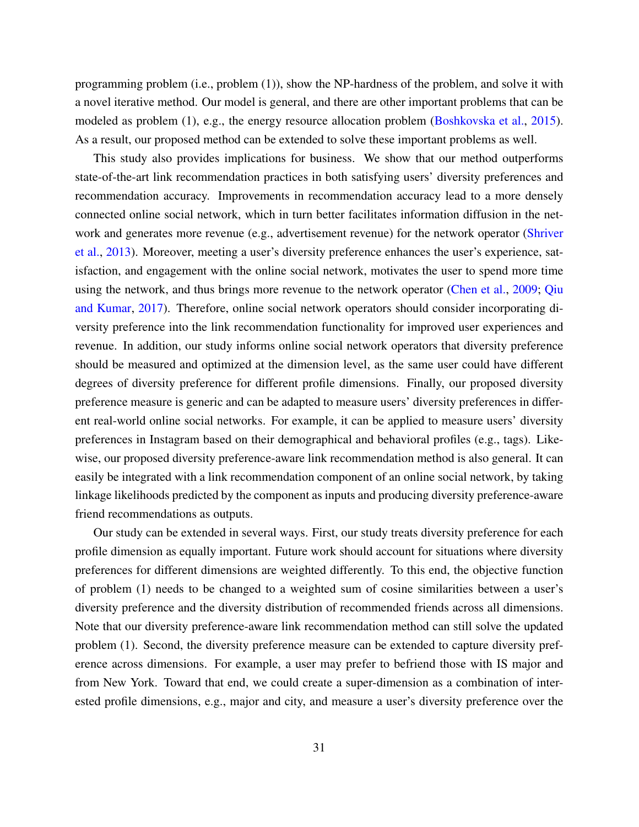programming problem (i.e., problem (1)), show the NP-hardness of the problem, and solve it with a novel iterative method. Our model is general, and there are other important problems that can be modeled as problem (1), e.g., the energy resource allocation problem [\(Boshkovska et al.,](#page-32-15) [2015\)](#page-32-15). As a result, our proposed method can be extended to solve these important problems as well.

This study also provides implications for business. We show that our method outperforms state-of-the-art link recommendation practices in both satisfying users' diversity preferences and recommendation accuracy. Improvements in recommendation accuracy lead to a more densely connected online social network, which in turn better facilitates information diffusion in the network and generates more revenue (e.g., advertisement revenue) for the network operator [\(Shriver](#page-34-0) [et al.,](#page-34-0) [2013\)](#page-34-0). Moreover, meeting a user's diversity preference enhances the user's experience, satisfaction, and engagement with the online social network, motivates the user to spend more time using the network, and thus brings more revenue to the network operator [\(Chen et al.,](#page-32-16) [2009;](#page-32-16) [Qiu](#page-34-15) [and Kumar,](#page-34-15) [2017\)](#page-34-15). Therefore, online social network operators should consider incorporating diversity preference into the link recommendation functionality for improved user experiences and revenue. In addition, our study informs online social network operators that diversity preference should be measured and optimized at the dimension level, as the same user could have different degrees of diversity preference for different profile dimensions. Finally, our proposed diversity preference measure is generic and can be adapted to measure users' diversity preferences in different real-world online social networks. For example, it can be applied to measure users' diversity preferences in Instagram based on their demographical and behavioral profiles (e.g., tags). Likewise, our proposed diversity preference-aware link recommendation method is also general. It can easily be integrated with a link recommendation component of an online social network, by taking linkage likelihoods predicted by the component as inputs and producing diversity preference-aware friend recommendations as outputs.

Our study can be extended in several ways. First, our study treats diversity preference for each profile dimension as equally important. Future work should account for situations where diversity preferences for different dimensions are weighted differently. To this end, the objective function of problem (1) needs to be changed to a weighted sum of cosine similarities between a user's diversity preference and the diversity distribution of recommended friends across all dimensions. Note that our diversity preference-aware link recommendation method can still solve the updated problem (1). Second, the diversity preference measure can be extended to capture diversity preference across dimensions. For example, a user may prefer to befriend those with IS major and from New York. Toward that end, we could create a super-dimension as a combination of interested profile dimensions, e.g., major and city, and measure a user's diversity preference over the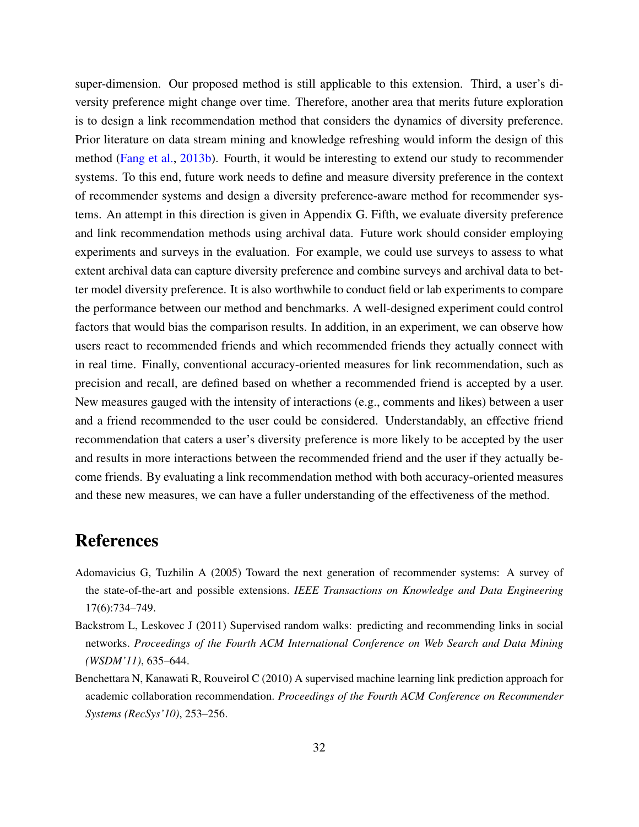super-dimension. Our proposed method is still applicable to this extension. Third, a user's diversity preference might change over time. Therefore, another area that merits future exploration is to design a link recommendation method that considers the dynamics of diversity preference. Prior literature on data stream mining and knowledge refreshing would inform the design of this method [\(Fang et al.,](#page-32-17) [2013b\)](#page-32-17). Fourth, it would be interesting to extend our study to recommender systems. To this end, future work needs to define and measure diversity preference in the context of recommender systems and design a diversity preference-aware method for recommender systems. An attempt in this direction is given in Appendix G. Fifth, we evaluate diversity preference and link recommendation methods using archival data. Future work should consider employing experiments and surveys in the evaluation. For example, we could use surveys to assess to what extent archival data can capture diversity preference and combine surveys and archival data to better model diversity preference. It is also worthwhile to conduct field or lab experiments to compare the performance between our method and benchmarks. A well-designed experiment could control factors that would bias the comparison results. In addition, in an experiment, we can observe how users react to recommended friends and which recommended friends they actually connect with in real time. Finally, conventional accuracy-oriented measures for link recommendation, such as precision and recall, are defined based on whether a recommended friend is accepted by a user. New measures gauged with the intensity of interactions (e.g., comments and likes) between a user and a friend recommended to the user could be considered. Understandably, an effective friend recommendation that caters a user's diversity preference is more likely to be accepted by the user and results in more interactions between the recommended friend and the user if they actually become friends. By evaluating a link recommendation method with both accuracy-oriented measures and these new measures, we can have a fuller understanding of the effectiveness of the method.

# References

- <span id="page-31-2"></span>Adomavicius G, Tuzhilin A (2005) Toward the next generation of recommender systems: A survey of the state-of-the-art and possible extensions. *IEEE Transactions on Knowledge and Data Engineering* 17(6):734–749.
- <span id="page-31-0"></span>Backstrom L, Leskovec J (2011) Supervised random walks: predicting and recommending links in social networks. *Proceedings of the Fourth ACM International Conference on Web Search and Data Mining (WSDM'11)*, 635–644.
- <span id="page-31-1"></span>Benchettara N, Kanawati R, Rouveirol C (2010) A supervised machine learning link prediction approach for academic collaboration recommendation. *Proceedings of the Fourth ACM Conference on Recommender Systems (RecSys'10)*, 253–256.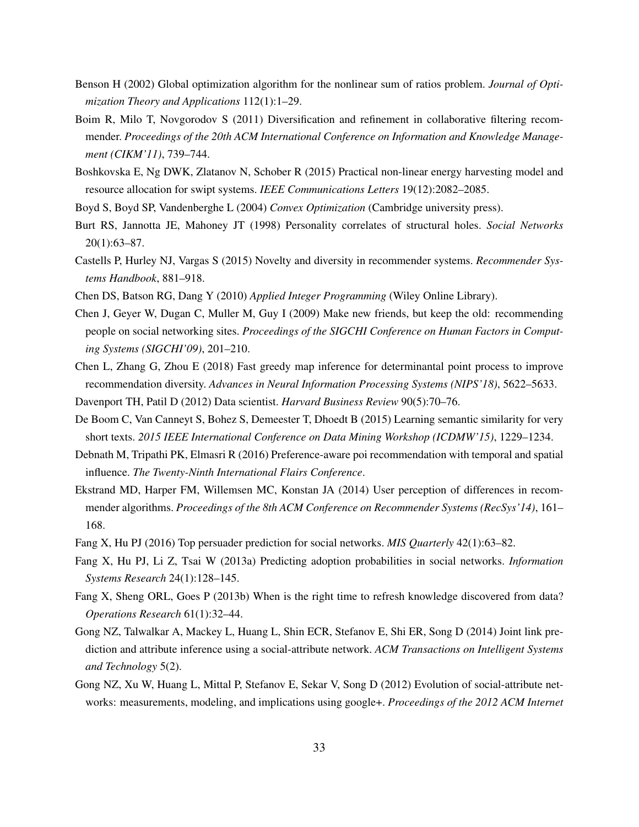- <span id="page-32-11"></span>Benson H (2002) Global optimization algorithm for the nonlinear sum of ratios problem. *Journal of Optimization Theory and Applications* 112(1):1–29.
- <span id="page-32-4"></span>Boim R, Milo T, Novgorodov S (2011) Diversification and refinement in collaborative filtering recommender. *Proceedings of the 20th ACM International Conference on Information and Knowledge Management (CIKM'11)*, 739–744.
- <span id="page-32-15"></span>Boshkovska E, Ng DWK, Zlatanov N, Schober R (2015) Practical non-linear energy harvesting model and resource allocation for swipt systems. *IEEE Communications Letters* 19(12):2082–2085.
- <span id="page-32-12"></span><span id="page-32-3"></span>Boyd S, Boyd SP, Vandenberghe L (2004) *Convex Optimization* (Cambridge university press).
- Burt RS, Jannotta JE, Mahoney JT (1998) Personality correlates of structural holes. *Social Networks* 20(1):63–87.
- <span id="page-32-7"></span>Castells P, Hurley NJ, Vargas S (2015) Novelty and diversity in recommender systems. *Recommender Systems Handbook*, 881–918.
- <span id="page-32-16"></span><span id="page-32-10"></span>Chen DS, Batson RG, Dang Y (2010) *Applied Integer Programming* (Wiley Online Library).
- Chen J, Geyer W, Dugan C, Muller M, Guy I (2009) Make new friends, but keep the old: recommending people on social networking sites. *Proceedings of the SIGCHI Conference on Human Factors in Computing Systems (SIGCHI'09)*, 201–210.
- <span id="page-32-5"></span>Chen L, Zhang G, Zhou E (2018) Fast greedy map inference for determinantal point process to improve recommendation diversity. *Advances in Neural Information Processing Systems (NIPS'18)*, 5622–5633.
- <span id="page-32-2"></span>Davenport TH, Patil D (2012) Data scientist. *Harvard Business Review* 90(5):70–76.
- <span id="page-32-14"></span>De Boom C, Van Canneyt S, Bohez S, Demeester T, Dhoedt B (2015) Learning semantic similarity for very short texts. *2015 IEEE International Conference on Data Mining Workshop (ICDMW'15)*, 1229–1234.
- <span id="page-32-9"></span>Debnath M, Tripathi PK, Elmasri R (2016) Preference-aware poi recommendation with temporal and spatial influence. *The Twenty-Ninth International Flairs Conference*.
- <span id="page-32-8"></span>Ekstrand MD, Harper FM, Willemsen MC, Konstan JA (2014) User perception of differences in recommender algorithms. *Proceedings of the 8th ACM Conference on Recommender Systems (RecSys'14)*, 161– 168.
- <span id="page-32-1"></span><span id="page-32-0"></span>Fang X, Hu PJ (2016) Top persuader prediction for social networks. *MIS Quarterly* 42(1):63–82.
- Fang X, Hu PJ, Li Z, Tsai W (2013a) Predicting adoption probabilities in social networks. *Information Systems Research* 24(1):128–145.
- <span id="page-32-17"></span>Fang X, Sheng ORL, Goes P (2013b) When is the right time to refresh knowledge discovered from data? *Operations Research* 61(1):32–44.
- <span id="page-32-6"></span>Gong NZ, Talwalkar A, Mackey L, Huang L, Shin ECR, Stefanov E, Shi ER, Song D (2014) Joint link prediction and attribute inference using a social-attribute network. *ACM Transactions on Intelligent Systems and Technology* 5(2).
- <span id="page-32-13"></span>Gong NZ, Xu W, Huang L, Mittal P, Stefanov E, Sekar V, Song D (2012) Evolution of social-attribute networks: measurements, modeling, and implications using google+. *Proceedings of the 2012 ACM Internet*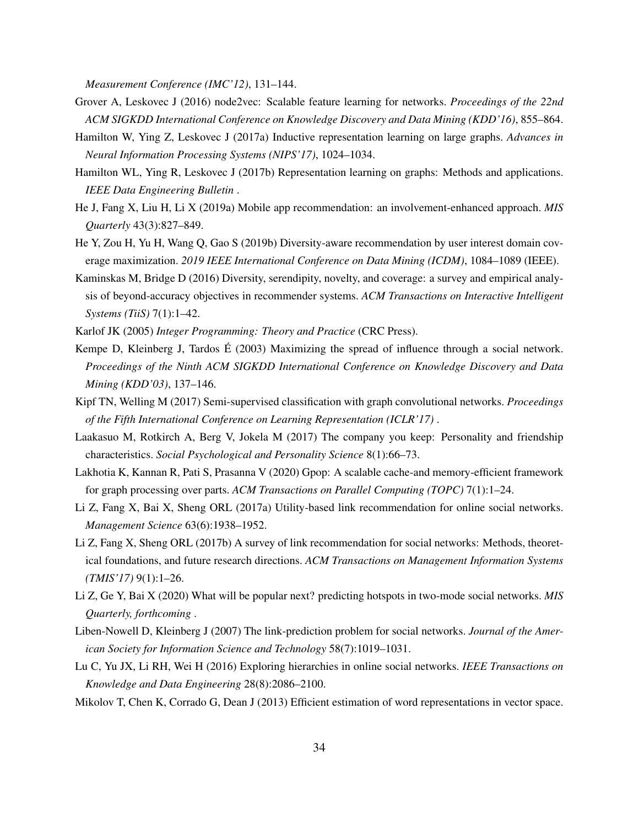*Measurement Conference (IMC'12)*, 131–144.

- <span id="page-33-5"></span>Grover A, Leskovec J (2016) node2vec: Scalable feature learning for networks. *Proceedings of the 22nd ACM SIGKDD International Conference on Knowledge Discovery and Data Mining (KDD'16)*, 855–864.
- <span id="page-33-15"></span>Hamilton W, Ying Z, Leskovec J (2017a) Inductive representation learning on large graphs. *Advances in Neural Information Processing Systems (NIPS'17)*, 1024–1034.
- <span id="page-33-8"></span>Hamilton WL, Ying R, Leskovec J (2017b) Representation learning on graphs: Methods and applications. *IEEE Data Engineering Bulletin* .
- <span id="page-33-16"></span>He J, Fang X, Liu H, Li X (2019a) Mobile app recommendation: an involvement-enhanced approach. *MIS Quarterly* 43(3):827–849.
- <span id="page-33-11"></span>He Y, Zou H, Yu H, Wang Q, Gao S (2019b) Diversity-aware recommendation by user interest domain coverage maximization. *2019 IEEE International Conference on Data Mining (ICDM)*, 1084–1089 (IEEE).
- <span id="page-33-10"></span>Kaminskas M, Bridge D (2016) Diversity, serendipity, novelty, and coverage: a survey and empirical analysis of beyond-accuracy objectives in recommender systems. *ACM Transactions on Interactive Intelligent Systems (TiiS)* 7(1):1–42.
- <span id="page-33-12"></span>Karlof JK (2005) *Integer Programming: Theory and Practice* (CRC Press).
- <span id="page-33-0"></span>Kempe D, Kleinberg J, Tardos É (2003) Maximizing the spread of influence through a social network. *Proceedings of the Ninth ACM SIGKDD International Conference on Knowledge Discovery and Data Mining (KDD'03)*, 137–146.
- <span id="page-33-9"></span>Kipf TN, Welling M (2017) Semi-supervised classification with graph convolutional networks. *Proceedings of the Fifth International Conference on Learning Representation (ICLR'17)* .
- <span id="page-33-6"></span>Laakasuo M, Rotkirch A, Berg V, Jokela M (2017) The company you keep: Personality and friendship characteristics. *Social Psychological and Personality Science* 8(1):66–73.
- <span id="page-33-14"></span>Lakhotia K, Kannan R, Pati S, Prasanna V (2020) Gpop: A scalable cache-and memory-efficient framework for graph processing over parts. *ACM Transactions on Parallel Computing (TOPC)* 7(1):1–24.
- <span id="page-33-2"></span>Li Z, Fang X, Bai X, Sheng ORL (2017a) Utility-based link recommendation for online social networks. *Management Science* 63(6):1938–1952.
- <span id="page-33-3"></span>Li Z, Fang X, Sheng ORL (2017b) A survey of link recommendation for social networks: Methods, theoretical foundations, and future research directions. *ACM Transactions on Management Information Systems (TMIS'17)* 9(1):1–26.
- <span id="page-33-1"></span>Li Z, Ge Y, Bai X (2020) What will be popular next? predicting hotspots in two-mode social networks. *MIS Quarterly, forthcoming* .
- <span id="page-33-4"></span>Liben-Nowell D, Kleinberg J (2007) The link-prediction problem for social networks. *Journal of the American Society for Information Science and Technology* 58(7):1019–1031.
- <span id="page-33-13"></span>Lu C, Yu JX, Li RH, Wei H (2016) Exploring hierarchies in online social networks. *IEEE Transactions on Knowledge and Data Engineering* 28(8):2086–2100.
- <span id="page-33-7"></span>Mikolov T, Chen K, Corrado G, Dean J (2013) Efficient estimation of word representations in vector space.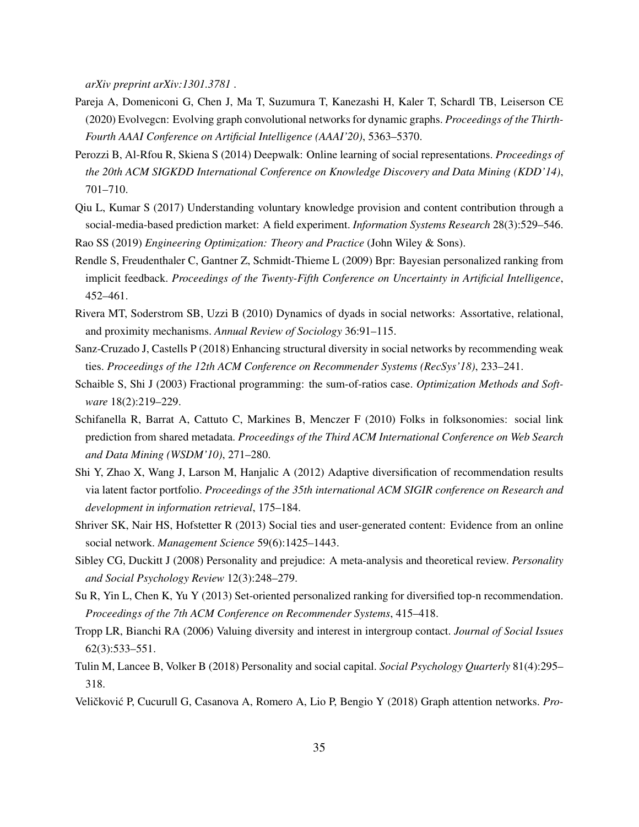*arXiv preprint arXiv:1301.3781* .

- <span id="page-34-1"></span>Pareja A, Domeniconi G, Chen J, Ma T, Suzumura T, Kanezashi H, Kaler T, Schardl TB, Leiserson CE (2020) Evolvegcn: Evolving graph convolutional networks for dynamic graphs. *Proceedings of the Thirth-Fourth AAAI Conference on Artificial Intelligence (AAAI'20)*, 5363–5370.
- <span id="page-34-6"></span>Perozzi B, Al-Rfou R, Skiena S (2014) Deepwalk: Online learning of social representations. *Proceedings of the 20th ACM SIGKDD International Conference on Knowledge Discovery and Data Mining (KDD'14)*, 701–710.
- <span id="page-34-15"></span>Qiu L, Kumar S (2017) Understanding voluntary knowledge provision and content contribution through a social-media-based prediction market: A field experiment. *Information Systems Research* 28(3):529–546.
- <span id="page-34-13"></span><span id="page-34-8"></span>Rao SS (2019) *Engineering Optimization: Theory and Practice* (John Wiley & Sons).
- Rendle S, Freudenthaler C, Gantner Z, Schmidt-Thieme L (2009) Bpr: Bayesian personalized ranking from implicit feedback. *Proceedings of the Twenty-Fifth Conference on Uncertainty in Artificial Intelligence*, 452–461.
- <span id="page-34-2"></span>Rivera MT, Soderstrom SB, Uzzi B (2010) Dynamics of dyads in social networks: Assortative, relational, and proximity mechanisms. *Annual Review of Sociology* 36:91–115.
- <span id="page-34-14"></span>Sanz-Cruzado J, Castells P (2018) Enhancing structural diversity in social networks by recommending weak ties. *Proceedings of the 12th ACM Conference on Recommender Systems (RecSys'18)*, 233–241.
- <span id="page-34-12"></span>Schaible S, Shi J (2003) Fractional programming: the sum-of-ratios case. *Optimization Methods and Software* 18(2):219–229.
- <span id="page-34-5"></span>Schifanella R, Barrat A, Cattuto C, Markines B, Menczer F (2010) Folks in folksonomies: social link prediction from shared metadata. *Proceedings of the Third ACM International Conference on Web Search and Data Mining (WSDM'10)*, 271–280.
- <span id="page-34-9"></span>Shi Y, Zhao X, Wang J, Larson M, Hanjalic A (2012) Adaptive diversification of recommendation results via latent factor portfolio. *Proceedings of the 35th international ACM SIGIR conference on Research and development in information retrieval*, 175–184.
- <span id="page-34-0"></span>Shriver SK, Nair HS, Hofstetter R (2013) Social ties and user-generated content: Evidence from an online social network. *Management Science* 59(6):1425–1443.
- <span id="page-34-3"></span>Sibley CG, Duckitt J (2008) Personality and prejudice: A meta-analysis and theoretical review. *Personality and Social Psychology Review* 12(3):248–279.
- <span id="page-34-10"></span>Su R, Yin L, Chen K, Yu Y (2013) Set-oriented personalized ranking for diversified top-n recommendation. *Proceedings of the 7th ACM Conference on Recommender Systems*, 415–418.
- <span id="page-34-11"></span>Tropp LR, Bianchi RA (2006) Valuing diversity and interest in intergroup contact. *Journal of Social Issues* 62(3):533–551.
- <span id="page-34-4"></span>Tulin M, Lancee B, Volker B (2018) Personality and social capital. *Social Psychology Quarterly* 81(4):295– 318.
- <span id="page-34-7"></span>Veličković P, Cucurull G, Casanova A, Romero A, Lio P, Bengio Y (2018) Graph attention networks. *Pro-*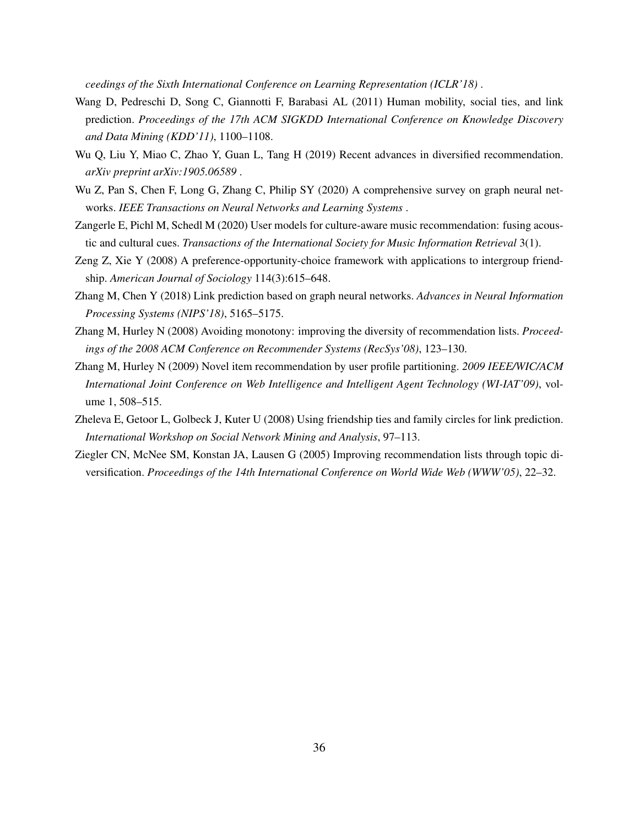*ceedings of the Sixth International Conference on Learning Representation (ICLR'18)* .

- <span id="page-35-2"></span>Wang D, Pedreschi D, Song C, Giannotti F, Barabasi AL (2011) Human mobility, social ties, and link prediction. *Proceedings of the 17th ACM SIGKDD International Conference on Knowledge Discovery and Data Mining (KDD'11)*, 1100–1108.
- <span id="page-35-4"></span>Wu Q, Liu Y, Miao C, Zhao Y, Guan L, Tang H (2019) Recent advances in diversified recommendation. *arXiv preprint arXiv:1905.06589* .
- <span id="page-35-3"></span>Wu Z, Pan S, Chen F, Long G, Zhang C, Philip SY (2020) A comprehensive survey on graph neural networks. *IEEE Transactions on Neural Networks and Learning Systems* .
- <span id="page-35-7"></span>Zangerle E, Pichl M, Schedl M (2020) User models for culture-aware music recommendation: fusing acoustic and cultural cues. *Transactions of the International Society for Music Information Retrieval* 3(1).
- <span id="page-35-8"></span>Zeng Z, Xie Y (2008) A preference-opportunity-choice framework with applications to intergroup friendship. *American Journal of Sociology* 114(3):615–648.
- <span id="page-35-9"></span>Zhang M, Chen Y (2018) Link prediction based on graph neural networks. *Advances in Neural Information Processing Systems (NIPS'18)*, 5165–5175.
- <span id="page-35-6"></span>Zhang M, Hurley N (2008) Avoiding monotony: improving the diversity of recommendation lists. *Proceedings of the 2008 ACM Conference on Recommender Systems (RecSys'08)*, 123–130.
- <span id="page-35-5"></span>Zhang M, Hurley N (2009) Novel item recommendation by user profile partitioning. *2009 IEEE/WIC/ACM International Joint Conference on Web Intelligence and Intelligent Agent Technology (WI-IAT'09)*, volume 1, 508–515.
- <span id="page-35-1"></span>Zheleva E, Getoor L, Golbeck J, Kuter U (2008) Using friendship ties and family circles for link prediction. *International Workshop on Social Network Mining and Analysis*, 97–113.
- <span id="page-35-0"></span>Ziegler CN, McNee SM, Konstan JA, Lausen G (2005) Improving recommendation lists through topic diversification. *Proceedings of the 14th International Conference on World Wide Web (WWW'05)*, 22–32.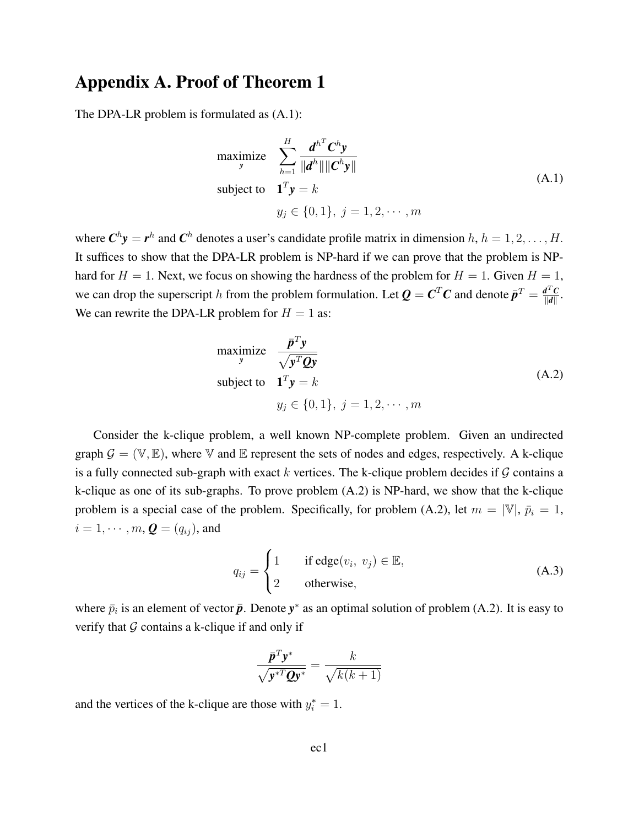# Appendix A. Proof of Theorem 1

The DPA-LR problem is formulated as (A.1):

$$
\begin{aligned}\n\text{maximize} & \sum_{h=1}^{H} \frac{d^{h^T} C^h y}{\|d^h\| \|C^h y\|} \\
\text{subject to} & \mathbf{1}^T y = k \\
y_j \in \{0, 1\}, j = 1, 2, \cdots, m\n\end{aligned} \tag{A.1}
$$

where  $\mathbf{C}^h \mathbf{y} = \mathbf{r}^h$  and  $\mathbf{C}^h$  denotes a user's candidate profile matrix in dimension  $h, h = 1, 2, \dots, H$ . It suffices to show that the DPA-LR problem is NP-hard if we can prove that the problem is NPhard for  $H = 1$ . Next, we focus on showing the hardness of the problem for  $H = 1$ . Given  $H = 1$ , we can drop the superscript h from the problem formulation. Let  $Q = C^T C$  and denote  $\bar{p}^T = \frac{d^T C}{d|d|}$  $\frac{d^{\perp}C}{\|d\|}$  . We can rewrite the DPA-LR problem for  $H = 1$  as:

maximize 
$$
\frac{\bar{p}^T y}{\sqrt{y^T Q y}}
$$
  
\nsubject to  $\mathbf{1}^T y = k$   
\n $y_j \in \{0, 1\}, j = 1, 2, \dots, m$  (A.2)

Consider the k-clique problem, a well known NP-complete problem. Given an undirected graph  $\mathcal{G} = (\mathbb{V}, \mathbb{E})$ , where  $\mathbb{V}$  and  $\mathbb{E}$  represent the sets of nodes and edges, respectively. A k-clique is a fully connected sub-graph with exact k vertices. The k-clique problem decides if  $\mathcal G$  contains a k-clique as one of its sub-graphs. To prove problem (A.2) is NP-hard, we show that the k-clique problem is a special case of the problem. Specifically, for problem (A.2), let  $m = |\mathbb{V}|$ ,  $\bar{p}_i = 1$ ,  $i = 1, \cdots, m$ ,  $\boldsymbol{Q} = (q_{ij})$ , and

$$
q_{ij} = \begin{cases} 1 & \text{if edge}(v_i, v_j) \in \mathbb{E}, \\ 2 & \text{otherwise}, \end{cases}
$$
 (A.3)

where  $\bar{p}_i$  is an element of vector  $\bar{p}$ . Denote  $y^*$  as an optimal solution of problem (A.2). It is easy to verify that  $G$  contains a k-clique if and only if

$$
\frac{\bar{\mathbf{p}}^T \mathbf{y}^*}{\sqrt{\mathbf{y}^{*T} \mathbf{Q} \mathbf{y}^*}} = \frac{k}{\sqrt{k(k+1)}}
$$

and the vertices of the k-clique are those with  $y_i^* = 1$ .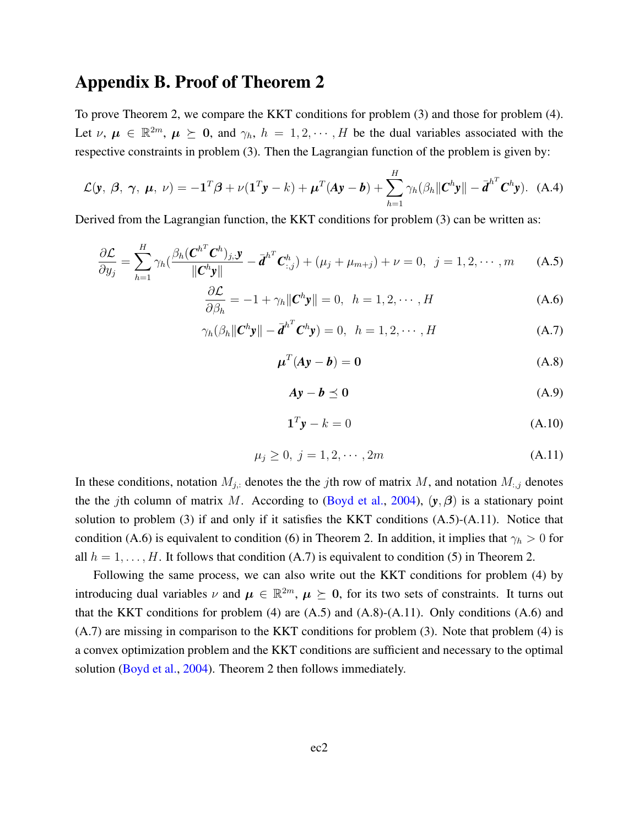# Appendix B. Proof of Theorem 2

To prove Theorem 2, we compare the KKT conditions for problem (3) and those for problem (4). Let  $\nu, \mu \in \mathbb{R}^{2m}, \mu \geq 0$ , and  $\gamma_h$ ,  $h = 1, 2, \dots, H$  be the dual variables associated with the respective constraints in problem (3). Then the Lagrangian function of the problem is given by:

$$
\mathcal{L}(\mathbf{y},\,\boldsymbol{\beta},\,\boldsymbol{\gamma},\,\boldsymbol{\mu},\,\nu) = -\mathbf{1}^T\boldsymbol{\beta} + \nu(\mathbf{1}^T\mathbf{y} - k) + \boldsymbol{\mu}^T(\mathbf{A}\mathbf{y} - \boldsymbol{b}) + \sum_{h=1}^H \gamma_h(\beta_h \|\mathbf{C}^h\mathbf{y}\| - \overline{\boldsymbol{d}}^{h^T}\mathbf{C}^h\mathbf{y}). \tag{A.4}
$$

Derived from the Lagrangian function, the KKT conditions for problem (3) can be written as:

$$
\frac{\partial \mathcal{L}}{\partial y_j} = \sum_{h=1}^H \gamma_h \left( \frac{\beta_h (\mathbf{C}^{h^T} \mathbf{C}^h)_{j,\mathbf{y}}}{\|\mathbf{C}^h \mathbf{y}\|} - \overline{\mathbf{d}}^{h^T} \mathbf{C}^h_{:,j} \right) + (\mu_j + \mu_{m+j}) + \nu = 0, \ \ j = 1, 2, \cdots, m \tag{A.5}
$$

$$
\frac{\partial \mathcal{L}}{\partial \beta_h} = -1 + \gamma_h \|\mathbf{C}^h \mathbf{y}\| = 0, \quad h = 1, 2, \cdots, H
$$
\n(A.6)

$$
\gamma_h(\beta_h \|\mathbf{C}^h \mathbf{y}\| - \bar{\mathbf{d}}^{h^T} \mathbf{C}^h \mathbf{y}) = 0, \quad h = 1, 2, \cdots, H
$$
\n(A.7)

$$
\boldsymbol{\mu}^T (\boldsymbol{A} \boldsymbol{y} - \boldsymbol{b}) = \boldsymbol{0} \tag{A.8}
$$

$$
Ay - b \preceq 0 \tag{A.9}
$$

$$
\mathbf{1}^T \mathbf{y} - k = 0 \tag{A.10}
$$

$$
\mu_j \ge 0, \ j = 1, 2, \cdots, 2m \tag{A.11}
$$

In these conditions, notation  $M_{j,:}$  denotes the the jth row of matrix M, and notation  $M_{:,j}$  denotes the the jth column of matrix M. According to [\(Boyd et al.,](#page-32-12) [2004\)](#page-32-12),  $(\mathbf{y}, \beta)$  is a stationary point solution to problem (3) if and only if it satisfies the KKT conditions (A.5)-(A.11). Notice that condition (A.6) is equivalent to condition (6) in Theorem 2. In addition, it implies that  $\gamma_h > 0$  for all  $h = 1, \ldots, H$ . It follows that condition (A.7) is equivalent to condition (5) in Theorem 2.

Following the same process, we can also write out the KKT conditions for problem (4) by introducing dual variables  $\nu$  and  $\mu \in \mathbb{R}^{2m}$ ,  $\mu \succeq 0$ , for its two sets of constraints. It turns out that the KKT conditions for problem  $(4)$  are  $(A.5)$  and  $(A.8)-(A.11)$ . Only conditions  $(A.6)$  and (A.7) are missing in comparison to the KKT conditions for problem (3). Note that problem (4) is a convex optimization problem and the KKT conditions are sufficient and necessary to the optimal solution [\(Boyd et al.,](#page-32-12) [2004\)](#page-32-12). Theorem 2 then follows immediately.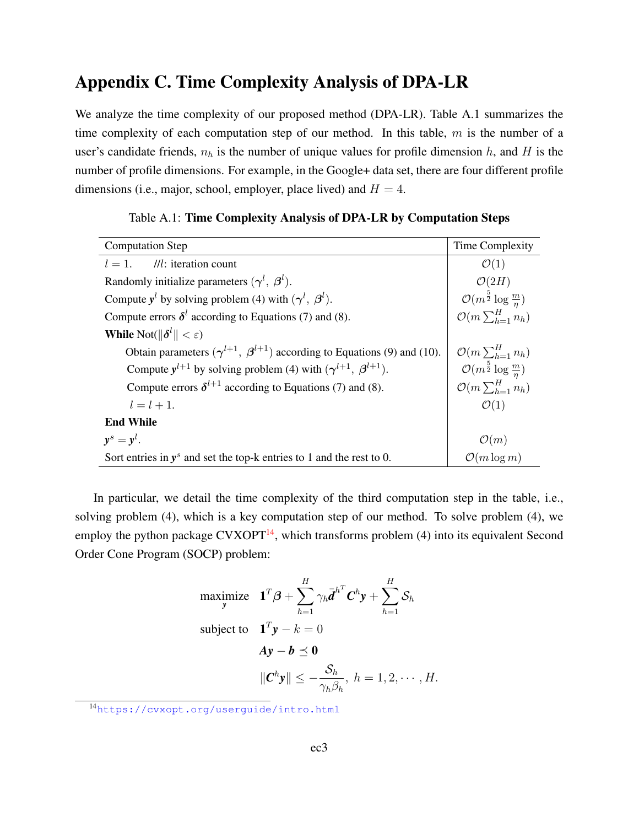# Appendix C. Time Complexity Analysis of DPA-LR

We analyze the time complexity of our proposed method (DPA-LR). Table A.1 summarizes the time complexity of each computation step of our method. In this table,  $m$  is the number of a user's candidate friends,  $n_h$  is the number of unique values for profile dimension h, and H is the number of profile dimensions. For example, in the Google+ data set, there are four different profile dimensions (i.e., major, school, employer, place lived) and  $H = 4$ .

| <b>Computation Step</b>                                                              | Time Complexity                                 |
|--------------------------------------------------------------------------------------|-------------------------------------------------|
| $l = 1$ . //l: iteration count                                                       | $\mathcal{O}(1)$                                |
| Randomly initialize parameters $(\gamma^l, \beta^l)$ .                               | $\mathcal{O}(2H)$                               |
| Compute $y^l$ by solving problem (4) with $(\gamma^l, \beta^l)$ .                    | $\mathcal{O}(m^{\frac{5}{2}} \log \frac{m}{n})$ |
| Compute errors $\delta^l$ according to Equations (7) and (8).                        | $\mathcal{O}(m\sum_{h=1}^H n_h)$                |
| <b>While</b> Not( $\ \boldsymbol{\delta}^l\  < \varepsilon$ )                        |                                                 |
| Obtain parameters $(\gamma^{l+1}, \beta^{l+1})$ according to Equations (9) and (10). | $\mathcal{O}(m\sum_{h=1}^{H}n_h)$               |
| Compute $y^{l+1}$ by solving problem (4) with $(\gamma^{l+1}, \beta^{l+1})$ .        | $\mathcal{O}(m^{\frac{5}{2}} \log \frac{m}{n})$ |
| Compute errors $\delta^{l+1}$ according to Equations (7) and (8).                    | $\mathcal{O}(m\sum_{h=1}^H n_h)$                |
| $l = l + 1.$                                                                         | $\mathcal{O}(1)$                                |
| <b>End While</b>                                                                     |                                                 |
| $y^s = y^l$ .                                                                        | $\mathcal{O}(m)$                                |
| Sort entries in $y^s$ and set the top-k entries to 1 and the rest to 0.              | $\mathcal{O}(m \log m)$                         |

Table A.1: Time Complexity Analysis of DPA-LR by Computation Steps

In particular, we detail the time complexity of the third computation step in the table, i.e., solving problem (4), which is a key computation step of our method. To solve problem (4), we employ the python package  $CVXOPT<sup>14</sup>$  $CVXOPT<sup>14</sup>$  $CVXOPT<sup>14</sup>$ , which transforms problem (4) into its equivalent Second Order Cone Program (SOCP) problem:

maximize 
$$
\mathbf{1}^T \boldsymbol{\beta} + \sum_{h=1}^H \gamma_h \bar{\boldsymbol{d}}^{h^T} \boldsymbol{C}^h \mathbf{y} + \sum_{h=1}^H \mathcal{S}_h
$$
  
\nsubject to  $\mathbf{1}^T \mathbf{y} - k = 0$   
\n $\mathbf{A} \mathbf{y} - \mathbf{b} \preceq \mathbf{0}$   
\n $\|\mathbf{C}^h \mathbf{y}\| \le -\frac{\mathcal{S}_h}{\gamma_h \beta_h}, h = 1, 2, \cdots, H.$ 

<sup>14</sup><https://cvxopt.org/userguide/intro.html>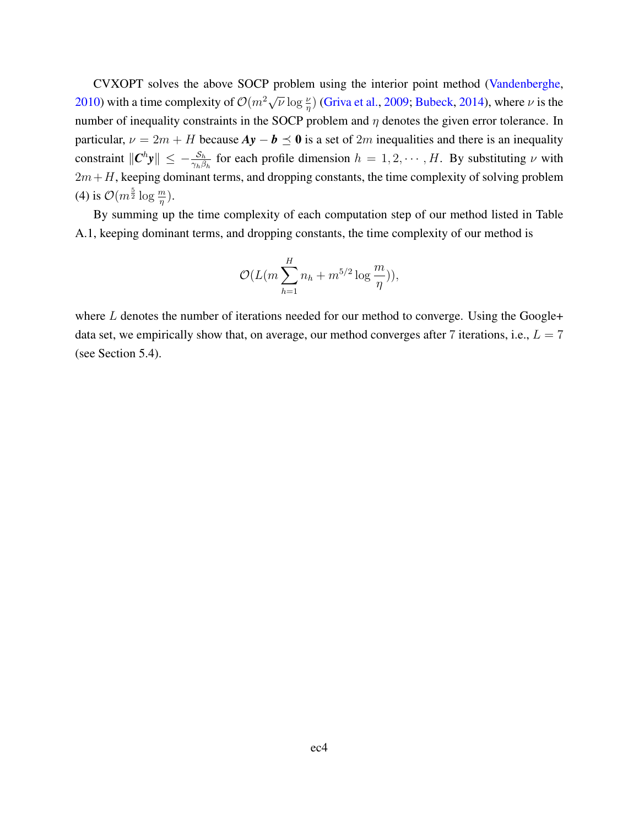CVXOPT solves the above SOCP problem using the interior point method [\(Vandenberghe,](#page-49-0) [2010\)](#page-49-0) with a time complexity of  $\mathcal{O}(m^2 \sqrt{\nu} \log \frac{\nu}{\eta})$  [\(Griva et al.,](#page-49-1) [2009;](#page-49-1) [Bubeck,](#page-48-0) [2014\)](#page-48-0), where  $\nu$  is the number of inequality constraints in the SOCP problem and  $\eta$  denotes the given error tolerance. In particular,  $\nu = 2m + H$  because  $Ay - b \preceq 0$  is a set of 2m inequalities and there is an inequality constraint  $\Vert C^h y \Vert \leq -\frac{S_h}{\gamma_h \beta_h}$  for each profile dimension  $h = 1, 2, \dots, H$ . By substituting  $\nu$  with  $2m+H$ , keeping dominant terms, and dropping constants, the time complexity of solving problem (4) is  $\mathcal{O}(m^{\frac{5}{2}} \log \frac{m}{\eta}).$ 

By summing up the time complexity of each computation step of our method listed in Table A.1, keeping dominant terms, and dropping constants, the time complexity of our method is

$$
\mathcal{O}(L(m\sum_{h=1}^{H}n_h+m^{5/2}\log{\frac{m}{\eta}})),
$$

where  $L$  denotes the number of iterations needed for our method to converge. Using the Google+ data set, we empirically show that, on average, our method converges after 7 iterations, i.e.,  $L = 7$ (see Section 5.4).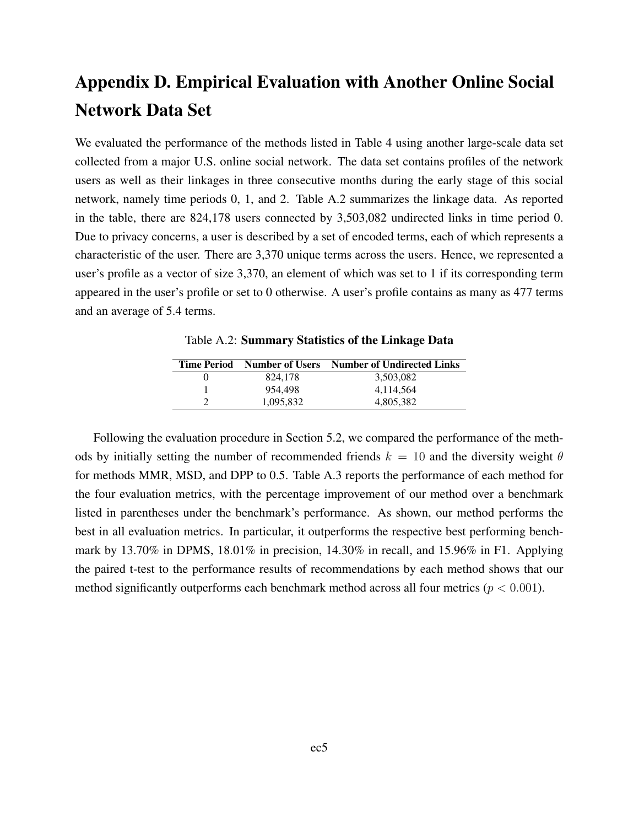# Appendix D. Empirical Evaluation with Another Online Social Network Data Set

We evaluated the performance of the methods listed in Table 4 using another large-scale data set collected from a major U.S. online social network. The data set contains profiles of the network users as well as their linkages in three consecutive months during the early stage of this social network, namely time periods 0, 1, and 2. Table A.2 summarizes the linkage data. As reported in the table, there are 824,178 users connected by 3,503,082 undirected links in time period 0. Due to privacy concerns, a user is described by a set of encoded terms, each of which represents a characteristic of the user. There are 3,370 unique terms across the users. Hence, we represented a user's profile as a vector of size 3,370, an element of which was set to 1 if its corresponding term appeared in the user's profile or set to 0 otherwise. A user's profile contains as many as 477 terms and an average of 5.4 terms.

|           | Time Period Number of Users Number of Undirected Links |
|-----------|--------------------------------------------------------|
| 824,178   | 3,503,082                                              |
| 954.498   | 4,114,564                                              |
| 1.095.832 | 4.805.382                                              |

2 1,095,832 4,805,382

Table A.2: Summary Statistics of the Linkage Data

Following the evaluation procedure in Section 5.2, we compared the performance of the methods by initially setting the number of recommended friends  $k = 10$  and the diversity weight  $\theta$ for methods MMR, MSD, and DPP to 0.5. Table A.3 reports the performance of each method for the four evaluation metrics, with the percentage improvement of our method over a benchmark listed in parentheses under the benchmark's performance. As shown, our method performs the best in all evaluation metrics. In particular, it outperforms the respective best performing benchmark by 13.70% in DPMS, 18.01% in precision, 14.30% in recall, and 15.96% in F1. Applying the paired t-test to the performance results of recommendations by each method shows that our method significantly outperforms each benchmark method across all four metrics ( $p < 0.001$ ).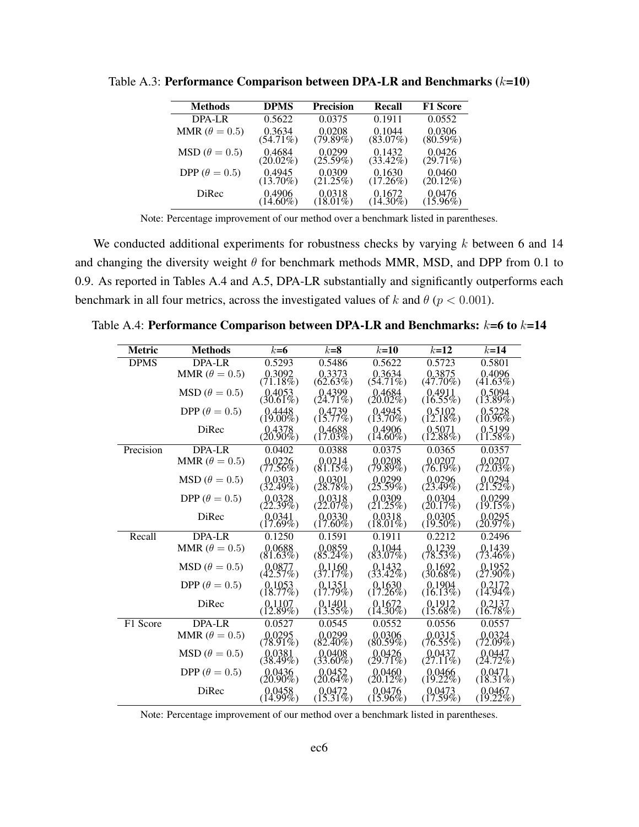| <b>Methods</b>             | <b>DPMS</b> | <b>Precision</b> | Recall      | <b>F1</b> Score |
|----------------------------|-------------|------------------|-------------|-----------------|
| $DPA-I.R$                  | 0.5622      | 0.0375           | 0.1911      | 0.0552          |
| MMR ( $\theta = 0.5$ )     | 0.3634      | 0.0208           | 0.1044      | 0.0306          |
|                            | $(54.71\%)$ | (79.89%)         | $(83.07\%)$ | (80.59%)        |
| $\text{MSD}(\theta = 0.5)$ | 0.4684      | 0.0299           | 0.1432      | 0.0426          |
|                            | $(20.02\%)$ | $(25.59\%)$      | $(33.42\%)$ | $(29.71\%)$     |
| DPP ( $\theta = 0.5$ )     | 0.4945      | 0.0309           | 0.1630      | 0.0460          |
|                            | $(13.70\%)$ | $(21.25\%)$      | (17.26%)    | $(20.12\%)$     |
| DiRec                      | 0.4906      | 0.0318           | 0.1672      | 0.0476          |
|                            | $(14.60\%)$ | $(18.01\%)$      | $(14.30\%)$ | $(15.96\%)$     |

Table A.3: Performance Comparison between DPA-LR and Benchmarks  $(k=10)$ 

Note: Percentage improvement of our method over a benchmark listed in parentheses.

We conducted additional experiments for robustness checks by varying  $k$  between 6 and 14 and changing the diversity weight  $\theta$  for benchmark methods MMR, MSD, and DPP from 0.1 to 0.9. As reported in Tables A.4 and A.5, DPA-LR substantially and significantly outperforms each benchmark in all four metrics, across the investigated values of k and  $\theta$  ( $p < 0.001$ ).

| <b>Metric</b> | <b>Methods</b>             | $k=6$                         | $k=8$                                             | $k=10$                                            | $k=12$                                             | $k=14$                                            |
|---------------|----------------------------|-------------------------------|---------------------------------------------------|---------------------------------------------------|----------------------------------------------------|---------------------------------------------------|
| <b>DPMS</b>   | DPA-LR                     | 0.5293                        | 0.5486                                            | 0.5622                                            | 0.5723                                             | 0.5801                                            |
|               | MMR $(\theta = 0.5)$       | $\frac{0.3092}{(71.18\%)}$    | $\begin{array}{c} 0.3373 \\ 62.63\% \end{array}$  | $0.3634$<br>(54.71%)                              | $\begin{array}{c} 0.3875 \\ (47.70\%)\end{array}$  | $0.4096$<br>(41.63%)                              |
|               | $\text{MSD}(\theta=0.5)$   | (30.4053)                     | $(24.71\%)$                                       | $(20.02\%)$                                       | $(16.55\%)$                                        | $(13.89\%)$                                       |
|               | DPP $(\theta = 0.5)$       | $(19.00\%)$                   | (15.77%)                                          | $\begin{array}{c} 0.4945 \\ (13.70\%)\end{array}$ | $\begin{array}{c} 0.5102 \\ (12.18\%) \end{array}$ | $(10.5228)$<br>(10.96%)                           |
|               | DiRec                      | $(20.4378, 20.90\%)$          | $(17.03\%)$                                       | $(14.60\%)$                                       | $(0.5071$<br>$(12.88\%)$                           | $(11.58\%)$                                       |
| Precision     | DPA-LR                     | 0.0402                        | 0.0388                                            | 0.0375                                            | 0.0365                                             | 0.0357                                            |
|               | MMR $(\theta = 0.5)$       | $(77.56\%)$                   | $(81.15\%)$                                       | $(79.89\%)$                                       | $(76.19\%)$                                        | $(72.03\%)$                                       |
|               | $\text{MSD}(\theta=0.5)$   | $(0.0303)$<br>$(32.49\%)$     | $(0.0301$<br>$(28.78%)$                           | $(25.59\%)$                                       | $(0.0296$<br>(23.49%)                              | $(21.52\%)$                                       |
|               | DPP ( $\theta = 0.5$ )     | $(0.0328$<br>$(22.39%)$       | $0.0318$<br>(22.07%)                              | $0.0309$<br>(21.25%)                              | $0.0304$<br>(20.17%)                               | $0.0299$<br>(19.15%)                              |
|               | DiRec                      | $(0.0341$<br>(17.69%)         | $(0.0330)$<br>(17.60%)                            | $(0.0318)$<br>(18.01%)                            | $(0.0305$<br>(19.50%)                              | (20.97%)                                          |
| Recall        | <b>DPA-LR</b>              | 0.1250                        | 0.1591                                            | 0.1911                                            | 0.2212                                             | 0.2496                                            |
|               | MMR $(\theta = 0.5)$       | $(81.63\%)$                   | $0.0859$<br>(85.24%)                              | $(83.07\%)$                                       | 0.1239<br>(78.53%)                                 | 0.1439<br>$(73.46\%)$                             |
|               | $\text{MSD}(\theta=0.5)$   | (42.57%)                      | (37.17%)                                          | $(33.42\%)$                                       | (30.1692)                                          | $(0.1952$<br>$(27.90\%)$                          |
|               | DPP ( $\theta = 0.5$ )     | $\frac{0.1053}{(18.77\%)}$    | $\begin{array}{c} 0.1351 \\ (17.79\%)\end{array}$ | $(17.26\%)$                                       | $\begin{array}{c} 0.1904 \\ (16.13\%)\end{array}$  | $\begin{array}{c} 0.2172 \\ (14.94\%)\end{array}$ |
|               | DiRec                      | $(0.1107$ <sub>(12.89%)</sub> | $(13.55\%)$                                       | $(14.30\%)$                                       | $(15.68\%)$                                        | $(16.78\%)$                                       |
| F1 Score      | <b>DPA-LR</b>              | 0.0527                        | 0.0545                                            | 0.0552                                            | 0.0556                                             | 0.0557                                            |
|               | MMR ( $\theta = 0.5$ )     | $(78.91\%)$                   | 0.0299<br>$(82.40\%)$                             | 0.0306<br>$(80.59\%)$                             | 0.0315<br>$(76.55\%)$                              | 0.0324<br>$(72.09\%)$                             |
|               | $\text{MSD}(\theta = 0.5)$ | 0.0381<br>$(38.49\%)$         | 0.0408<br>$(33.60\%)$                             | 0.0426<br>$(29.71\%)$                             | 0.0437<br>$(27.11\%)$                              | 0.0447<br>$(24.72\%)$                             |
|               | DPP ( $\theta = 0.5$ )     | $(20.90\%)$                   | $(20.64\%)$                                       | $(20.12\%)$                                       | $(19.22\%)$                                        | $(18.31\%)$                                       |
|               | DiRec                      | $(0.0458)$<br>(14.99%)        | $(0.0472)$<br>(15.31%)                            | $(0.0476$<br>(15.96%)                             | $(17.59\%)$                                        | (0.0467)                                          |

Table A.4: Performance Comparison between DPA-LR and Benchmarks:  $k=6$  to  $k=14$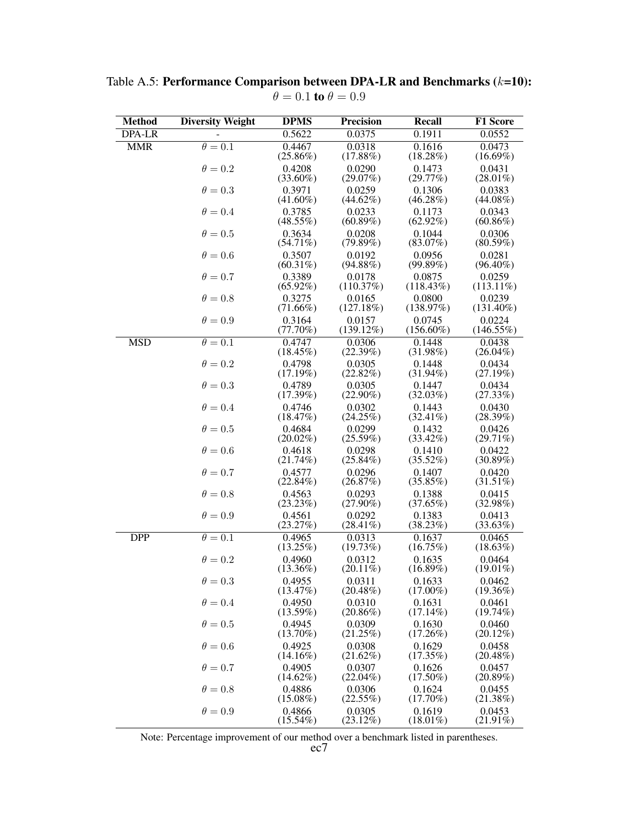| <b>Method</b> | <b>Diversity Weight</b>   | <b>DPMS</b>           | <b>Precision</b>       | Recall                 | <b>F1 Score</b>        |
|---------------|---------------------------|-----------------------|------------------------|------------------------|------------------------|
| <b>DPA-LR</b> |                           | 0.5622                | 0.0375                 | 0.1911                 | 0.0552                 |
| <b>MMR</b>    | $\overline{\theta} = 0.1$ | 0.4467<br>$(25.86\%)$ | 0.0318<br>(17.88%)     | 0.1616<br>$(18.28\%)$  | 0.0473<br>$(16.69\%)$  |
|               | $\theta = 0.2$            | 0.4208<br>$(33.60\%)$ | 0.0290<br>(29.07%)     | 0.1473<br>(29.77%)     | 0.0431<br>$(28.01\%)$  |
|               | $\theta = 0.3$            | 0.3971<br>$(41.60\%)$ | 0.0259<br>$(44.62\%)$  | 0.1306<br>(46.28%)     | 0.0383<br>$(44.08\%)$  |
|               | $\theta = 0.4$            | 0.3785<br>$(48.55\%)$ | 0.0233<br>$(60.89\%)$  | 0.1173<br>$(62.92\%)$  | 0.0343<br>$(60.86\%)$  |
|               | $\theta = 0.5$            | 0.3634<br>$(54.71\%)$ | 0.0208<br>(79.89%)     | 0.1044<br>$(83.07\%)$  | 0.0306<br>(80.59%)     |
|               | $\theta = 0.6$            | 0.3507<br>$(60.31\%)$ | 0.0192<br>$(94.88\%)$  | 0.0956<br>(99.89%)     | 0.0281<br>$(96.40\%)$  |
|               | $\theta = 0.7$            | 0.3389<br>$(65.92\%)$ | 0.0178<br>(110.37%)    | 0.0875<br>(118.43%)    | 0.0259<br>$(113.11\%)$ |
|               | $\theta = 0.8$            | 0.3275<br>$(71.66\%)$ | 0.0165<br>(127.18%)    | 0.0800<br>(138.97%)    | 0.0239<br>$(131.40\%)$ |
|               | $\theta = 0.9$            | 0.3164<br>(77.70%)    | 0.0157<br>$(139.12\%)$ | 0.0745<br>$(156.60\%)$ | 0.0224<br>(146.55%)    |
| <b>MSD</b>    | $\theta = 0.1$            | 0.4747<br>$(18.45\%)$ | 0.0306<br>(22.39%)     | 0.1448<br>$(31.98\%)$  | 0.0438<br>$(26.04\%)$  |
|               | $\theta = 0.2$            | 0.4798<br>(17.19%)    | 0.0305<br>$(22.82\%)$  | 0.1448<br>$(31.94\%)$  | 0.0434<br>(27.19%)     |
|               | $\theta = 0.3$            | 0.4789<br>(17.39%)    | 0.0305<br>$(22.90\%)$  | 0.1447<br>(32.03%)     | 0.0434<br>(27.33%)     |
|               | $\theta = 0.4$            | 0.4746<br>(18.47%)    | 0.0302<br>(24.25%)     | 0.1443<br>$(32.41\%)$  | 0.0430<br>(28.39%)     |
|               | $\theta = 0.5$            | 0.4684<br>$(20.02\%)$ | 0.0299<br>(25.59%)     | 0.1432<br>$(33.42\%)$  | 0.0426<br>$(29.71\%)$  |
|               | $\theta = 0.6$            | 0.4618<br>(21.74%)    | 0.0298<br>$(25.84\%)$  | 0.1410<br>$(35.52\%)$  | 0.0422<br>(30.89%)     |
|               | $\theta = 0.7$            | 0.4577<br>$(22.84\%)$ | 0.0296<br>(26.87%)     | 0.1407<br>(35.85%)     | 0.0420<br>$(31.51\%)$  |
|               | $\theta = 0.8$            | 0.4563<br>(23.23%)    | 0.0293<br>$(27.90\%)$  | 0.1388<br>(37.65%)     | 0.0415<br>(32.98%)     |
|               | $\theta = 0.9$            | 0.4561<br>(23.27%)    | 0.0292<br>$(28.41\%)$  | 0.1383<br>(38.23%)     | 0.0413<br>$(33.63\%)$  |
| <b>DPP</b>    | $\theta = 0.1$            | 0.4965<br>$(13.25\%)$ | 0.0313<br>(19.73%)     | 0.1637<br>$(16.75\%)$  | 0.0465<br>(18.63%)     |
|               | $\theta = 0.2$            | 0.4960<br>$(13.36\%)$ | 0.0312<br>$(20.11\%)$  | 0.1635<br>(16.89%)     | 0.0464<br>$(19.01\%)$  |
|               | $\theta = 0.3$            | 0.4955<br>(13.47%)    | 0.0311<br>$(20.48\%)$  | 0.1633<br>$(17.00\%)$  | 0.0462<br>$(19.36\%)$  |
|               | $\theta = 0.4$            | 0.4950<br>(13.59%)    | 0.0310<br>$(20.86\%)$  | 0.1631<br>$(17.14\%)$  | 0.0461<br>(19.74%)     |
|               | $\theta = 0.5$            | 0.4945<br>$(13.70\%)$ | 0.0309<br>(21.25%)     | 0.1630<br>$(17.26\%)$  | 0.0460<br>$(20.12\%)$  |
|               | $\theta = 0.6$            | 0.4925<br>$(14.16\%)$ | 0.0308<br>$(21.62\%)$  | 0.1629<br>(17.35%)     | 0.0458<br>$(20.48\%)$  |
|               | $\theta = 0.7$            | 0.4905<br>$(14.62\%)$ | 0.0307<br>$(22.04\%)$  | 0.1626<br>$(17.50\%)$  | 0.0457<br>(20.89%)     |
|               | $\theta = 0.8$            | 0.4886<br>$(15.08\%)$ | 0.0306<br>$(22.55\%)$  | 0.1624<br>$(17.70\%)$  | 0.0455<br>(21.38%)     |
|               | $\theta = 0.9$            | 0.4866<br>$(15.54\%)$ | 0.0305<br>$(23.12\%)$  | 0.1619<br>$(18.01\%)$  | 0.0453<br>$(21.91\%)$  |

Table A.5: Performance Comparison between DPA-LR and Benchmarks  $(k=10)$ :  $\theta = 0.1$  to  $\theta = 0.9$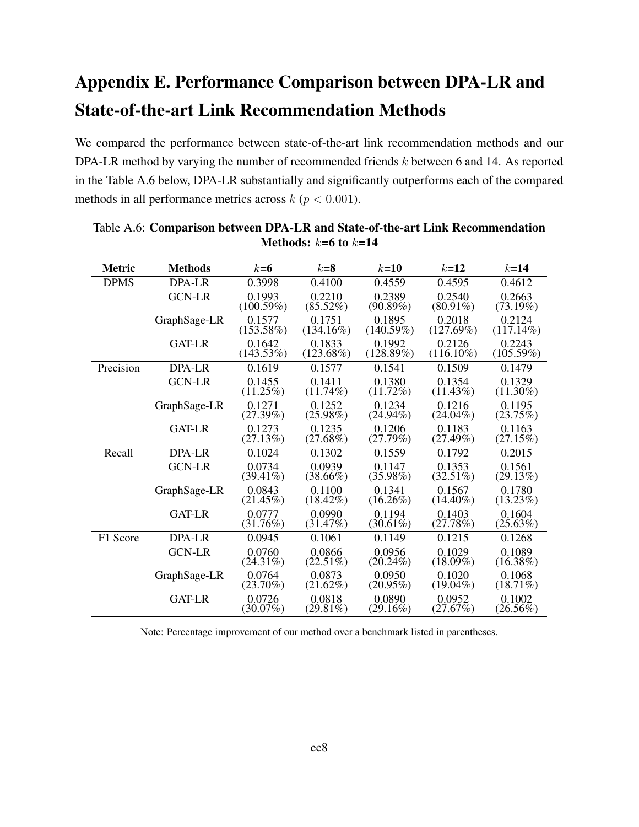# Appendix E. Performance Comparison between DPA-LR and State-of-the-art Link Recommendation Methods

We compared the performance between state-of-the-art link recommendation methods and our DPA-LR method by varying the number of recommended friends k between 6 and 14. As reported in the Table A.6 below, DPA-LR substantially and significantly outperforms each of the compared methods in all performance metrics across  $k (p < 0.001)$ .

| <b>Metric</b> | <b>Methods</b> | $k=6$                 | $k=8$                  | $k=10$                | $k=12$                 | $k=14$                 |
|---------------|----------------|-----------------------|------------------------|-----------------------|------------------------|------------------------|
|               |                |                       |                        |                       |                        |                        |
| <b>DPMS</b>   | <b>DPA-LR</b>  | 0.3998                | 0.4100                 | 0.4559                | 0.4595                 | 0.4612                 |
|               | <b>GCN-LR</b>  | 0.1993                | 0.2210                 | 0.2389                | 0.2540                 | 0.2663                 |
|               |                | (100.59%)             | $(85.52\%)$            | (90.89%)              | $(80.91\%)$            | (73.19%)               |
|               | GraphSage-LR   | 0.1577<br>(153.58%)   | 0.1751<br>$(134.16\%)$ | 0.1895<br>(140.59%)   | 0.2018<br>(127.69%)    | 0.2124<br>$(117.14\%)$ |
|               | <b>GAT-LR</b>  | 0.1642<br>(143.53%)   | 0.1833<br>$(123.68\%)$ | 0.1992<br>(128.89%)   | 0.2126<br>$(116.10\%)$ | 0.2243<br>$(105.59\%)$ |
| Precision     | DPA-LR         | 0.1619                | 0.1577                 | 0.1541                | 0.1509                 | 0.1479                 |
|               | <b>GCN-LR</b>  | 0.1455<br>$(11.25\%)$ | 0.1411<br>$(11.74\%)$  | 0.1380<br>$(11.72\%)$ | 0.1354<br>$(11.43\%)$  | 0.1329<br>$(11.30\%)$  |
|               | GraphSage-LR   | 0.1271<br>(27.39%)    | 0.1252<br>$(25.98\%)$  | 0.1234<br>$(24.94\%)$ | 0.1216<br>$(24.04\%)$  | 0.1195<br>(23.75%)     |
|               | <b>GAT-LR</b>  | 0.1273<br>(27.13%)    | 0.1235<br>$(27.68\%)$  | 0.1206<br>(27.79%)    | 0.1183<br>(27.49%)     | 0.1163<br>(27.15%)     |
| Recall        | <b>DPA-LR</b>  | 0.1024                | 0.1302                 | 0.1559                | 0.1792                 | 0.2015                 |
|               | <b>GCN-LR</b>  | 0.0734<br>$(39.41\%)$ | 0.0939<br>$(38.66\%)$  | 0.1147<br>$(35.98\%)$ | 0.1353<br>$(32.51\%)$  | 0.1561<br>(29.13%)     |
|               | GraphSage-LR   | 0.0843<br>$(21.45\%)$ | 0.1100<br>$(18.42\%)$  | 0.1341<br>$(16.26\%)$ | 0.1567<br>$(14.40\%)$  | 0.1780<br>$(13.23\%)$  |
|               | <b>GAT-LR</b>  | 0.0777<br>(31.76%)    | 0.0990<br>(31.47%)     | 0.1194<br>$(30.61\%)$ | 0.1403<br>(27.78%)     | 0.1604<br>(25.63%)     |
| F1 Score      | DPA-LR         | 0.0945                | 0.1061                 | 0.1149                | 0.1215                 | 0.1268                 |
|               | <b>GCN-LR</b>  | 0.0760<br>$(24.31\%)$ | 0.0866<br>$(22.51\%)$  | 0.0956<br>$(20.24\%)$ | 0.1029<br>$(18.09\%)$  | 0.1089<br>$(16.38\%)$  |
|               | GraphSage-LR   | 0.0764<br>$(23.70\%)$ | 0.0873<br>$(21.62\%)$  | 0.0950<br>$(20.95\%)$ | 0.1020<br>$(19.04\%)$  | 0.1068<br>$(18.71\%)$  |
|               | GAT-LR         | 0.0726<br>$(30.07\%)$ | 0.0818<br>$(29.81\%)$  | 0.0890<br>$(29.16\%)$ | 0.0952<br>(27.67%)     | 0.1002<br>$(26.56\%)$  |

Table A.6: Comparison between DPA-LR and State-of-the-art Link Recommendation Methods:  $k=6$  to  $k=14$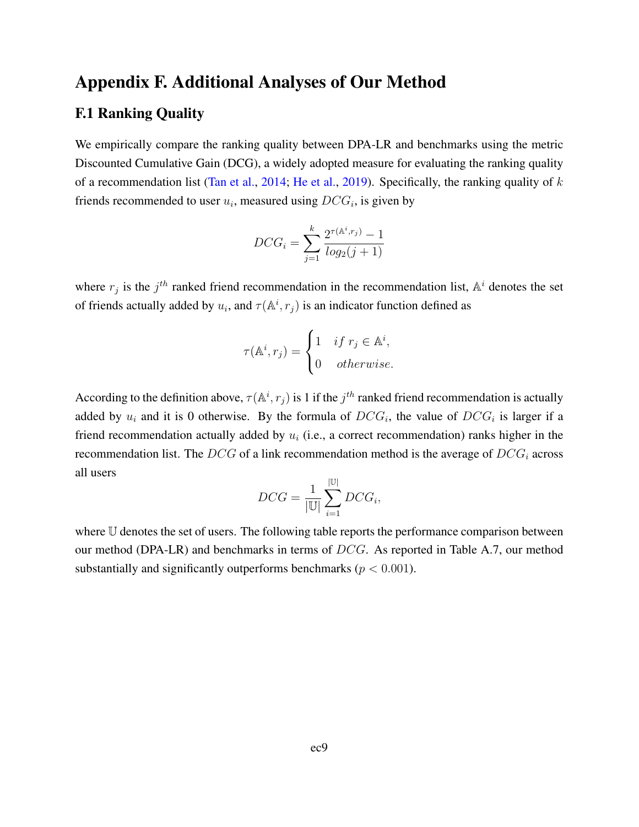# Appendix F. Additional Analyses of Our Method

## F.1 Ranking Quality

We empirically compare the ranking quality between DPA-LR and benchmarks using the metric Discounted Cumulative Gain (DCG), a widely adopted measure for evaluating the ranking quality of a recommendation list [\(Tan et al.,](#page-49-2) [2014;](#page-49-2) [He et al.,](#page-33-16) [2019\)](#page-33-16). Specifically, the ranking quality of  $k$ friends recommended to user  $u_i$ , measured using  $DCG_i$ , is given by

$$
DCG_i = \sum_{j=1}^{k} \frac{2^{\tau(\mathbb{A}^i, r_j)} - 1}{log_2(j+1)}
$$

where  $r_j$  is the  $j<sup>th</sup>$  ranked friend recommendation in the recommendation list,  $\mathbb{A}^i$  denotes the set of friends actually added by  $u_i$ , and  $\tau(\mathbb{A}^i, r_j)$  is an indicator function defined as

$$
\tau(\mathbb{A}^i, r_j) = \begin{cases} 1 & \text{if } r_j \in \mathbb{A}^i, \\ 0 & \text{otherwise.} \end{cases}
$$

According to the definition above,  $\tau(\mathbb{A}^i, r_j)$  is 1 if the  $j^{th}$  ranked friend recommendation is actually added by  $u_i$  and it is 0 otherwise. By the formula of  $DCG_i$ , the value of  $DCG_i$  is larger if a friend recommendation actually added by  $u_i$  (i.e., a correct recommendation) ranks higher in the recommendation list. The DCG of a link recommendation method is the average of  $DCG_i$  across all users

$$
DCG = \frac{1}{|\mathbb{U}|} \sum_{i=1}^{|\mathbb{U}|} DCG_i,
$$

where U denotes the set of users. The following table reports the performance comparison between our method (DPA-LR) and benchmarks in terms of DCG. As reported in Table A.7, our method substantially and significantly outperforms benchmarks ( $p < 0.001$ ).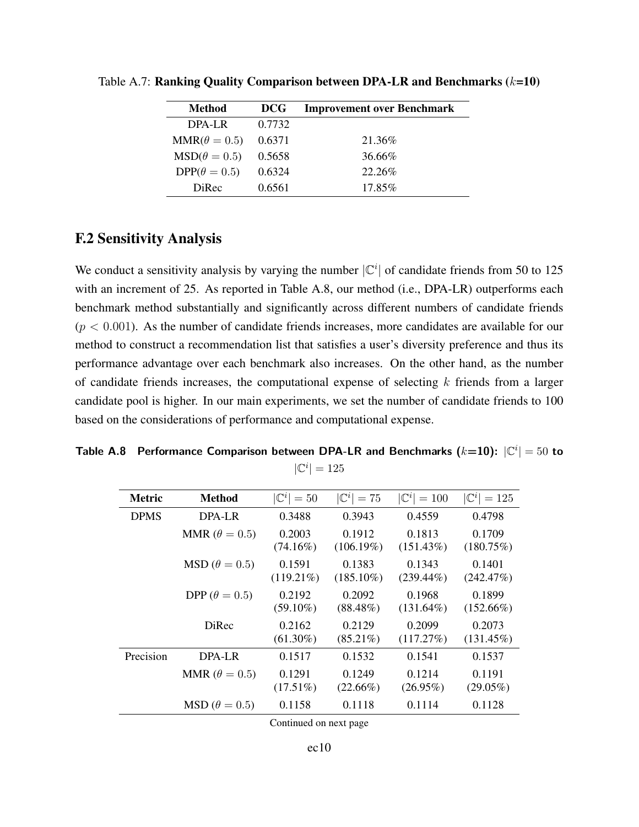| Method              | <b>DCG</b> | <b>Improvement over Benchmark</b> |
|---------------------|------------|-----------------------------------|
| $DPA-I.R$           | 0.7732     |                                   |
| $MMR(\theta = 0.5)$ | 0.6371     | 21.36\%                           |
| $MSD(\theta = 0.5)$ | 0.5658     | 36.66%                            |
| $DPP(\theta = 0.5)$ | 0.6324     | 22.26%                            |
| DiRec               | 0.6561     | 17.85%                            |

Table A.7: Ranking Quality Comparison between DPA-LR and Benchmarks  $(k=10)$ 

### F.2 Sensitivity Analysis

We conduct a sensitivity analysis by varying the number  $|\mathbb{C}^i|$  of candidate friends from 50 to 125 with an increment of 25. As reported in Table A.8, our method (i.e., DPA-LR) outperforms each benchmark method substantially and significantly across different numbers of candidate friends  $(p < 0.001)$ . As the number of candidate friends increases, more candidates are available for our method to construct a recommendation list that satisfies a user's diversity preference and thus its performance advantage over each benchmark also increases. On the other hand, as the number of candidate friends increases, the computational expense of selecting  $k$  friends from a larger candidate pool is higher. In our main experiments, we set the number of candidate friends to 100 based on the considerations of performance and computational expense.

Table A.8 Performance Comparison between DPA-LR and Benchmarks  $(k=10)$ :  $|\mathbb{C}^i| = 50$  to  $|\mathbb{C}^i|=125$ 

| <b>Metric</b> | Method                     | $ \mathbb{C}^i =50$    | $ \mathbb{C}^i =75$    | $ {\mathbb C}^i  = 100$ | $ {\mathbb C}^i  = 125$ |
|---------------|----------------------------|------------------------|------------------------|-------------------------|-------------------------|
| <b>DPMS</b>   | DPA-LR                     | 0.3488                 | 0.3943                 | 0.4559                  | 0.4798                  |
|               | MMR ( $\theta = 0.5$ )     | 0.2003<br>$(74.16\%)$  | 0.1912<br>$(106.19\%)$ | 0.1813<br>$(151.43\%)$  | 0.1709<br>(180.75%)     |
|               | $\text{MSD}(\theta = 0.5)$ | 0.1591<br>$(119.21\%)$ | 0.1383<br>$(185.10\%)$ | 0.1343<br>$(239.44\%)$  | 0.1401<br>(242.47%)     |
|               | DPP ( $\theta = 0.5$ )     | 0.2192<br>$(59.10\%)$  | 0.2092<br>$(88.48\%)$  | 0.1968<br>$(131.64\%)$  | 0.1899<br>$(152.66\%)$  |
|               | DiRec                      | 0.2162<br>$(61.30\%)$  | 0.2129<br>$(85.21\%)$  | 0.2099<br>(117.27%)     | 0.2073<br>$(131.45\%)$  |
| Precision     | DPA-LR                     | 0.1517                 | 0.1532                 | 0.1541                  | 0.1537                  |
|               | MMR ( $\theta = 0.5$ )     | 0.1291<br>$(17.51\%)$  | 0.1249<br>$(22.66\%)$  | 0.1214<br>$(26.95\%)$   | 0.1191<br>$(29.05\%)$   |
|               | $\text{MSD}(\theta=0.5)$   | 0.1158                 | 0.1118                 | 0.1114                  | 0.1128                  |

Continued on next page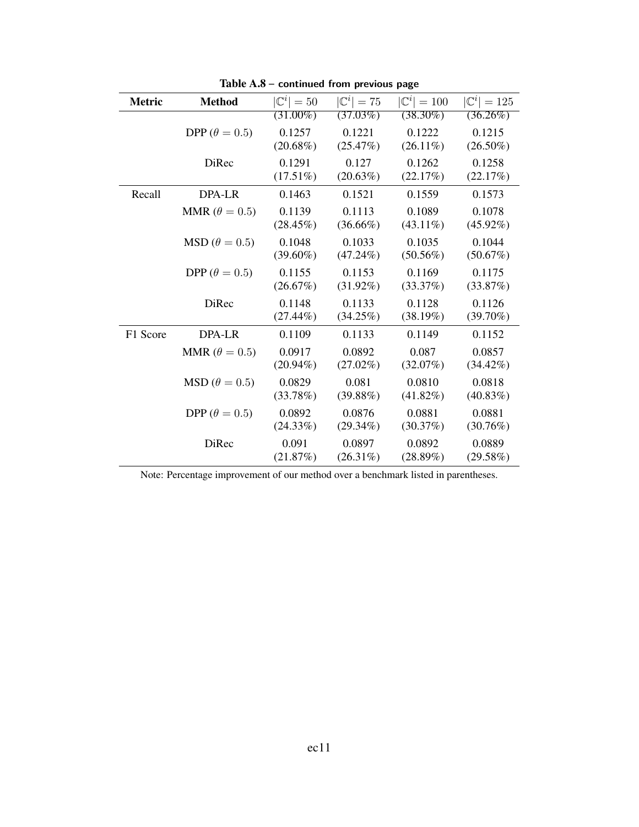| <b>Metric</b> | <b>Method</b>              | $ \mathbb{C}^i =50$ | $ \mathbb{C}^i =75$ | $ {\mathbb C}^i  = 100$ | $ \mathbb{C}^i =125$ |
|---------------|----------------------------|---------------------|---------------------|-------------------------|----------------------|
|               |                            | $(31.00\%)$         | (37.03%)            | $(38.30\%)$             | $(36.26\%)$          |
|               | DPP ( $\theta = 0.5$ )     | 0.1257              | 0.1221              | 0.1222                  | 0.1215               |
|               |                            | $(20.68\%)$         | (25.47%)            | $(26.11\%)$             | $(26.50\%)$          |
|               | <b>DiRec</b>               | 0.1291              | 0.127               | 0.1262                  | 0.1258               |
|               |                            | $(17.51\%)$         | (20.63%)            | (22.17%)                | (22.17%)             |
| Recall        | DPA-LR                     | 0.1463              | 0.1521              | 0.1559                  | 0.1573               |
|               | MMR ( $\theta = 0.5$ )     | 0.1139              | 0.1113              | 0.1089                  | 0.1078               |
|               |                            | $(28.45\%)$         | $(36.66\%)$         | $(43.11\%)$             | $(45.92\%)$          |
|               | $\text{MSD}(\theta = 0.5)$ | 0.1048              | 0.1033              | 0.1035                  | 0.1044               |
|               |                            | $(39.60\%)$         | $(47.24\%)$         | $(50.56\%)$             | (50.67%)             |
|               | DPP ( $\theta = 0.5$ )     | 0.1155              | 0.1153              | 0.1169                  | 0.1175               |
|               |                            | (26.67%)            | $(31.92\%)$         | (33.37%)                | (33.87%)             |
|               | <b>DiRec</b>               | 0.1148              | 0.1133              | 0.1128                  | 0.1126               |
|               |                            | $(27.44\%)$         | (34.25%)            | (38.19%)                | $(39.70\%)$          |
| F1 Score      | DPA-LR                     | 0.1109              | 0.1133              | 0.1149                  | 0.1152               |
|               | MMR ( $\theta = 0.5$ )     | 0.0917              | 0.0892              | 0.087                   | 0.0857               |
|               |                            | $(20.94\%)$         | $(27.02\%)$         | (32.07%)                | $(34.42\%)$          |
|               | $\text{MSD}(\theta = 0.5)$ | 0.0829              | 0.081               | 0.0810                  | 0.0818               |
|               |                            | (33.78%)            | (39.88%)            | $(41.82\%)$             | $(40.83\%)$          |
|               | DPP ( $\theta = 0.5$ )     | 0.0892              | 0.0876              | 0.0881                  | 0.0881               |
|               |                            | (24.33%)            | $(29.34\%)$         | (30.37%)                | (30.76%)             |
|               | <b>DiRec</b>               | 0.091               | 0.0897              | 0.0892                  | 0.0889               |
|               |                            | (21.87%)            | $(26.31\%)$         | $(28.89\%)$             | (29.58%)             |

Table A.8 **– continued from previous page**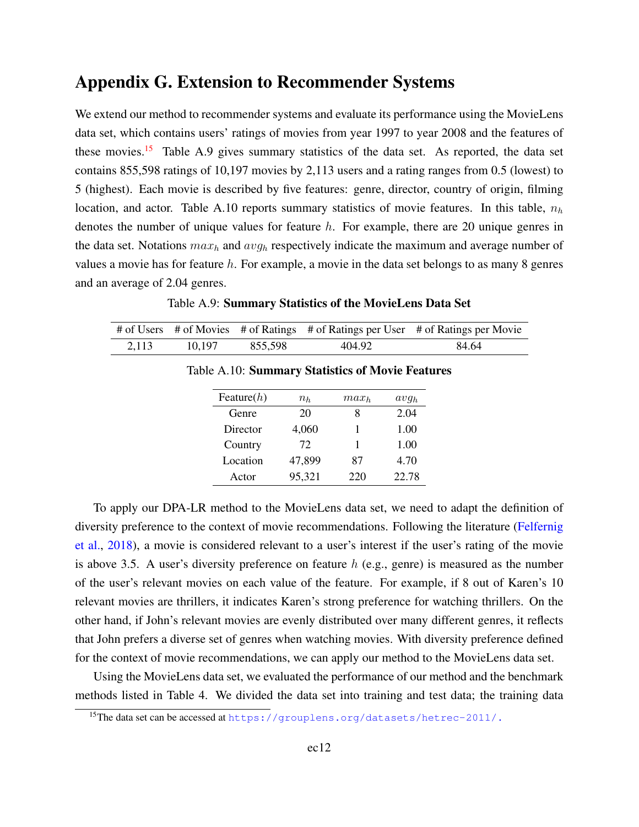# Appendix G. Extension to Recommender Systems

We extend our method to recommender systems and evaluate its performance using the MovieLens data set, which contains users' ratings of movies from year 1997 to year 2008 and the features of these movies.<sup>[15](#page-0-0)</sup> Table A.9 gives summary statistics of the data set. As reported, the data set contains 855,598 ratings of 10,197 movies by 2,113 users and a rating ranges from 0.5 (lowest) to 5 (highest). Each movie is described by five features: genre, director, country of origin, filming location, and actor. Table A.10 reports summary statistics of movie features. In this table,  $n_h$ denotes the number of unique values for feature  $h$ . For example, there are 20 unique genres in the data set. Notations  $max_h$  and  $avg_h$  respectively indicate the maximum and average number of values a movie has for feature  $h$ . For example, a movie in the data set belongs to as many 8 genres and an average of 2.04 genres.

|       |        |         |        | # of Users # of Movies # of Ratings # of Ratings per User # of Ratings per Movie |
|-------|--------|---------|--------|----------------------------------------------------------------------------------|
| 2.113 | 10.197 | 855.598 | 404.92 | 84.64                                                                            |

Table A.9: Summary Statistics of the MovieLens Data Set

| $n_h$  | $max_h$ | avg <sub>h</sub> |
|--------|---------|------------------|
| 20     | 8       | 2.04             |
| 4,060  | 1       | 1.00             |
| 72     | 1       | 1.00             |
| 47,899 | 87      | 4.70             |
| 95,321 | 220     | 22.78            |
|        |         |                  |

Table A.10: Summary Statistics of Movie Features

To apply our DPA-LR method to the MovieLens data set, we need to adapt the definition of diversity preference to the context of movie recommendations. Following the literature [\(Felfernig](#page-49-3) [et al.,](#page-49-3) [2018\)](#page-49-3), a movie is considered relevant to a user's interest if the user's rating of the movie is above 3.5. A user's diversity preference on feature  $h$  (e.g., genre) is measured as the number of the user's relevant movies on each value of the feature. For example, if 8 out of Karen's 10 relevant movies are thrillers, it indicates Karen's strong preference for watching thrillers. On the other hand, if John's relevant movies are evenly distributed over many different genres, it reflects that John prefers a diverse set of genres when watching movies. With diversity preference defined for the context of movie recommendations, we can apply our method to the MovieLens data set.

Using the MovieLens data set, we evaluated the performance of our method and the benchmark methods listed in Table 4. We divided the data set into training and test data; the training data

<sup>15</sup>The data set can be accessed at <https://grouplens.org/datasets/hetrec-2011/.>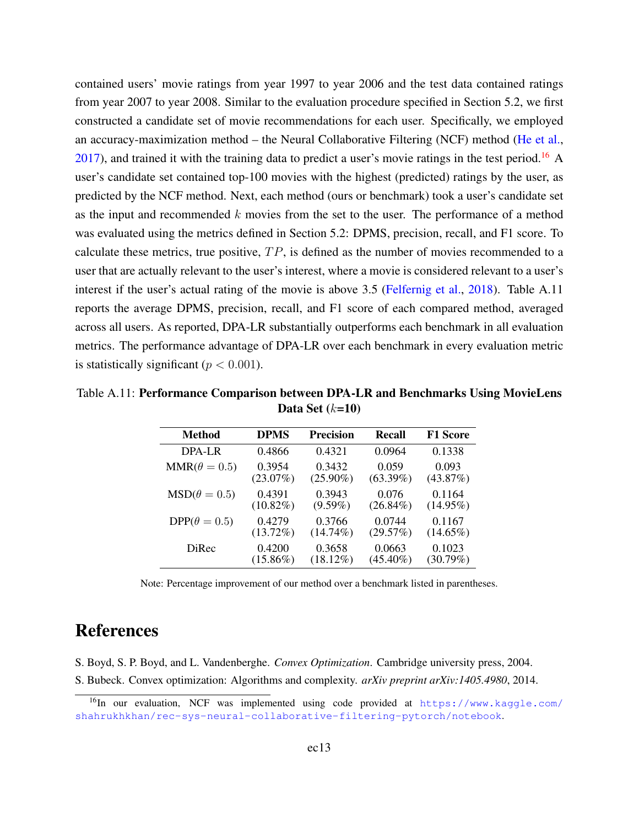contained users' movie ratings from year 1997 to year 2006 and the test data contained ratings from year 2007 to year 2008. Similar to the evaluation procedure specified in Section 5.2, we first constructed a candidate set of movie recommendations for each user. Specifically, we employed an accuracy-maximization method – the Neural Collaborative Filtering (NCF) method [\(He et al.,](#page-49-4)  $2017$ ), and trained it with the training data to predict a user's movie ratings in the test period.<sup>[16](#page-0-0)</sup> A user's candidate set contained top-100 movies with the highest (predicted) ratings by the user, as predicted by the NCF method. Next, each method (ours or benchmark) took a user's candidate set as the input and recommended  $k$  movies from the set to the user. The performance of a method was evaluated using the metrics defined in Section 5.2: DPMS, precision, recall, and F1 score. To calculate these metrics, true positive,  $TP$ , is defined as the number of movies recommended to a user that are actually relevant to the user's interest, where a movie is considered relevant to a user's interest if the user's actual rating of the movie is above 3.5 [\(Felfernig et al.,](#page-49-3) [2018\)](#page-49-3). Table A.11 reports the average DPMS, precision, recall, and F1 score of each compared method, averaged across all users. As reported, DPA-LR substantially outperforms each benchmark in all evaluation metrics. The performance advantage of DPA-LR over each benchmark in every evaluation metric is statistically significant ( $p < 0.001$ ).

Table A.11: Performance Comparison between DPA-LR and Benchmarks Using MovieLens Data Set  $(k=10)$ 

| <b>Method</b>       | <b>DPMS</b> | <b>Precision</b> | Recall      | <b>F1 Score</b> |
|---------------------|-------------|------------------|-------------|-----------------|
| DPA-LR              | 0.4866      | 0.4321           | 0.0964      | 0.1338          |
| $MMR(\theta = 0.5)$ | 0.3954      | 0.3432           | 0.059       | 0.093           |
|                     | $(23.07\%)$ | $(25.90\%)$      | $(63.39\%)$ | (43.87%)        |
| $MSD(\theta = 0.5)$ | 0.4391      | 0.3943           | 0.076       | 0.1164          |
|                     | $(10.82\%)$ | $(9.59\%)$       | $(26.84\%)$ | $(14.95\%)$     |
| $DPP(\theta = 0.5)$ | 0.4279      | 0.3766           | 0.0744      | 0.1167          |
|                     | $(13.72\%)$ | $(14.74\%)$      | (29.57%)    | $(14.65\%)$     |
| DiRec               | 0.4200      | 0.3658           | 0.0663      | 0.1023          |
|                     | $(15.86\%)$ | $(18.12\%)$      | $(45.40\%)$ | (30.79%)        |

Note: Percentage improvement of our method over a benchmark listed in parentheses.

# References

<span id="page-48-0"></span>S. Boyd, S. P. Boyd, and L. Vandenberghe. *Convex Optimization*. Cambridge university press, 2004.

S. Bubeck. Convex optimization: Algorithms and complexity. *arXiv preprint arXiv:1405.4980*, 2014.

<sup>&</sup>lt;sup>16</sup>In our evaluation, NCF was implemented using code provided at [https://www.kaggle.com/](https://www.kaggle.com/shahrukhkhan/rec-sys-neural-collaborative-filtering-pytorch/notebook) [shahrukhkhan/rec-sys-neural-collaborative-filtering-pytorch/notebook](https://www.kaggle.com/shahrukhkhan/rec-sys-neural-collaborative-filtering-pytorch/notebook).